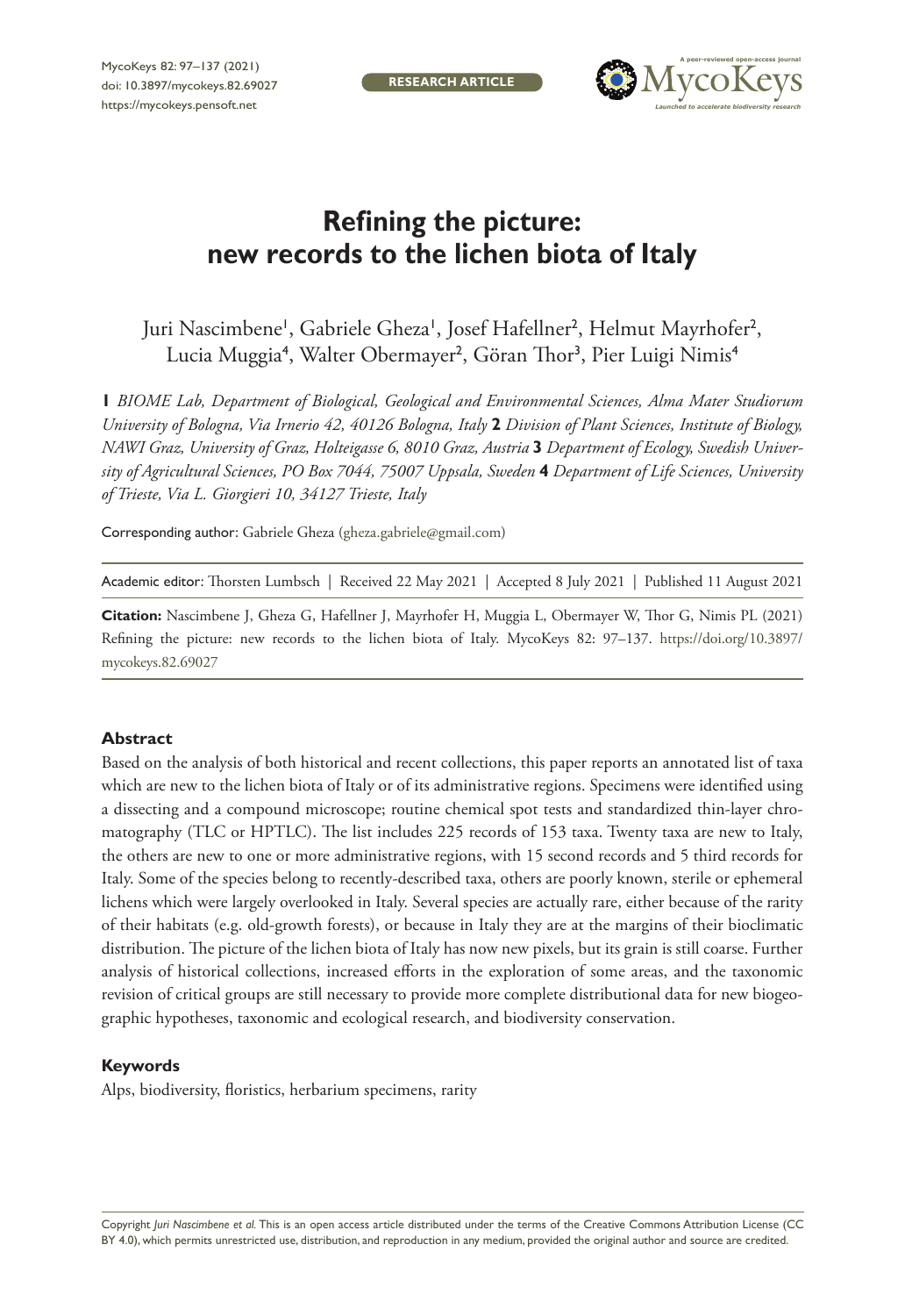**RESEARCH ARTICLE**



# **Refining the picture: new records to the lichen biota of Italy**

Juri Nascimbene', Gabriele Gheza', Josef Hafellner<sup>2</sup>, Helmut Mayrhofer<sup>2</sup>, Lucia Muggia<sup>4</sup>, Walter Obermayer<sup>2</sup>, Göran Thor<sup>3</sup>, Pier Luigi Nimis<sup>4</sup>

**1** *BIOME Lab, Department of Biological, Geological and Environmental Sciences, Alma Mater Studiorum University of Bologna, Via Irnerio 42, 40126 Bologna, Italy* **2** *Division of Plant Sciences, Institute of Biology, NAWI Graz, University of Graz, Holteigasse 6, 8010 Graz, Austria* **3** *Department of Ecology, Swedish University of Agricultural Sciences, PO Box 7044, 75007 Uppsala, Sweden* **4** *Department of Life Sciences, University of Trieste, Via L. Giorgieri 10, 34127 Trieste, Italy*

Corresponding author: Gabriele Gheza ([gheza.gabriele@gmail.com](mailto:gheza.gabriele@gmail.com))

Academic editor: Thorsten Lumbsch | Received 22 May 2021 | Accepted 8 July 2021 | Published 11 August 2021

**Citation:** Nascimbene J, Gheza G, Hafellner J, Mayrhofer H, Muggia L, Obermayer W, Thor G, Nimis PL (2021) Refining the picture: new records to the lichen biota of Italy. MycoKeys 82: 97–137. [https://doi.org/10.3897/](https://doi.org/10.3897/mycokeys.82.69027) [mycokeys.82.69027](https://doi.org/10.3897/mycokeys.82.69027)

## **Abstract**

Based on the analysis of both historical and recent collections, this paper reports an annotated list of taxa which are new to the lichen biota of Italy or of its administrative regions. Specimens were identified using a dissecting and a compound microscope; routine chemical spot tests and standardized thin-layer chromatography (TLC or HPTLC). The list includes 225 records of 153 taxa. Twenty taxa are new to Italy, the others are new to one or more administrative regions, with 15 second records and 5 third records for Italy. Some of the species belong to recently-described taxa, others are poorly known, sterile or ephemeral lichens which were largely overlooked in Italy. Several species are actually rare, either because of the rarity of their habitats (e.g. old-growth forests), or because in Italy they are at the margins of their bioclimatic distribution. The picture of the lichen biota of Italy has now new pixels, but its grain is still coarse. Further analysis of historical collections, increased efforts in the exploration of some areas, and the taxonomic revision of critical groups are still necessary to provide more complete distributional data for new biogeographic hypotheses, taxonomic and ecological research, and biodiversity conservation.

## **Keywords**

Alps, biodiversity, floristics, herbarium specimens, rarity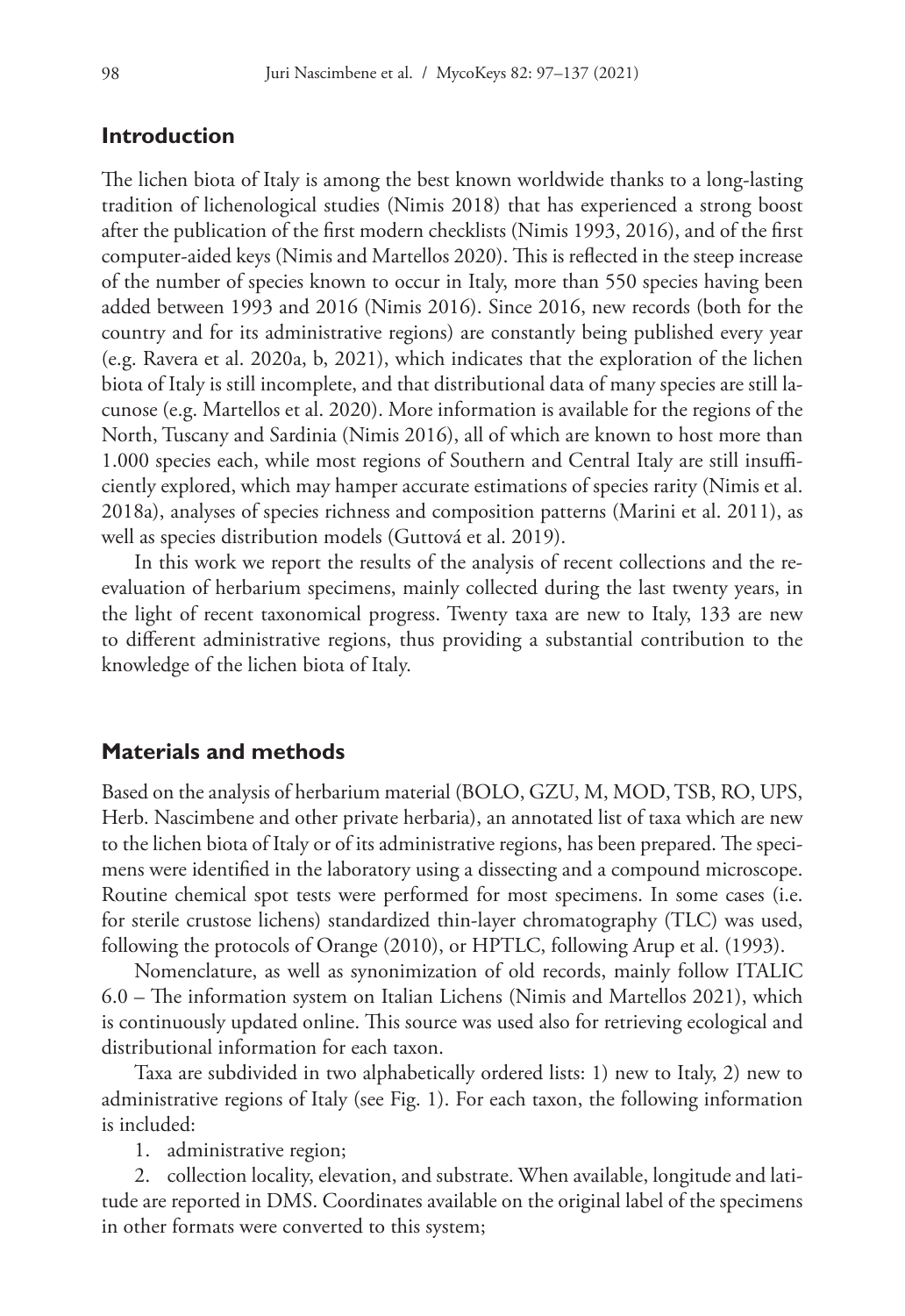# **Introduction**

The lichen biota of Italy is among the best known worldwide thanks to a long-lasting tradition of lichenological studies (Nimis 2018) that has experienced a strong boost after the publication of the first modern checklists (Nimis 1993, 2016), and of the first computer-aided keys (Nimis and Martellos 2020). This is reflected in the steep increase of the number of species known to occur in Italy, more than 550 species having been added between 1993 and 2016 (Nimis 2016). Since 2016, new records (both for the country and for its administrative regions) are constantly being published every year (e.g. Ravera et al. 2020a, b, 2021), which indicates that the exploration of the lichen biota of Italy is still incomplete, and that distributional data of many species are still lacunose (e.g. Martellos et al. 2020). More information is available for the regions of the North, Tuscany and Sardinia (Nimis 2016), all of which are known to host more than 1.000 species each, while most regions of Southern and Central Italy are still insufficiently explored, which may hamper accurate estimations of species rarity (Nimis et al. 2018a), analyses of species richness and composition patterns (Marini et al. 2011), as well as species distribution models (Guttová et al. 2019).

In this work we report the results of the analysis of recent collections and the reevaluation of herbarium specimens, mainly collected during the last twenty years, in the light of recent taxonomical progress. Twenty taxa are new to Italy, 133 are new to different administrative regions, thus providing a substantial contribution to the knowledge of the lichen biota of Italy.

# **Materials and methods**

Based on the analysis of herbarium material (BOLO, GZU, M, MOD, TSB, RO, UPS, Herb. Nascimbene and other private herbaria), an annotated list of taxa which are new to the lichen biota of Italy or of its administrative regions, has been prepared. The specimens were identified in the laboratory using a dissecting and a compound microscope. Routine chemical spot tests were performed for most specimens. In some cases (i.e. for sterile crustose lichens) standardized thin-layer chromatography (TLC) was used, following the protocols of Orange (2010), or HPTLC, following Arup et al. (1993).

Nomenclature, as well as synonimization of old records, mainly follow ITALIC 6.0 – The information system on Italian Lichens (Nimis and Martellos 2021), which is continuously updated online. This source was used also for retrieving ecological and distributional information for each taxon.

Taxa are subdivided in two alphabetically ordered lists: 1) new to Italy, 2) new to administrative regions of Italy (see Fig. 1). For each taxon, the following information is included:

1. administrative region;

2. collection locality, elevation, and substrate. When available, longitude and latitude are reported in DMS. Coordinates available on the original label of the specimens in other formats were converted to this system;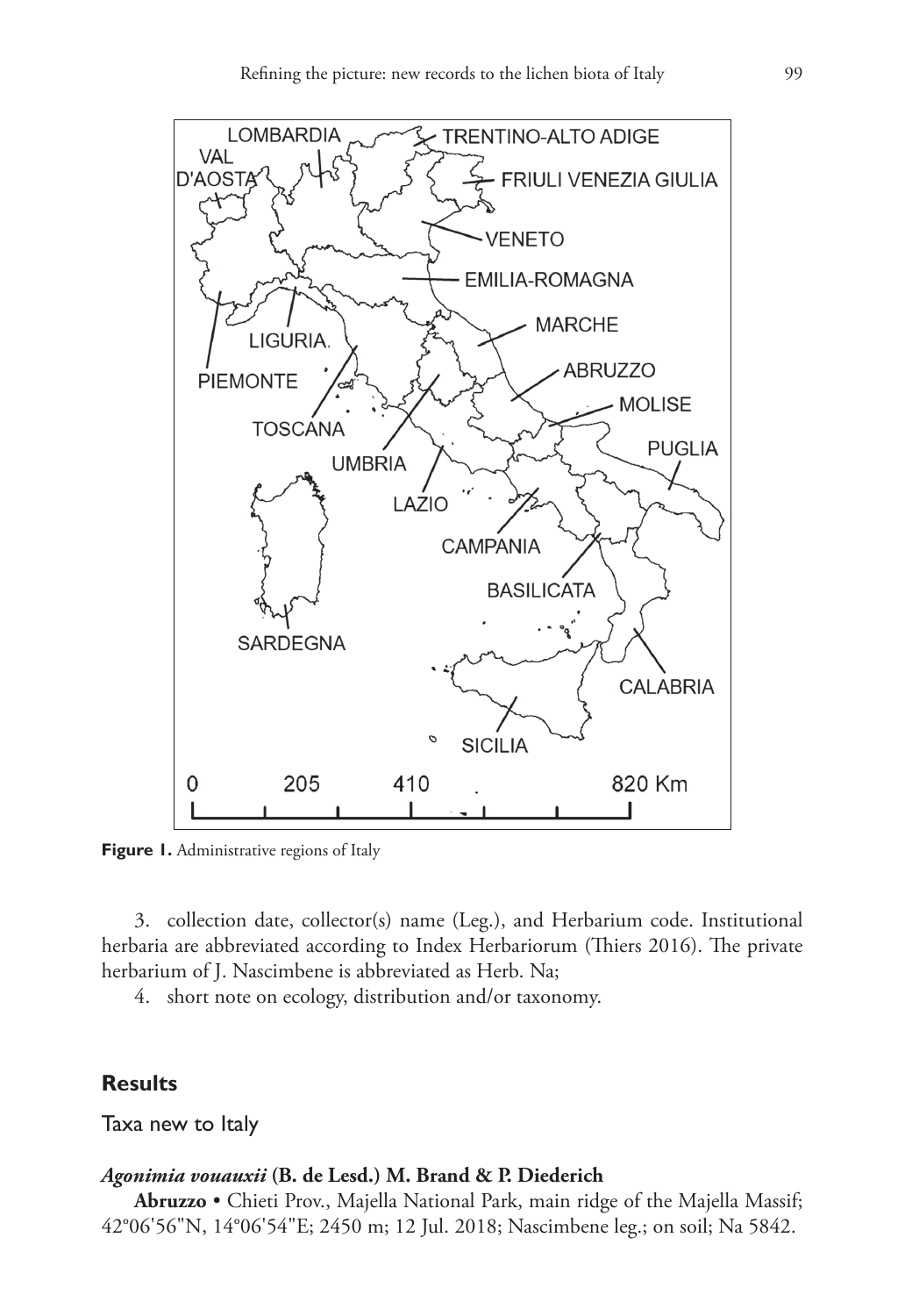

**Figure 1.** Administrative regions of Italy

3. collection date, collector(s) name (Leg.), and Herbarium code. Institutional herbaria are abbreviated according to Index Herbariorum (Thiers 2016). The private herbarium of J. Nascimbene is abbreviated as Herb. Na;

4. short note on ecology, distribution and/or taxonomy.

# **Results**

Taxa new to Italy

# *Agonimia vouauxii* **(B. de Lesd.) M. Brand & P. Diederich**

**Abruzzo** • Chieti Prov., Majella National Park, main ridge of the Majella Massif; 42°06'56"N, 14°06'54"E; 2450 m; 12 Jul. 2018; Nascimbene leg.; on soil; Na 5842.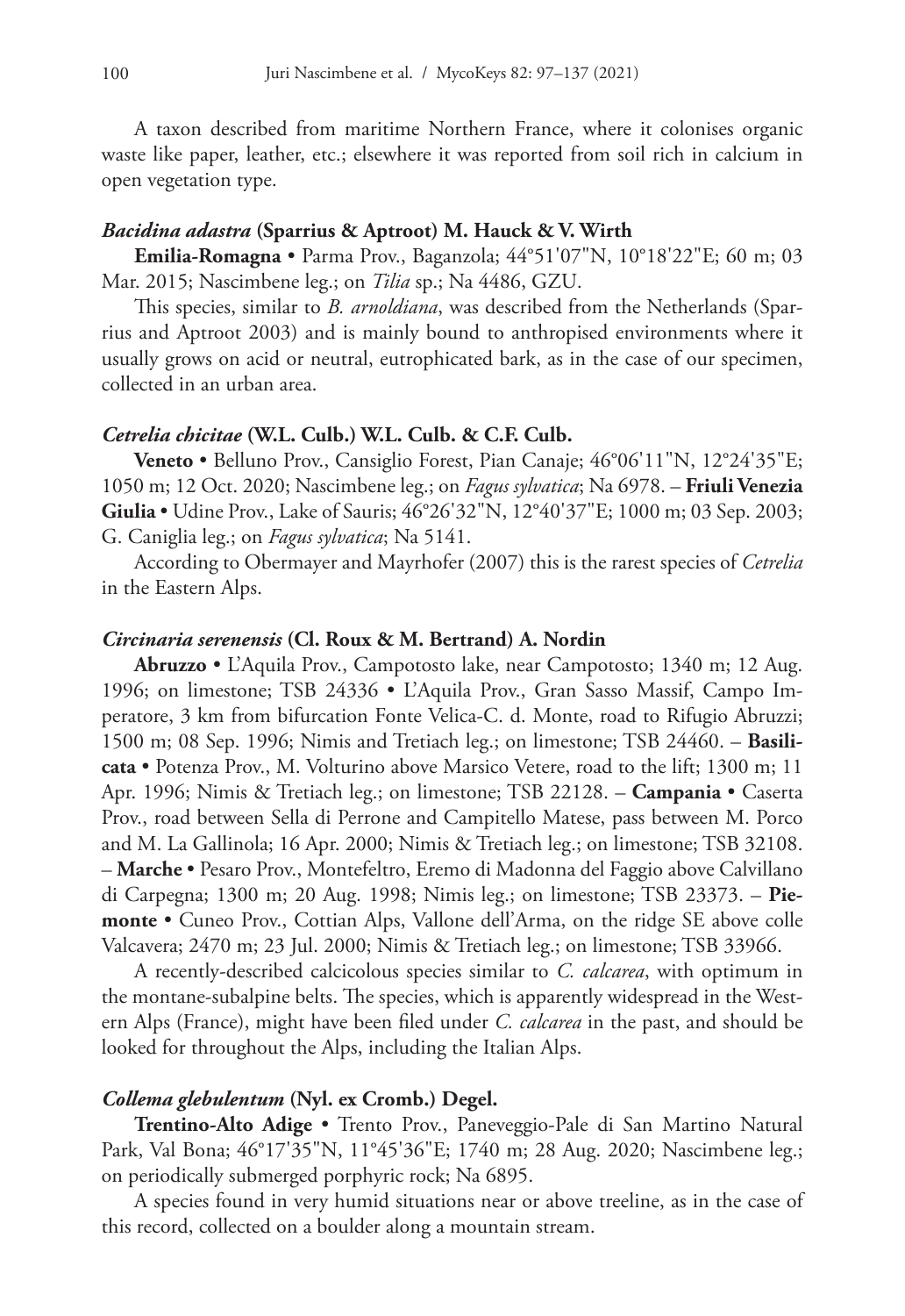A taxon described from maritime Northern France, where it colonises organic waste like paper, leather, etc.; elsewhere it was reported from soil rich in calcium in open vegetation type.

#### *Bacidina adastra* **(Sparrius & Aptroot) M. Hauck & V. Wirth**

**Emilia-Romagna** • Parma Prov., Baganzola; 44°51'07"N, 10°18'22"E; 60 m; 03 Mar. 2015; Nascimbene leg.; on *Tilia* sp.; Na 4486, GZU.

This species, similar to *B. arnoldiana*, was described from the Netherlands (Sparrius and Aptroot 2003) and is mainly bound to anthropised environments where it usually grows on acid or neutral, eutrophicated bark, as in the case of our specimen, collected in an urban area.

#### *Cetrelia chicitae* **(W.L. Culb.) W.L. Culb. & C.F. Culb.**

**Veneto** • Belluno Prov., Cansiglio Forest, Pian Canaje; 46°06'11"N, 12°24'35"E; 1050 m; 12 Oct. 2020; Nascimbene leg.; on *Fagus sylvatica*; Na 6978. – **Friuli Venezia Giulia** • Udine Prov., Lake of Sauris; 46°26'32"N, 12°40'37"E; 1000 m; 03 Sep. 2003; G. Caniglia leg.; on *Fagus sylvatica*; Na 5141.

According to Obermayer and Mayrhofer (2007) this is the rarest species of *Cetrelia* in the Eastern Alps.

### *Circinaria serenensis* **(Cl. Roux & M. Bertrand) A. Nordin**

**Abruzzo** • L'Aquila Prov., Campotosto lake, near Campotosto; 1340 m; 12 Aug. 1996; on limestone; TSB 24336 • L'Aquila Prov., Gran Sasso Massif, Campo Imperatore, 3 km from bifurcation Fonte Velica-C. d. Monte, road to Rifugio Abruzzi; 1500 m; 08 Sep. 1996; Nimis and Tretiach leg.; on limestone; TSB 24460. – **Basilicata** • Potenza Prov., M. Volturino above Marsico Vetere, road to the lift; 1300 m; 11 Apr. 1996; Nimis & Tretiach leg.; on limestone; TSB 22128. – **Campania** • Caserta Prov., road between Sella di Perrone and Campitello Matese, pass between M. Porco and M. La Gallinola; 16 Apr. 2000; Nimis & Tretiach leg.; on limestone; TSB 32108. – **Marche** • Pesaro Prov., Montefeltro, Eremo di Madonna del Faggio above Calvillano di Carpegna; 1300 m; 20 Aug. 1998; Nimis leg.; on limestone; TSB 23373. – **Piemonte** • Cuneo Prov., Cottian Alps, Vallone dell'Arma, on the ridge SE above colle Valcavera; 2470 m; 23 Jul. 2000; Nimis & Tretiach leg.; on limestone; TSB 33966.

A recently-described calcicolous species similar to *C. calcarea*, with optimum in the montane-subalpine belts. The species, which is apparently widespread in the Western Alps (France), might have been filed under *C. calcarea* in the past, and should be looked for throughout the Alps, including the Italian Alps.

### *Collema glebulentum* **(Nyl. ex Cromb.) Degel.**

**Trentino-Alto Adige** • Trento Prov., Paneveggio-Pale di San Martino Natural Park, Val Bona; 46°17'35"N, 11°45'36"E; 1740 m; 28 Aug. 2020; Nascimbene leg.; on periodically submerged porphyric rock; Na 6895.

A species found in very humid situations near or above treeline, as in the case of this record, collected on a boulder along a mountain stream.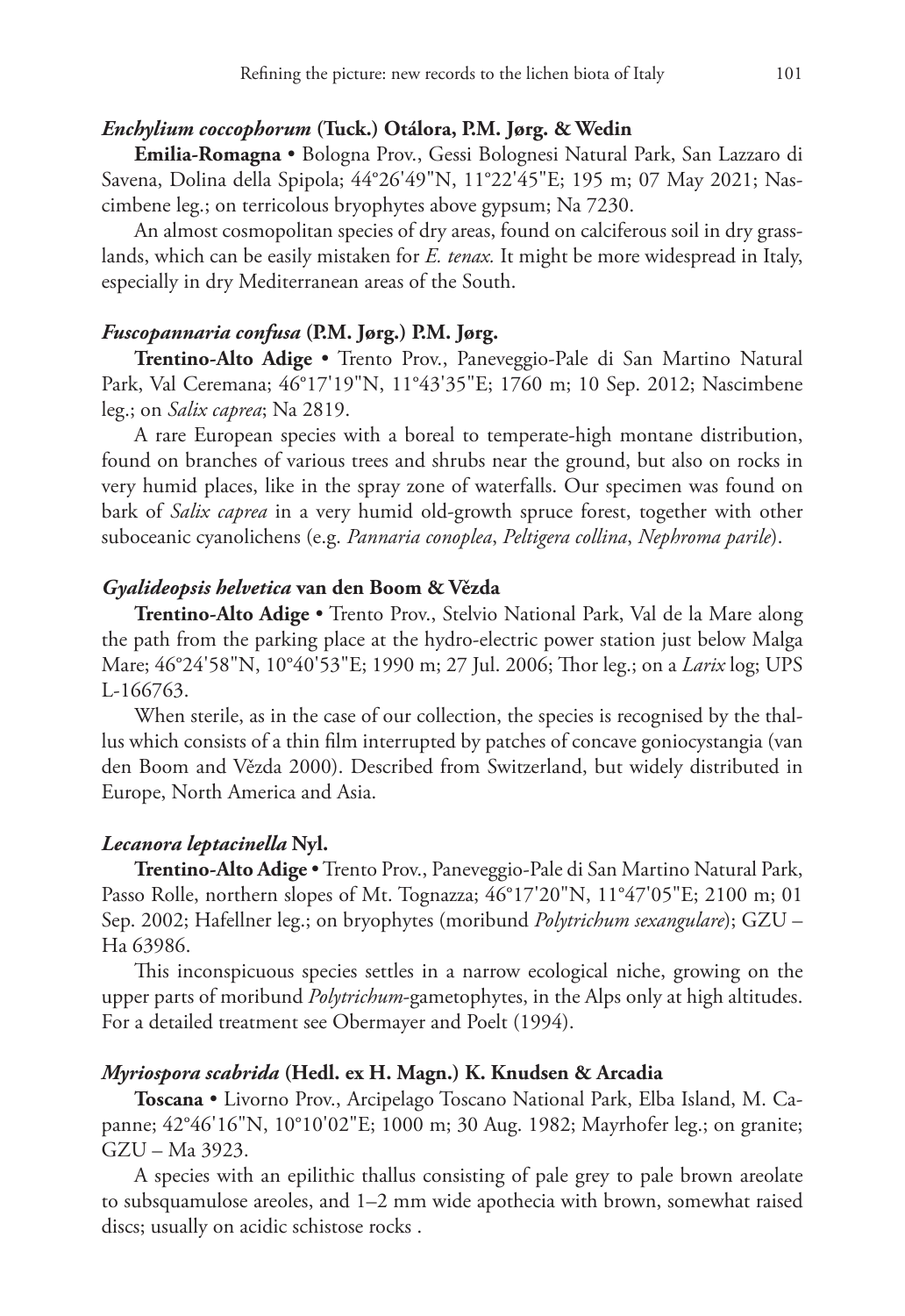# *Enchylium coccophorum* **(Tuck.) Otálora, P.M. Jørg. & Wedin**

**Emilia-Romagna** • Bologna Prov., Gessi Bolognesi Natural Park, San Lazzaro di Savena, Dolina della Spipola; 44°26'49"N, 11°22'45"E; 195 m; 07 May 2021; Nascimbene leg.; on terricolous bryophytes above gypsum; Na 7230.

An almost cosmopolitan species of dry areas, found on calciferous soil in dry grasslands, which can be easily mistaken for *E. tenax.* It might be more widespread in Italy, especially in dry Mediterranean areas of the South.

# *Fuscopannaria confusa* **(P.M. Jørg.) P.M. Jørg.**

**Trentino-Alto Adige** • Trento Prov., Paneveggio-Pale di San Martino Natural Park, Val Ceremana; 46°17'19"N, 11°43'35"E; 1760 m; 10 Sep. 2012; Nascimbene leg.; on *Salix caprea*; Na 2819.

A rare European species with a boreal to temperate-high montane distribution, found on branches of various trees and shrubs near the ground, but also on rocks in very humid places, like in the spray zone of waterfalls. Our specimen was found on bark of *Salix caprea* in a very humid old-growth spruce forest, together with other suboceanic cyanolichens (e.g. *Pannaria conoplea*, *Peltigera collina*, *Nephroma parile*).

#### *Gyalideopsis helvetica* **van den Boom & Vězda**

**Trentino-Alto Adige** • Trento Prov., Stelvio National Park, Val de la Mare along the path from the parking place at the hydro-electric power station just below Malga Mare; 46°24'58"N, 10°40'53"E; 1990 m; 27 Jul. 2006; Thor leg.; on a *Larix* log; UPS L-166763.

When sterile, as in the case of our collection, the species is recognised by the thallus which consists of a thin film interrupted by patches of concave goniocystangia (van den Boom and Vězda 2000). Described from Switzerland, but widely distributed in Europe, North America and Asia.

## *Lecanora leptacinella* **Nyl.**

**Trentino-Alto Adige** • Trento Prov., Paneveggio-Pale di San Martino Natural Park, Passo Rolle, northern slopes of Mt. Tognazza; 46°17'20"N, 11°47'05"E; 2100 m; 01 Sep. 2002; Hafellner leg.; on bryophytes (moribund *Polytrichum sexangulare*); GZU – Ha 63986.

This inconspicuous species settles in a narrow ecological niche, growing on the upper parts of moribund *Polytrichum*-gametophytes, in the Alps only at high altitudes. For a detailed treatment see Obermayer and Poelt (1994).

#### *Myriospora scabrida* **(Hedl. ex H. Magn.) K. Knudsen & Arcadia**

**Toscana** • Livorno Prov., Arcipelago Toscano National Park, Elba Island, M. Capanne; 42°46'16"N, 10°10'02"E; 1000 m; 30 Aug. 1982; Mayrhofer leg.; on granite; GZU – Ma 3923.

A species with an epilithic thallus consisting of pale grey to pale brown areolate to subsquamulose areoles, and 1–2 mm wide apothecia with brown, somewhat raised discs; usually on acidic schistose rocks .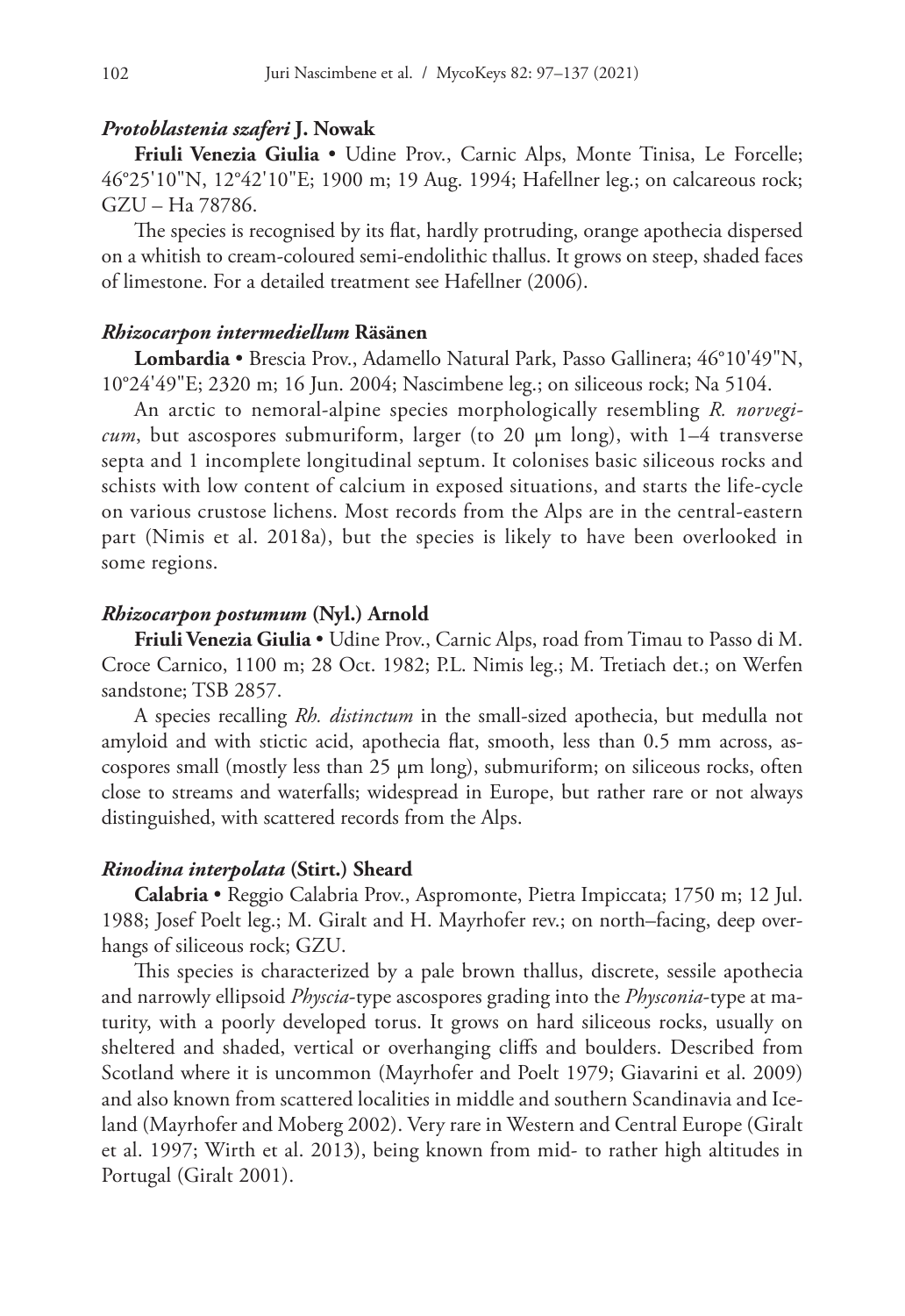#### *Protoblastenia szaferi* **J. Nowak**

**Friuli Venezia Giulia** • Udine Prov., Carnic Alps, Monte Tinisa, Le Forcelle; 46°25'10"N, 12°42'10"E; 1900 m; 19 Aug. 1994; Hafellner leg.; on calcareous rock; GZU – Ha 78786.

The species is recognised by its flat, hardly protruding, orange apothecia dispersed on a whitish to cream-coloured semi-endolithic thallus. It grows on steep, shaded faces of limestone. For a detailed treatment see Hafellner (2006).

#### *Rhizocarpon intermediellum* **Räsänen**

**Lombardia** • Brescia Prov., Adamello Natural Park, Passo Gallinera; 46°10'49"N, 10°24'49"E; 2320 m; 16 Jun. 2004; Nascimbene leg.; on siliceous rock; Na 5104.

An arctic to nemoral-alpine species morphologically resembling *R. norvegicum*, but ascospores submuriform, larger (to 20 µm long), with 1–4 transverse septa and 1 incomplete longitudinal septum. It colonises basic siliceous rocks and schists with low content of calcium in exposed situations, and starts the life-cycle on various crustose lichens. Most records from the Alps are in the central-eastern part (Nimis et al. 2018a), but the species is likely to have been overlooked in some regions.

#### *Rhizocarpon postumum* **(Nyl.) Arnold**

**Friuli Venezia Giulia** • Udine Prov., Carnic Alps, road from Timau to Passo di M. Croce Carnico, 1100 m; 28 Oct. 1982; P.L. Nimis leg.; M. Tretiach det.; on Werfen sandstone; TSB 2857.

A species recalling *Rh. distinctum* in the small-sized apothecia, but medulla not amyloid and with stictic acid, apothecia flat, smooth, less than 0.5 mm across, ascospores small (mostly less than 25 µm long), submuriform; on siliceous rocks, often close to streams and waterfalls; widespread in Europe, but rather rare or not always distinguished, with scattered records from the Alps.

#### *Rinodina interpolata* **(Stirt.) Sheard**

**Calabria** • Reggio Calabria Prov., Aspromonte, Pietra Impiccata; 1750 m; 12 Jul. 1988; Josef Poelt leg.; M. Giralt and H. Mayrhofer rev.; on north–facing, deep overhangs of siliceous rock; GZU.

This species is characterized by a pale brown thallus, discrete, sessile apothecia and narrowly ellipsoid *Physcia*-type ascospores grading into the *Physconia*-type at maturity, with a poorly developed torus. It grows on hard siliceous rocks, usually on sheltered and shaded, vertical or overhanging cliffs and boulders. Described from Scotland where it is uncommon (Mayrhofer and Poelt 1979; Giavarini et al. 2009) and also known from scattered localities in middle and southern Scandinavia and Iceland (Mayrhofer and Moberg 2002). Very rare in Western and Central Europe (Giralt et al. 1997; Wirth et al. 2013), being known from mid- to rather high altitudes in Portugal (Giralt 2001).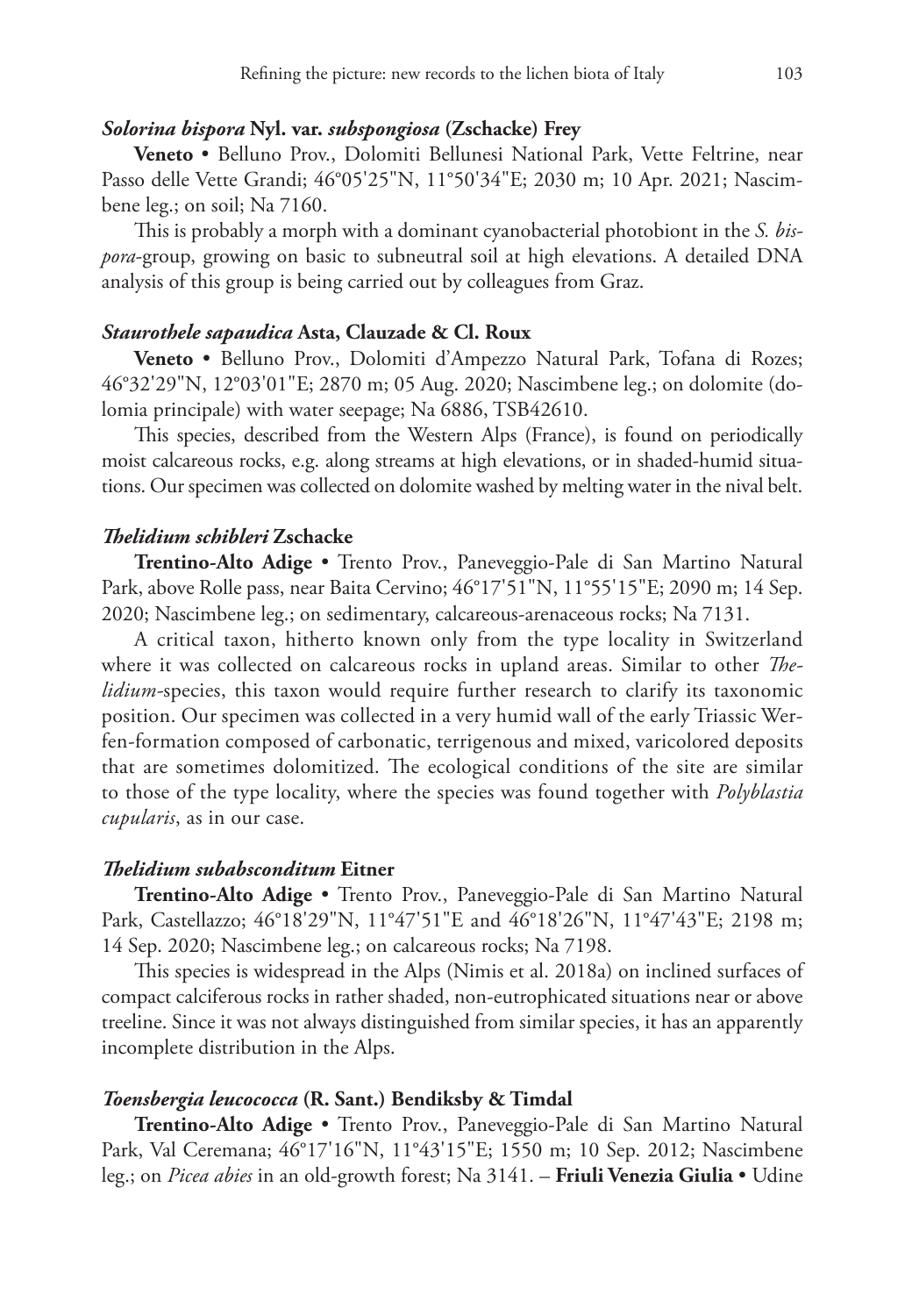# *Solorina bispora* **Nyl. var.** *subspongiosa* **(Zschacke) Frey**

**Veneto** • Belluno Prov., Dolomiti Bellunesi National Park, Vette Feltrine, near Passo delle Vette Grandi; 46°05'25"N, 11°50'34"E; 2030 m; 10 Apr. 2021; Nascimbene leg.; on soil; Na 7160.

This is probably a morph with a dominant cyanobacterial photobiont in the *S. bispora*-group, growing on basic to subneutral soil at high elevations. A detailed DNA analysis of this group is being carried out by colleagues from Graz.

# *Staurothele sapaudica* **Asta, Clauzade & Cl. Roux**

**Veneto** • Belluno Prov., Dolomiti d'Ampezzo Natural Park, Tofana di Rozes; 46°32'29"N, 12°03'01"E; 2870 m; 05 Aug. 2020; Nascimbene leg.; on dolomite (dolomia principale) with water seepage; Na 6886, TSB42610.

This species, described from the Western Alps (France), is found on periodically moist calcareous rocks, e.g. along streams at high elevations, or in shaded-humid situations. Our specimen was collected on dolomite washed by melting water in the nival belt.

# *Thelidium schibleri* **Zschacke**

**Trentino-Alto Adige** • Trento Prov., Paneveggio-Pale di San Martino Natural Park, above Rolle pass, near Baita Cervino; 46°17'51"N, 11°55'15"E; 2090 m; 14 Sep. 2020; Nascimbene leg.; on sedimentary, calcareous-arenaceous rocks; Na 7131.

A critical taxon, hitherto known only from the type locality in Switzerland where it was collected on calcareous rocks in upland areas. Similar to other *Thelidium-*species, this taxon would require further research to clarify its taxonomic position. Our specimen was collected in a very humid wall of the early Triassic Werfen-formation composed of carbonatic, terrigenous and mixed, varicolored deposits that are sometimes dolomitized. The ecological conditions of the site are similar to those of the type locality, where the species was found together with *Polyblastia cupularis*, as in our case.

#### *Thelidium subabsconditum* **Eitner**

**Trentino-Alto Adige** • Trento Prov., Paneveggio-Pale di San Martino Natural Park, Castellazzo; 46°18'29"N, 11°47'51"E and 46°18'26"N, 11°47'43"E; 2198 m; 14 Sep. 2020; Nascimbene leg.; on calcareous rocks; Na 7198.

This species is widespread in the Alps (Nimis et al. 2018a) on inclined surfaces of compact calciferous rocks in rather shaded, non-eutrophicated situations near or above treeline. Since it was not always distinguished from similar species, it has an apparently incomplete distribution in the Alps.

### *Toensbergia leucococca* **(R. Sant.) Bendiksby & Timdal**

**Trentino-Alto Adige** • Trento Prov., Paneveggio-Pale di San Martino Natural Park, Val Ceremana; 46°17'16"N, 11°43'15"E; 1550 m; 10 Sep. 2012; Nascimbene leg.; on *Picea abies* in an old-growth forest; Na 3141. – **Friuli Venezia Giulia** • Udine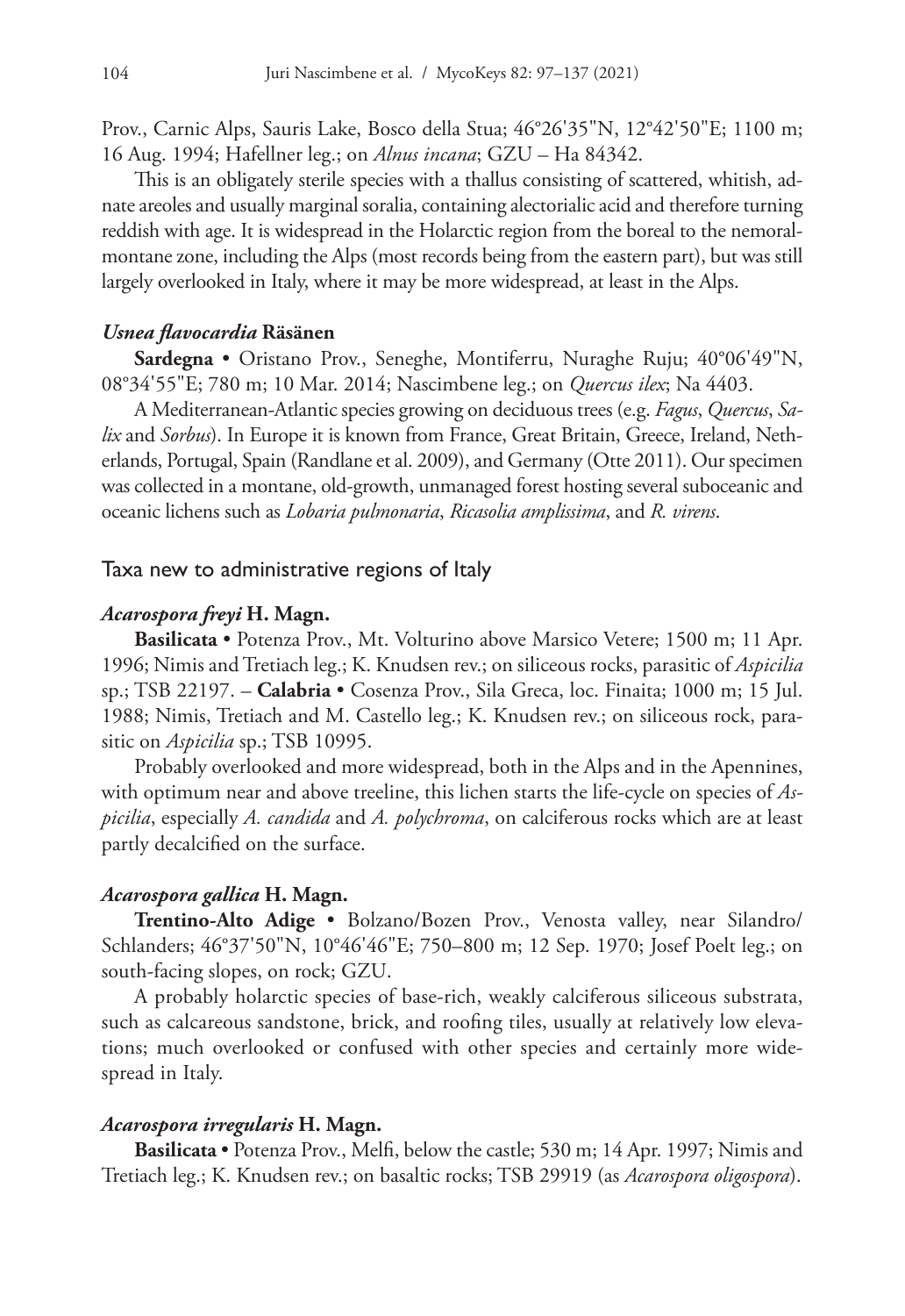Prov., Carnic Alps, Sauris Lake, Bosco della Stua; 46°26'35"N, 12°42'50"E; 1100 m; 16 Aug. 1994; Hafellner leg.; on *Alnus incana*; GZU – Ha 84342.

This is an obligately sterile species with a thallus consisting of scattered, whitish, adnate areoles and usually marginal soralia, containing alectorialic acid and therefore turning reddish with age. It is widespread in the Holarctic region from the boreal to the nemoralmontane zone, including the Alps (most records being from the eastern part), but was still largely overlooked in Italy, where it may be more widespread, at least in the Alps.

## *Usnea flavocardia* **Räsänen**

**Sardegna** • Oristano Prov., Seneghe, Montiferru, Nuraghe Ruju; 40°06'49"N, 08°34'55"E; 780 m; 10 Mar. 2014; Nascimbene leg.; on *Quercus ilex*; Na 4403.

A Mediterranean-Atlantic species growing on deciduous trees (e.g. *Fagus*, *Quercus*, *Salix* and *Sorbus*). In Europe it is known from France, Great Britain, Greece, Ireland, Netherlands, Portugal, Spain (Randlane et al. 2009), and Germany (Otte 2011). Our specimen was collected in a montane, old-growth, unmanaged forest hosting several suboceanic and oceanic lichens such as *Lobaria pulmonaria*, *Ricasolia amplissima*, and *R. virens*.

# Taxa new to administrative regions of Italy

# *Acarospora freyi* **H. Magn.**

**Basilicata** • Potenza Prov., Mt. Volturino above Marsico Vetere; 1500 m; 11 Apr. 1996; Nimis and Tretiach leg.; K. Knudsen rev.; on siliceous rocks, parasitic of *Aspicilia* sp.; TSB 22197. – **Calabria** • Cosenza Prov., Sila Greca, loc. Finaita; 1000 m; 15 Jul. 1988; Nimis, Tretiach and M. Castello leg.; K. Knudsen rev.; on siliceous rock, parasitic on *Aspicilia* sp.; TSB 10995.

Probably overlooked and more widespread, both in the Alps and in the Apennines, with optimum near and above treeline, this lichen starts the life-cycle on species of *Aspicilia*, especially *A. candida* and *A. polychroma*, on calciferous rocks which are at least partly decalcified on the surface.

# *Acarospora gallica* **H. Magn.**

**Trentino-Alto Adige** • Bolzano/Bozen Prov., Venosta valley, near Silandro/ Schlanders; 46°37'50"N, 10°46'46"E; 750–800 m; 12 Sep. 1970; Josef Poelt leg.; on south-facing slopes, on rock; GZU.

A probably holarctic species of base-rich, weakly calciferous siliceous substrata, such as calcareous sandstone, brick, and roofing tiles, usually at relatively low elevations; much overlooked or confused with other species and certainly more widespread in Italy.

#### *Acarospora irregularis* **H. Magn.**

**Basilicata** • Potenza Prov., Melfi, below the castle; 530 m; 14 Apr. 1997; Nimis and Tretiach leg.; K. Knudsen rev.; on basaltic rocks; TSB 29919 (as *Acarospora oligospora*).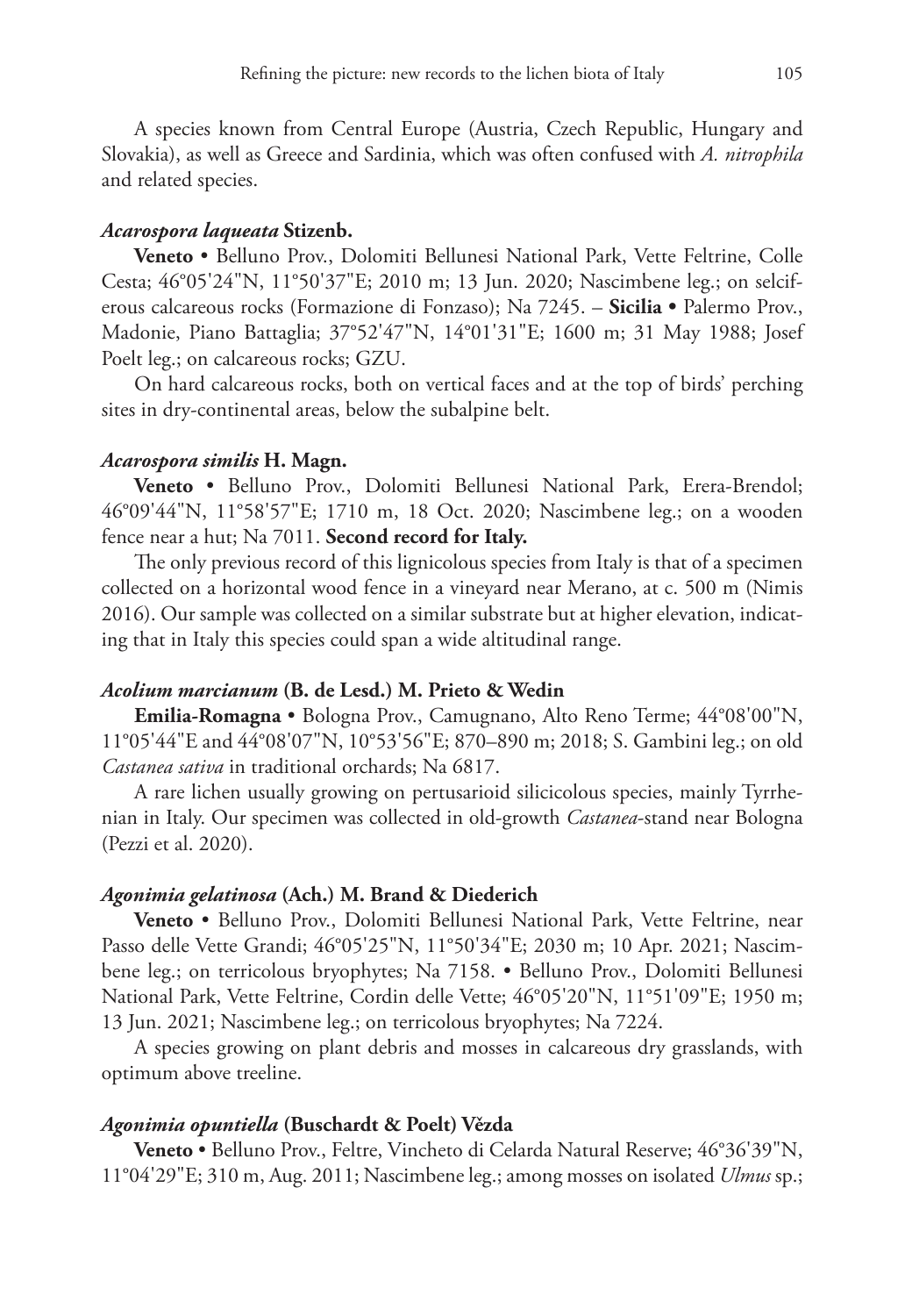A species known from Central Europe (Austria, Czech Republic, Hungary and Slovakia), as well as Greece and Sardinia, which was often confused with *A. nitrophila* and related species.

# *Acarospora laqueata* **Stizenb.**

**Veneto** • Belluno Prov., Dolomiti Bellunesi National Park, Vette Feltrine, Colle Cesta; 46°05'24"N, 11°50'37"E; 2010 m; 13 Jun. 2020; Nascimbene leg.; on selciferous calcareous rocks (Formazione di Fonzaso); Na 7245. – **Sicilia •** Palermo Prov., Madonie, Piano Battaglia; 37°52'47"N, 14°01'31"E; 1600 m; 31 May 1988; Josef Poelt leg.; on calcareous rocks; GZU.

On hard calcareous rocks, both on vertical faces and at the top of birds' perching sites in dry-continental areas, below the subalpine belt.

#### *Acarospora similis* **H. Magn.**

**Veneto** • Belluno Prov., Dolomiti Bellunesi National Park, Erera-Brendol; 46°09'44"N, 11°58'57"E; 1710 m, 18 Oct. 2020; Nascimbene leg.; on a wooden fence near a hut; Na 7011. **Second record for Italy.**

The only previous record of this lignicolous species from Italy is that of a specimen collected on a horizontal wood fence in a vineyard near Merano, at c. 500 m (Nimis 2016). Our sample was collected on a similar substrate but at higher elevation, indicating that in Italy this species could span a wide altitudinal range.

# *Acolium marcianum* **(B. de Lesd.) M. Prieto & Wedin**

**Emilia-Romagna** • Bologna Prov., Camugnano, Alto Reno Terme; 44°08'00"N, 11°05'44"E and 44°08'07"N, 10°53'56"E; 870–890 m; 2018; S. Gambini leg.; on old *Castanea sativa* in traditional orchards; Na 6817.

A rare lichen usually growing on pertusarioid silicicolous species, mainly Tyrrhenian in Italy. Our specimen was collected in old-growth *Castanea*-stand near Bologna (Pezzi et al. 2020).

### *Agonimia gelatinosa* **(Ach.) M. Brand & Diederich**

**Veneto** • Belluno Prov., Dolomiti Bellunesi National Park, Vette Feltrine, near Passo delle Vette Grandi; 46°05'25"N, 11°50'34"E; 2030 m; 10 Apr. 2021; Nascimbene leg.; on terricolous bryophytes; Na 7158. • Belluno Prov., Dolomiti Bellunesi National Park, Vette Feltrine, Cordin delle Vette; 46°05'20"N, 11°51'09"E; 1950 m; 13 Jun. 2021; Nascimbene leg.; on terricolous bryophytes; Na 7224.

A species growing on plant debris and mosses in calcareous dry grasslands, with optimum above treeline.

#### *Agonimia opuntiella* **(Buschardt & Poelt) Vězda**

**Veneto** • Belluno Prov., Feltre, Vincheto di Celarda Natural Reserve; 46°36'39"N, 11°04'29"E; 310 m, Aug. 2011; Nascimbene leg.; among mosses on isolated *Ulmus* sp.;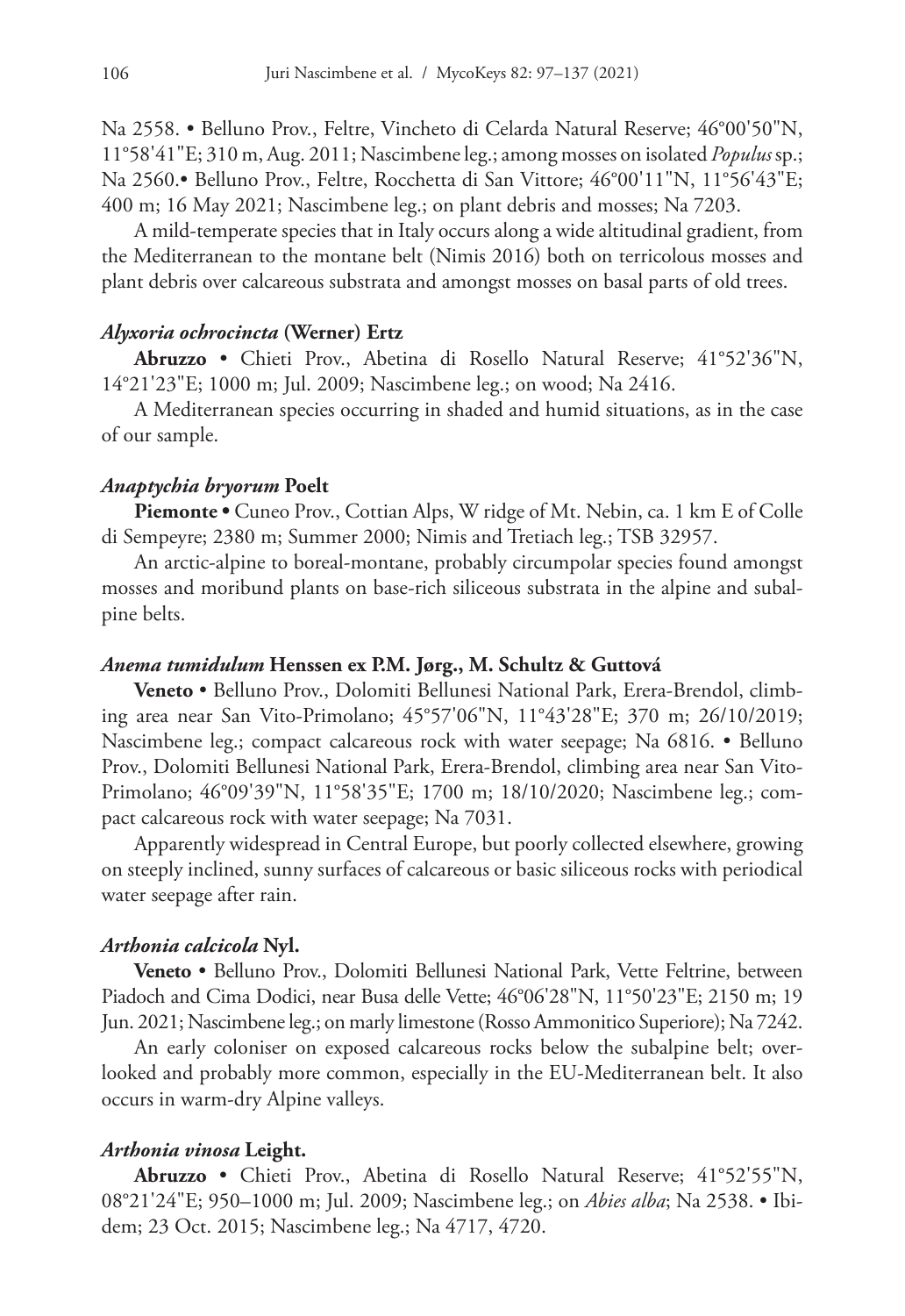Na 2558. • Belluno Prov., Feltre, Vincheto di Celarda Natural Reserve; 46°00'50"N, 11°58'41"E; 310 m, Aug. 2011; Nascimbene leg.; among mosses on isolated *Populus* sp.; Na 2560.• Belluno Prov., Feltre, Rocchetta di San Vittore; 46°00'11"N, 11°56'43"E; 400 m; 16 May 2021; Nascimbene leg.; on plant debris and mosses; Na 7203.

A mild-temperate species that in Italy occurs along a wide altitudinal gradient, from the Mediterranean to the montane belt (Nimis 2016) both on terricolous mosses and plant debris over calcareous substrata and amongst mosses on basal parts of old trees.

## *Alyxoria ochrocincta* **(Werner) Ertz**

**Abruzzo** • Chieti Prov., Abetina di Rosello Natural Reserve; 41°52'36"N, 14°21'23"E; 1000 m; Jul. 2009; Nascimbene leg.; on wood; Na 2416.

A Mediterranean species occurring in shaded and humid situations, as in the case of our sample.

# *Anaptychia bryorum* **Poelt**

**Piemonte •** Cuneo Prov., Cottian Alps, W ridge of Mt. Nebin, ca. 1 km E of Colle di Sempeyre; 2380 m; Summer 2000; Nimis and Tretiach leg.; TSB 32957.

An arctic-alpine to boreal-montane, probably circumpolar species found amongst mosses and moribund plants on base-rich siliceous substrata in the alpine and subalpine belts.

#### *Anema tumidulum* **Henssen ex P.M. Jørg., M. Schultz & Guttová**

**Veneto** • Belluno Prov., Dolomiti Bellunesi National Park, Erera-Brendol, climbing area near San Vito-Primolano; 45°57'06"N, 11°43'28"E; 370 m; 26/10/2019; Nascimbene leg.; compact calcareous rock with water seepage; Na 6816. • Belluno Prov., Dolomiti Bellunesi National Park, Erera-Brendol, climbing area near San Vito-Primolano; 46°09'39"N, 11°58'35"E; 1700 m; 18/10/2020; Nascimbene leg.; compact calcareous rock with water seepage; Na 7031.

Apparently widespread in Central Europe, but poorly collected elsewhere, growing on steeply inclined, sunny surfaces of calcareous or basic siliceous rocks with periodical water seepage after rain.

#### *Arthonia calcicola* **Nyl.**

**Veneto** • Belluno Prov., Dolomiti Bellunesi National Park, Vette Feltrine, between Piadoch and Cima Dodici, near Busa delle Vette; 46°06'28"N, 11°50'23"E; 2150 m; 19 Jun. 2021; Nascimbene leg.; on marly limestone (Rosso Ammonitico Superiore); Na 7242.

An early coloniser on exposed calcareous rocks below the subalpine belt; overlooked and probably more common, especially in the EU-Mediterranean belt. It also occurs in warm-dry Alpine valleys.

### *Arthonia vinosa* **Leight.**

**Abruzzo** • Chieti Prov., Abetina di Rosello Natural Reserve; 41°52'55"N, 08°21'24"E; 950–1000 m; Jul. 2009; Nascimbene leg.; on *Abies alba*; Na 2538. • Ibidem; 23 Oct. 2015; Nascimbene leg.; Na 4717, 4720.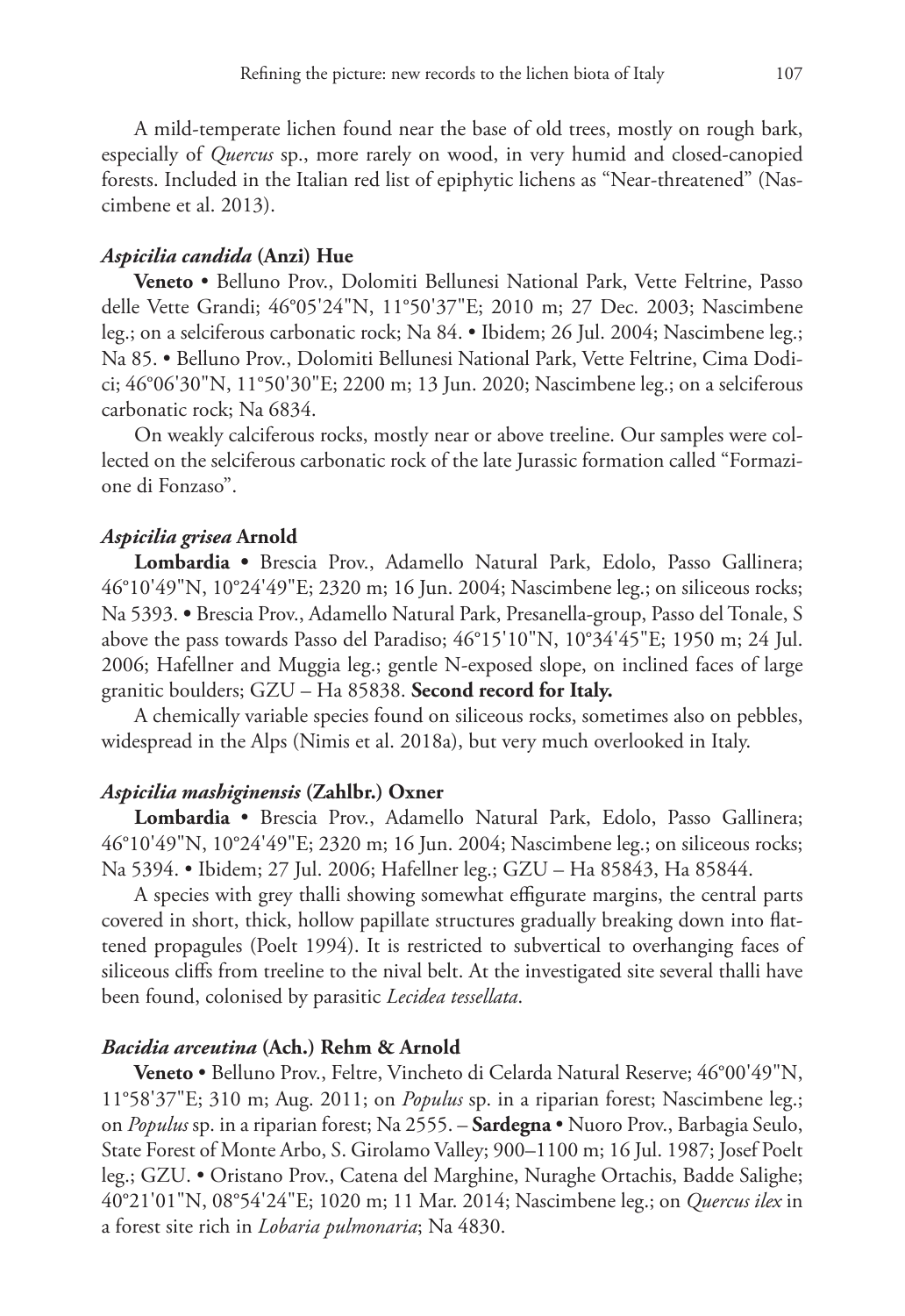A mild-temperate lichen found near the base of old trees, mostly on rough bark, especially of *Quercus* sp., more rarely on wood, in very humid and closed-canopied forests. Included in the Italian red list of epiphytic lichens as "Near-threatened" (Nascimbene et al. 2013).

# *Aspicilia candida* **(Anzi) Hue**

**Veneto** • Belluno Prov., Dolomiti Bellunesi National Park, Vette Feltrine, Passo delle Vette Grandi; 46°05'24"N, 11°50'37"E; 2010 m; 27 Dec. 2003; Nascimbene leg.; on a selciferous carbonatic rock; Na 84. • Ibidem; 26 Jul. 2004; Nascimbene leg.; Na 85. • Belluno Prov., Dolomiti Bellunesi National Park, Vette Feltrine, Cima Dodici; 46°06'30"N, 11°50'30"E; 2200 m; 13 Jun. 2020; Nascimbene leg.; on a selciferous carbonatic rock; Na 6834.

On weakly calciferous rocks, mostly near or above treeline. Our samples were collected on the selciferous carbonatic rock of the late Jurassic formation called "Formazione di Fonzaso".

# *Aspicilia grisea* **Arnold**

**Lombardia •** Brescia Prov., Adamello Natural Park, Edolo, Passo Gallinera; 46°10'49"N, 10°24'49"E; 2320 m; 16 Jun. 2004; Nascimbene leg.; on siliceous rocks; Na 5393. **•** Brescia Prov., Adamello Natural Park, Presanella-group, Passo del Tonale, S above the pass towards Passo del Paradiso; 46°15'10"N, 10°34'45"E; 1950 m; 24 Jul. 2006; Hafellner and Muggia leg.; gentle N-exposed slope, on inclined faces of large granitic boulders; GZU – Ha 85838. **Second record for Italy.**

A chemically variable species found on siliceous rocks, sometimes also on pebbles, widespread in the Alps (Nimis et al. 2018a), but very much overlooked in Italy.

## *Aspicilia mashiginensis* **(Zahlbr.) Oxner**

**Lombardia** • Brescia Prov., Adamello Natural Park, Edolo, Passo Gallinera; 46°10'49"N, 10°24'49"E; 2320 m; 16 Jun. 2004; Nascimbene leg.; on siliceous rocks; Na 5394. • Ibidem; 27 Jul. 2006; Hafellner leg.; GZU – Ha 85843, Ha 85844.

A species with grey thalli showing somewhat effigurate margins, the central parts covered in short, thick, hollow papillate structures gradually breaking down into flattened propagules (Poelt 1994). It is restricted to subvertical to overhanging faces of siliceous cliffs from treeline to the nival belt. At the investigated site several thalli have been found, colonised by parasitic *Lecidea tessellata*.

#### *Bacidia arceutina* **(Ach.) Rehm & Arnold**

**Veneto** • Belluno Prov., Feltre, Vincheto di Celarda Natural Reserve; 46°00'49"N, 11°58'37"E; 310 m; Aug. 2011; on *Populus* sp. in a riparian forest; Nascimbene leg.; on *Populus* sp. in a riparian forest; Na 2555. – **Sardegna** • Nuoro Prov., Barbagia Seulo, State Forest of Monte Arbo, S. Girolamo Valley; 900–1100 m; 16 Jul. 1987; Josef Poelt leg.; GZU. • Oristano Prov., Catena del Marghine, Nuraghe Ortachis, Badde Salighe; 40°21'01"N, 08°54'24"E; 1020 m; 11 Mar. 2014; Nascimbene leg.; on *Quercus ilex* in a forest site rich in *Lobaria pulmonaria*; Na 4830.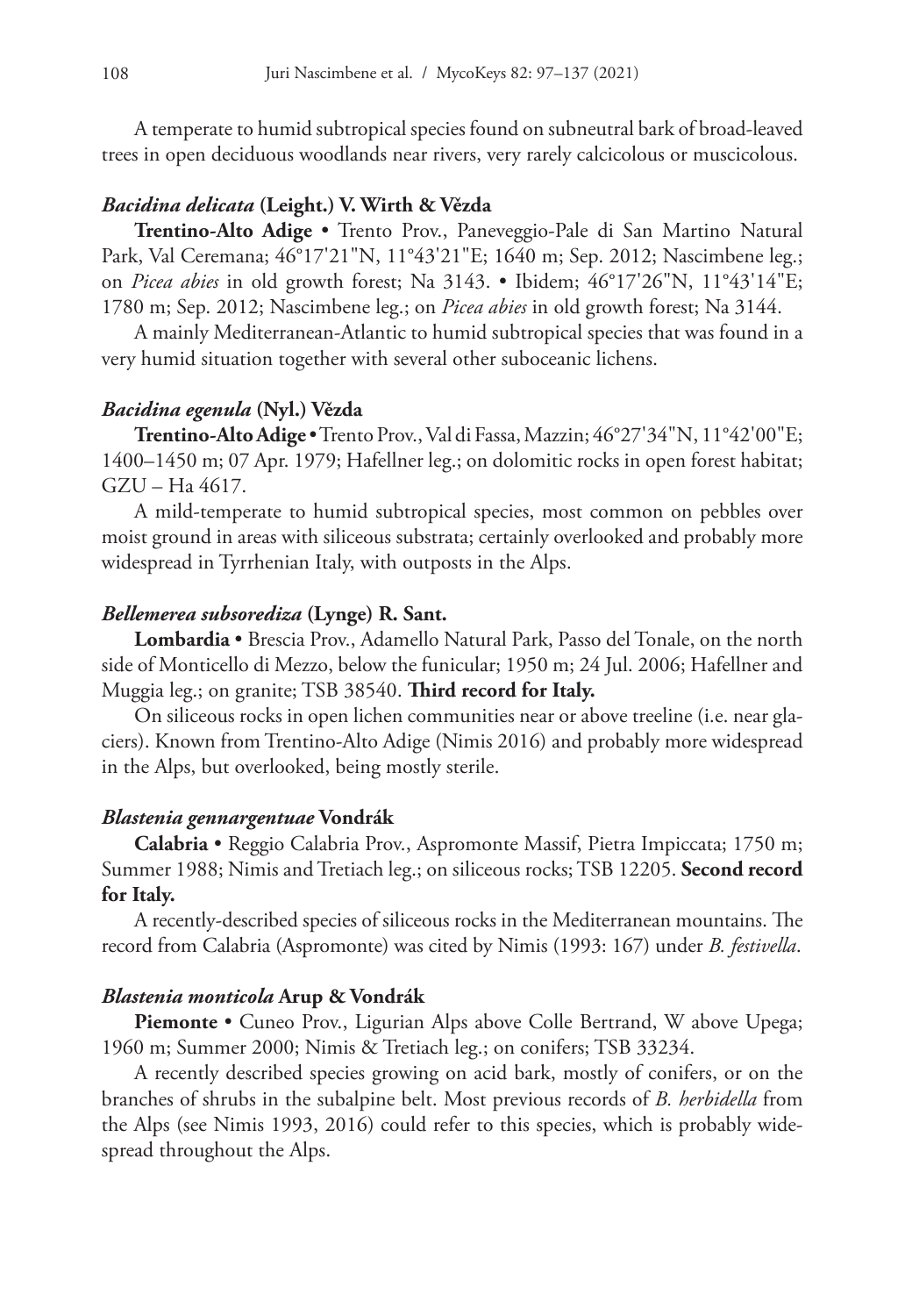A temperate to humid subtropical species found on subneutral bark of broad-leaved trees in open deciduous woodlands near rivers, very rarely calcicolous or muscicolous.

# *Bacidina delicata* **(Leight.) V. Wirth & Vězda**

**Trentino-Alto Adige** • Trento Prov., Paneveggio-Pale di San Martino Natural Park, Val Ceremana; 46°17'21"N, 11°43'21"E; 1640 m; Sep. 2012; Nascimbene leg.; on *Picea abies* in old growth forest; Na 3143. • Ibidem; 46°17'26"N, 11°43'14"E; 1780 m; Sep. 2012; Nascimbene leg.; on *Picea abies* in old growth forest; Na 3144.

A mainly Mediterranean-Atlantic to humid subtropical species that was found in a very humid situation together with several other suboceanic lichens.

# *Bacidina egenula* **(Nyl.) Vězda**

**Trentino-Alto Adige** • Trento Prov.,Val di Fassa, Mazzin; 46°27'34"N, 11°42'00"E; 1400–1450 m; 07 Apr. 1979; Hafellner leg.; on dolomitic rocks in open forest habitat; GZU – Ha 4617.

A mild-temperate to humid subtropical species, most common on pebbles over moist ground in areas with siliceous substrata; certainly overlooked and probably more widespread in Tyrrhenian Italy, with outposts in the Alps.

# *Bellemerea subsorediza* **(Lynge) R. Sant.**

**Lombardia** • Brescia Prov., Adamello Natural Park, Passo del Tonale, on the north side of Monticello di Mezzo, below the funicular; 1950 m; 24 Jul. 2006; Hafellner and Muggia leg.; on granite; TSB 38540. **Third record for Italy.**

On siliceous rocks in open lichen communities near or above treeline (i.e. near glaciers). Known from Trentino-Alto Adige (Nimis 2016) and probably more widespread in the Alps, but overlooked, being mostly sterile.

# *Blastenia gennargentuae* **Vondrák**

**Calabria** • Reggio Calabria Prov., Aspromonte Massif, Pietra Impiccata; 1750 m; Summer 1988; Nimis and Tretiach leg.; on siliceous rocks; TSB 12205. **Second record for Italy.**

A recently-described species of siliceous rocks in the Mediterranean mountains. The record from Calabria (Aspromonte) was cited by Nimis (1993: 167) under *B. festivella*.

#### *Blastenia monticola* **Arup & Vondrák**

**Piemonte •** Cuneo Prov., Ligurian Alps above Colle Bertrand, W above Upega; 1960 m; Summer 2000; Nimis & Tretiach leg.; on conifers; TSB 33234.

A recently described species growing on acid bark, mostly of conifers, or on the branches of shrubs in the subalpine belt. Most previous records of *B. herbidella* from the Alps (see Nimis 1993, 2016) could refer to this species, which is probably widespread throughout the Alps.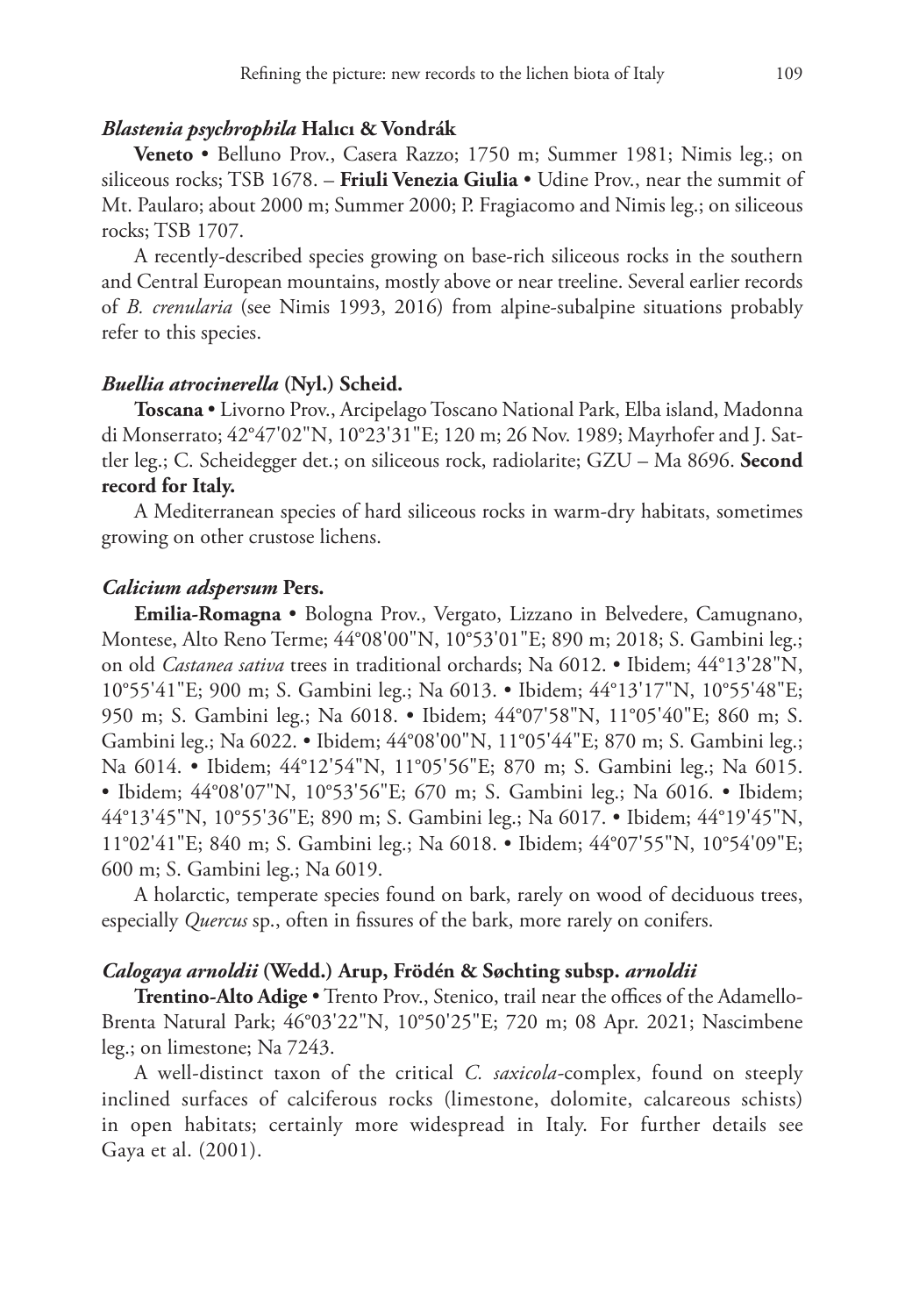#### *Blastenia psychrophila* **Halıcı & Vondrák**

**Veneto** • Belluno Prov., Casera Razzo; 1750 m; Summer 1981; Nimis leg.; on siliceous rocks; TSB 1678. – **Friuli Venezia Giulia** • Udine Prov., near the summit of Mt. Paularo; about 2000 m; Summer 2000; P. Fragiacomo and Nimis leg.; on siliceous rocks; TSB 1707.

A recently-described species growing on base-rich siliceous rocks in the southern and Central European mountains, mostly above or near treeline. Several earlier records of *B. crenularia* (see Nimis 1993, 2016) from alpine-subalpine situations probably refer to this species.

#### *Buellia atrocinerella* **(Nyl.) Scheid.**

**Toscana** • Livorno Prov., Arcipelago Toscano National Park, Elba island, Madonna di Monserrato; 42°47'02"N, 10°23'31"E; 120 m; 26 Nov. 1989; Mayrhofer and J. Sattler leg.; C. Scheidegger det.; on siliceous rock, radiolarite; GZU – Ma 8696. **Second record for Italy.**

A Mediterranean species of hard siliceous rocks in warm-dry habitats, sometimes growing on other crustose lichens.

#### *Calicium adspersum* **Pers.**

**Emilia-Romagna** • Bologna Prov., Vergato, Lizzano in Belvedere, Camugnano, Montese, Alto Reno Terme; 44°08'00"N, 10°53'01"E; 890 m; 2018; S. Gambini leg.; on old *Castanea sativa* trees in traditional orchards; Na 6012. • Ibidem; 44°13'28"N, 10°55'41"E; 900 m; S. Gambini leg.; Na 6013. • Ibidem; 44°13'17"N, 10°55'48"E; 950 m; S. Gambini leg.; Na 6018. • Ibidem; 44°07'58"N, 11°05'40"E; 860 m; S. Gambini leg.; Na 6022. • Ibidem; 44°08'00"N, 11°05'44"E; 870 m; S. Gambini leg.; Na 6014. • Ibidem; 44°12'54"N, 11°05'56"E; 870 m; S. Gambini leg.; Na 6015. • Ibidem; 44°08'07"N, 10°53'56"E; 670 m; S. Gambini leg.; Na 6016. • Ibidem; 44°13'45"N, 10°55'36"E; 890 m; S. Gambini leg.; Na 6017. • Ibidem; 44°19'45"N, 11°02'41"E; 840 m; S. Gambini leg.; Na 6018. • Ibidem; 44°07'55"N, 10°54'09"E; 600 m; S. Gambini leg.; Na 6019.

A holarctic, temperate species found on bark, rarely on wood of deciduous trees, especially *Quercus* sp., often in fissures of the bark, more rarely on conifers.

#### *Calogaya arnoldii* **(Wedd.) Arup, Frödén & Søchting subsp.** *arnoldii*

**Trentino-Alto Adige** • Trento Prov., Stenico, trail near the offices of the Adamello-Brenta Natural Park; 46°03'22"N, 10°50'25"E; 720 m; 08 Apr. 2021; Nascimbene leg.; on limestone; Na 7243.

A well-distinct taxon of the critical *C. saxicola-*complex, found on steeply inclined surfaces of calciferous rocks (limestone, dolomite, calcareous schists) in open habitats; certainly more widespread in Italy. For further details see Gaya et al. (2001).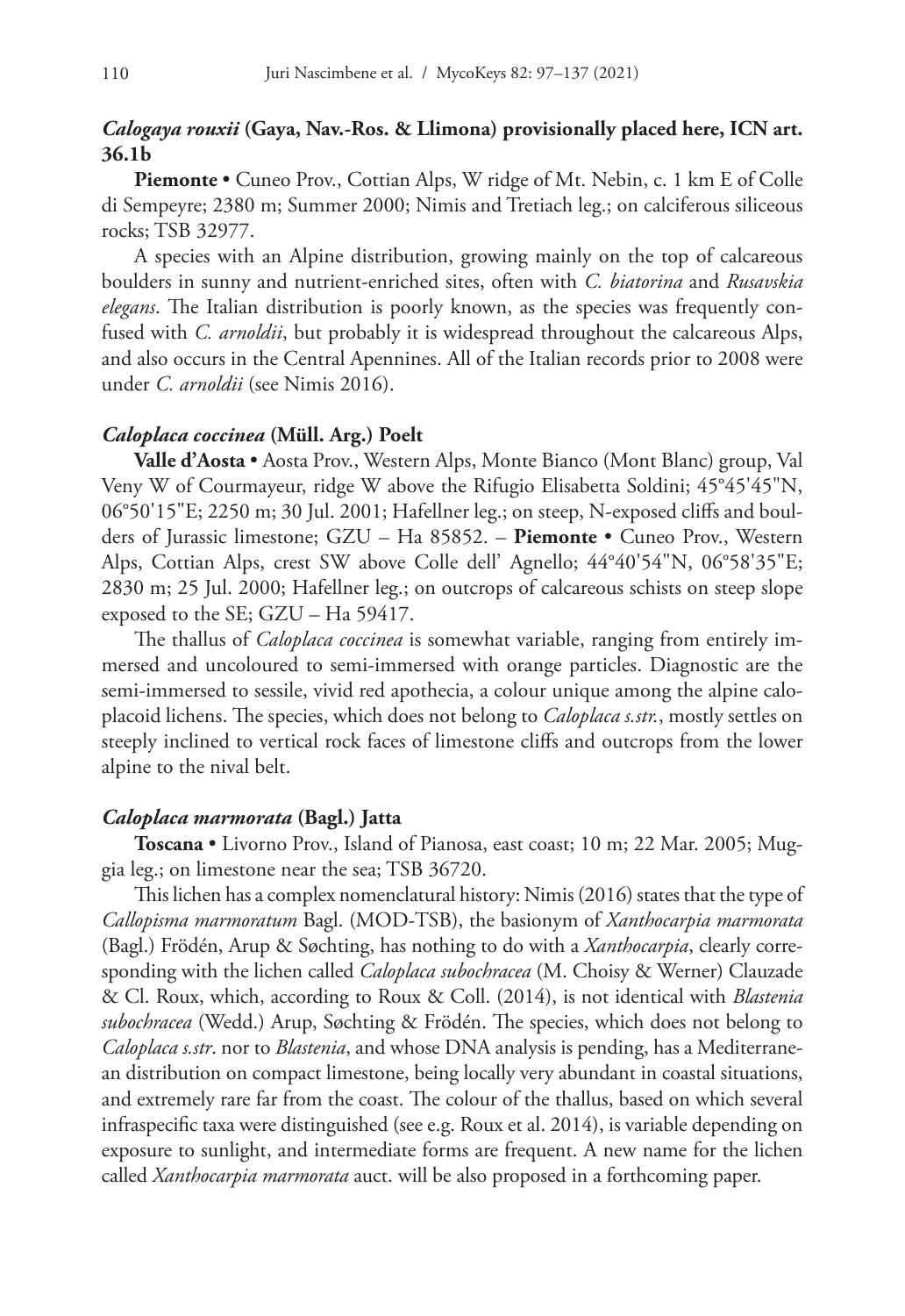# *Calogaya rouxii* **(Gaya, Nav.-Ros. & Llimona) provisionally placed here, ICN art. 36.1b**

**Piemonte** • Cuneo Prov., Cottian Alps, W ridge of Mt. Nebin, c. 1 km E of Colle di Sempeyre; 2380 m; Summer 2000; Nimis and Tretiach leg.; on calciferous siliceous rocks; TSB 32977.

A species with an Alpine distribution, growing mainly on the top of calcareous boulders in sunny and nutrient-enriched sites, often with *C. biatorina* and *Rusavskia elegans*. The Italian distribution is poorly known, as the species was frequently confused with *C. arnoldii*, but probably it is widespread throughout the calcareous Alps, and also occurs in the Central Apennines. All of the Italian records prior to 2008 were under *C. arnoldii* (see Nimis 2016).

### *Caloplaca coccinea* **(Müll. Arg.) Poelt**

**Valle d'Aosta** • Aosta Prov., Western Alps, Monte Bianco (Mont Blanc) group, Val Veny W of Courmayeur, ridge W above the Rifugio Elisabetta Soldini; 45°45'45"N, 06°50'15"E; 2250 m; 30 Jul. 2001; Hafellner leg.; on steep, N-exposed cliffs and boulders of Jurassic limestone; GZU – Ha 85852. – **Piemonte** • Cuneo Prov., Western Alps, Cottian Alps, crest SW above Colle dell' Agnello; 44°40'54"N, 06°58'35"E; 2830 m; 25 Jul. 2000; Hafellner leg.; on outcrops of calcareous schists on steep slope exposed to the SE; GZU – Ha 59417.

The thallus of *Caloplaca coccinea* is somewhat variable, ranging from entirely immersed and uncoloured to semi-immersed with orange particles. Diagnostic are the semi-immersed to sessile, vivid red apothecia, a colour unique among the alpine caloplacoid lichens. The species, which does not belong to *Caloplaca s.str.*, mostly settles on steeply inclined to vertical rock faces of limestone cliffs and outcrops from the lower alpine to the nival belt.

# *Caloplaca marmorata* **(Bagl.) Jatta**

**Toscana** • Livorno Prov., Island of Pianosa, east coast; 10 m; 22 Mar. 2005; Muggia leg.; on limestone near the sea; TSB 36720.

This lichen has a complex nomenclatural history: Nimis (2016) states that the type of *Callopisma marmoratum* Bagl. (MOD-TSB), the basionym of *Xanthocarpia marmorata*  (Bagl.) Frödén, Arup & Søchting, has nothing to do with a *Xanthocarpia*, clearly corresponding with the lichen called *Caloplaca subochracea* (M. Choisy & Werner) Clauzade & Cl. Roux, which, according to Roux & Coll. (2014), is not identical with *Blastenia subochracea* (Wedd.) Arup, Søchting & Frödén. The species, which does not belong to *Caloplaca s.str*. nor to *Blastenia*, and whose DNA analysis is pending, has a Mediterranean distribution on compact limestone, being locally very abundant in coastal situations, and extremely rare far from the coast. The colour of the thallus, based on which several infraspecific taxa were distinguished (see e.g. Roux et al. 2014), is variable depending on exposure to sunlight, and intermediate forms are frequent. A new name for the lichen called *Xanthocarpia marmorata* auct. will be also proposed in a forthcoming paper.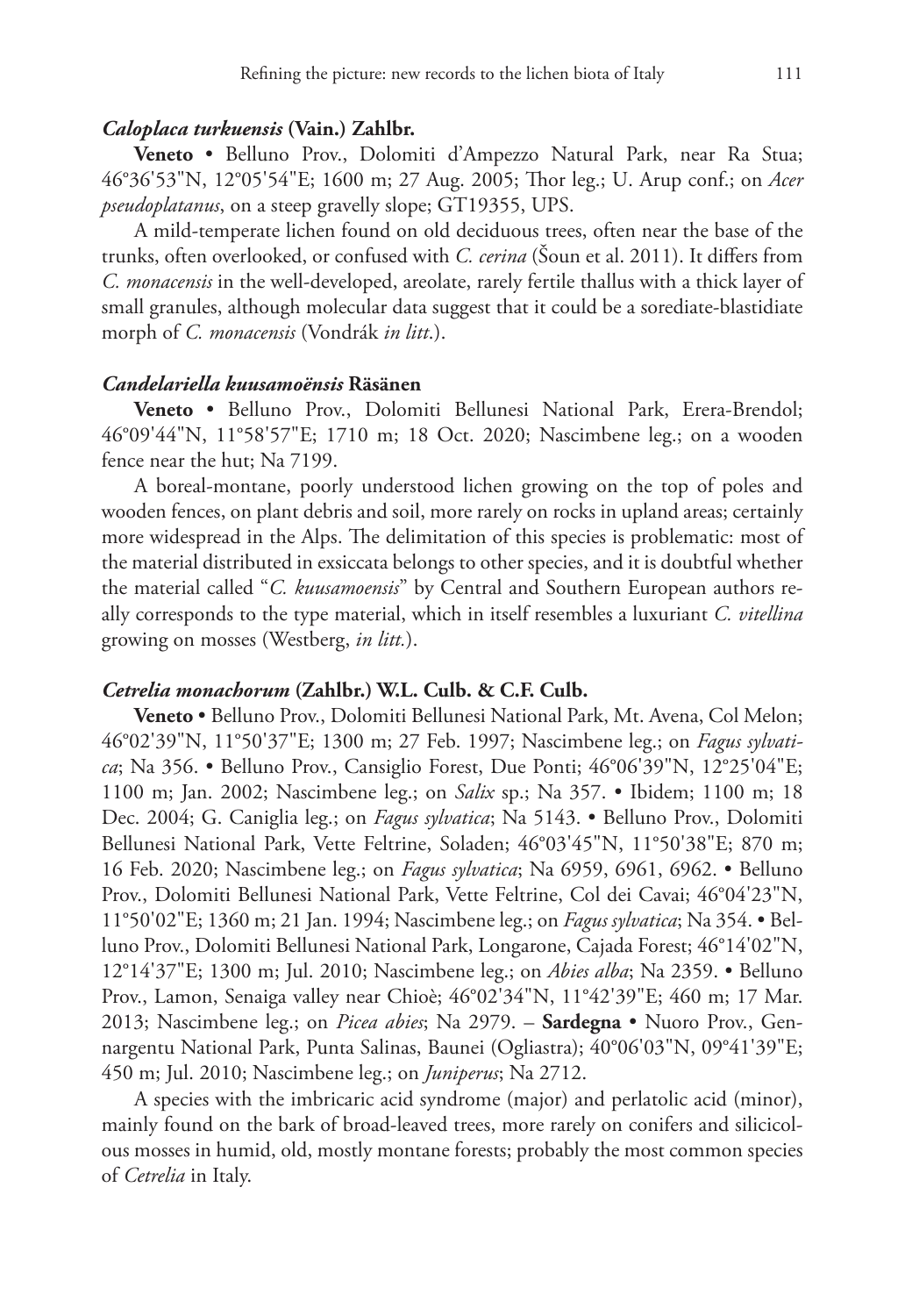#### *Caloplaca turkuensis* **(Vain.) Zahlbr.**

**Veneto** • Belluno Prov., Dolomiti d'Ampezzo Natural Park, near Ra Stua; 46°36'53"N, 12°05'54"E; 1600 m; 27 Aug. 2005; Thor leg.; U. Arup conf.; on *Acer pseudoplatanus*, on a steep gravelly slope; GT19355, UPS.

A mild-temperate lichen found on old deciduous trees, often near the base of the trunks, often overlooked, or confused with *C. cerina* (Šoun et al. 2011). It differs from *C. monacensis* in the well-developed, areolate, rarely fertile thallus with a thick layer of small granules, although molecular data suggest that it could be a sorediate-blastidiate morph of *C. monacensis* (Vondrák *in litt*.).

# *Candelariella kuusamoënsis* **Räsänen**

**Veneto** • Belluno Prov., Dolomiti Bellunesi National Park, Erera-Brendol; 46°09'44"N, 11°58'57"E; 1710 m; 18 Oct. 2020; Nascimbene leg.; on a wooden fence near the hut; Na 7199.

A boreal-montane, poorly understood lichen growing on the top of poles and wooden fences, on plant debris and soil, more rarely on rocks in upland areas; certainly more widespread in the Alps. The delimitation of this species is problematic: most of the material distributed in exsiccata belongs to other species, and it is doubtful whether the material called "*C. kuusamoensis*" by Central and Southern European authors really corresponds to the type material, which in itself resembles a luxuriant *C. vitellina* growing on mosses (Westberg, *in litt.*).

#### *Cetrelia monachorum* **(Zahlbr.) W.L. Culb. & C.F. Culb.**

**Veneto** • Belluno Prov., Dolomiti Bellunesi National Park, Mt. Avena, Col Melon; 46°02'39"N, 11°50'37"E; 1300 m; 27 Feb. 1997; Nascimbene leg.; on *Fagus sylvatica*; Na 356. • Belluno Prov., Cansiglio Forest, Due Ponti; 46°06'39"N, 12°25'04"E; 1100 m; Jan. 2002; Nascimbene leg.; on *Salix* sp.; Na 357. • Ibidem; 1100 m; 18 Dec. 2004; G. Caniglia leg.; on *Fagus sylvatica*; Na 5143. • Belluno Prov., Dolomiti Bellunesi National Park, Vette Feltrine, Soladen; 46°03'45"N, 11°50'38"E; 870 m; 16 Feb. 2020; Nascimbene leg.; on *Fagus sylvatica*; Na 6959, 6961, 6962. • Belluno Prov., Dolomiti Bellunesi National Park, Vette Feltrine, Col dei Cavai; 46°04'23"N, 11°50'02"E; 1360 m; 21 Jan. 1994; Nascimbene leg.; on *Fagus sylvatica*; Na 354. • Belluno Prov., Dolomiti Bellunesi National Park, Longarone, Cajada Forest; 46°14'02"N, 12°14'37"E; 1300 m; Jul. 2010; Nascimbene leg.; on *Abies alba*; Na 2359. • Belluno Prov., Lamon, Senaiga valley near Chioè; 46°02'34"N, 11°42'39"E; 460 m; 17 Mar. 2013; Nascimbene leg.; on *Picea abies*; Na 2979. – **Sardegna** • Nuoro Prov., Gennargentu National Park, Punta Salinas, Baunei (Ogliastra); 40°06'03"N, 09°41'39"E; 450 m; Jul. 2010; Nascimbene leg.; on *Juniperus*; Na 2712.

A species with the imbricaric acid syndrome (major) and perlatolic acid (minor), mainly found on the bark of broad-leaved trees, more rarely on conifers and silicicolous mosses in humid, old, mostly montane forests; probably the most common species of *Cetrelia* in Italy.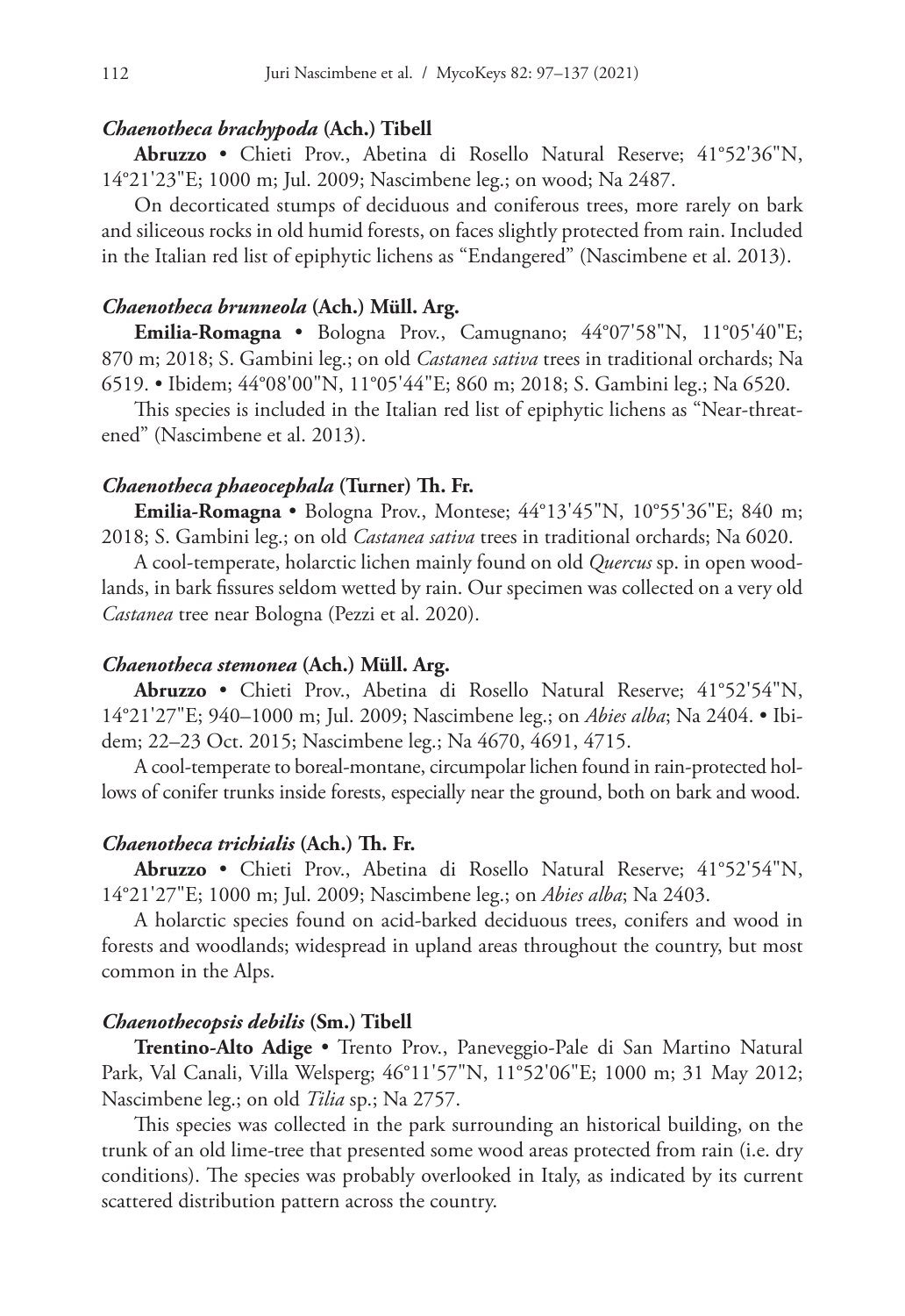#### *Chaenotheca brachypoda* **(Ach.) Tibell**

**Abruzzo** • Chieti Prov., Abetina di Rosello Natural Reserve; 41°52'36"N, 14°21'23"E; 1000 m; Jul. 2009; Nascimbene leg.; on wood; Na 2487.

On decorticated stumps of deciduous and coniferous trees, more rarely on bark and siliceous rocks in old humid forests, on faces slightly protected from rain. Included in the Italian red list of epiphytic lichens as "Endangered" (Nascimbene et al. 2013).

# *Chaenotheca brunneola* **(Ach.) Müll. Arg.**

**Emilia-Romagna** • Bologna Prov., Camugnano; 44°07'58"N, 11°05'40"E; 870 m; 2018; S. Gambini leg.; on old *Castanea sativa* trees in traditional orchards; Na 6519. • Ibidem; 44°08'00"N, 11°05'44"E; 860 m; 2018; S. Gambini leg.; Na 6520.

This species is included in the Italian red list of epiphytic lichens as "Near-threatened" (Nascimbene et al. 2013).

# *Chaenotheca phaeocephala* **(Turner) Th. Fr.**

**Emilia-Romagna** • Bologna Prov., Montese; 44°13'45"N, 10°55'36"E; 840 m; 2018; S. Gambini leg.; on old *Castanea sativa* trees in traditional orchards; Na 6020.

A cool-temperate, holarctic lichen mainly found on old *Quercus* sp. in open woodlands, in bark fissures seldom wetted by rain. Our specimen was collected on a very old *Castanea* tree near Bologna (Pezzi et al. 2020).

#### *Chaenotheca stemonea* **(Ach.) Müll. Arg.**

**Abruzzo** • Chieti Prov., Abetina di Rosello Natural Reserve; 41°52'54"N, 14°21'27"E; 940–1000 m; Jul. 2009; Nascimbene leg.; on *Abies alba*; Na 2404. • Ibidem; 22–23 Oct. 2015; Nascimbene leg.; Na 4670, 4691, 4715.

A cool-temperate to boreal-montane, circumpolar lichen found in rain-protected hollows of conifer trunks inside forests, especially near the ground, both on bark and wood.

#### *Chaenotheca trichialis* **(Ach.) Th. Fr.**

**Abruzzo** • Chieti Prov., Abetina di Rosello Natural Reserve; 41°52'54"N, 14°21'27"E; 1000 m; Jul. 2009; Nascimbene leg.; on *Abies alba*; Na 2403.

A holarctic species found on acid-barked deciduous trees, conifers and wood in forests and woodlands; widespread in upland areas throughout the country, but most common in the Alps.

#### *Chaenothecopsis debilis* **(Sm.) Tibell**

**Trentino-Alto Adige** • Trento Prov., Paneveggio-Pale di San Martino Natural Park, Val Canali, Villa Welsperg; 46°11'57"N, 11°52'06"E; 1000 m; 31 May 2012; Nascimbene leg.; on old *Tilia* sp.; Na 2757.

This species was collected in the park surrounding an historical building, on the trunk of an old lime*-*tree that presented some wood areas protected from rain (i.e. dry conditions). The species was probably overlooked in Italy, as indicated by its current scattered distribution pattern across the country.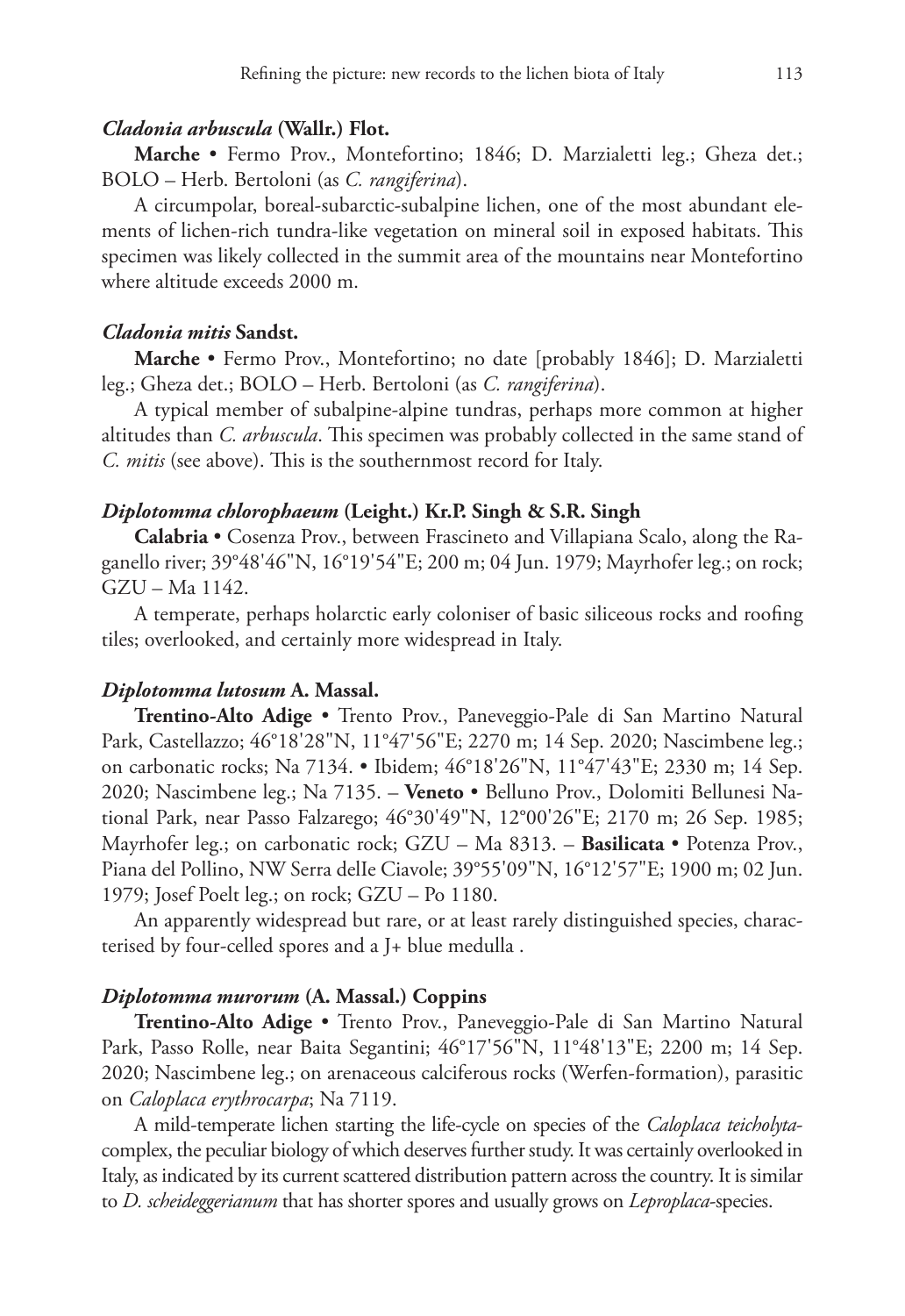#### *Cladonia arbuscula* **(Wallr.) Flot.**

**Marche** • Fermo Prov., Montefortino; 1846; D. Marzialetti leg.; Gheza det.; BOLO – Herb. Bertoloni (as *C. rangiferina*).

A circumpolar, boreal-subarctic-subalpine lichen, one of the most abundant elements of lichen-rich tundra-like vegetation on mineral soil in exposed habitats. This specimen was likely collected in the summit area of the mountains near Montefortino where altitude exceeds 2000 m.

# *Cladonia mitis* **Sandst.**

**Marche** • Fermo Prov., Montefortino; no date [probably 1846]; D. Marzialetti leg.; Gheza det.; BOLO – Herb. Bertoloni (as *C. rangiferina*).

A typical member of subalpine-alpine tundras, perhaps more common at higher altitudes than *C. arbuscula*. This specimen was probably collected in the same stand of *C. mitis* (see above). This is the southernmost record for Italy.

# *Diplotomma chlorophaeum* **(Leight.) Kr.P. Singh & S.R. Singh**

**Calabria** • Cosenza Prov., between Frascineto and Villapiana Scalo, along the Raganello river; 39°48'46"N, 16°19'54"E; 200 m; 04 Jun. 1979; Mayrhofer leg.; on rock; GZU – Ma 1142.

A temperate, perhaps holarctic early coloniser of basic siliceous rocks and roofing tiles; overlooked, and certainly more widespread in Italy.

# *Diplotomma lutosum* **A. Massal.**

**Trentino-Alto Adige** • Trento Prov., Paneveggio-Pale di San Martino Natural Park, Castellazzo; 46°18'28"N, 11°47'56"E; 2270 m; 14 Sep. 2020; Nascimbene leg.; on carbonatic rocks; Na 7134. • Ibidem; 46°18'26"N, 11°47'43"E; 2330 m; 14 Sep. 2020; Nascimbene leg.; Na 7135. – **Veneto** • Belluno Prov., Dolomiti Bellunesi National Park, near Passo Falzarego; 46°30'49"N, 12°00'26"E; 2170 m; 26 Sep. 1985; Mayrhofer leg.; on carbonatic rock; GZU – Ma 8313. – **Basilicata** • Potenza Prov., Piana del Pollino, NW Serra delIe Ciavole; 39°55'09"N, 16°12'57"E; 1900 m; 02 Jun. 1979; Josef Poelt leg.; on rock; GZU – Po 1180.

An apparently widespread but rare, or at least rarely distinguished species, characterised by four-celled spores and a J+ blue medulla .

## *Diplotomma murorum* **(A. Massal.) Coppins**

**Trentino-Alto Adige** • Trento Prov., Paneveggio-Pale di San Martino Natural Park, Passo Rolle, near Baita Segantini; 46°17'56"N, 11°48'13"E; 2200 m; 14 Sep. 2020; Nascimbene leg.; on arenaceous calciferous rocks (Werfen-formation), parasitic on *Caloplaca erythrocarpa*; Na 7119.

A mild-temperate lichen starting the life-cycle on species of the *Caloplaca teicholyta*complex, the peculiar biology of which deserves further study. It was certainly overlooked in Italy, as indicated by its current scattered distribution pattern across the country. It is similar to *D. scheideggerianum* that has shorter spores and usually grows on *Leproplaca*-species.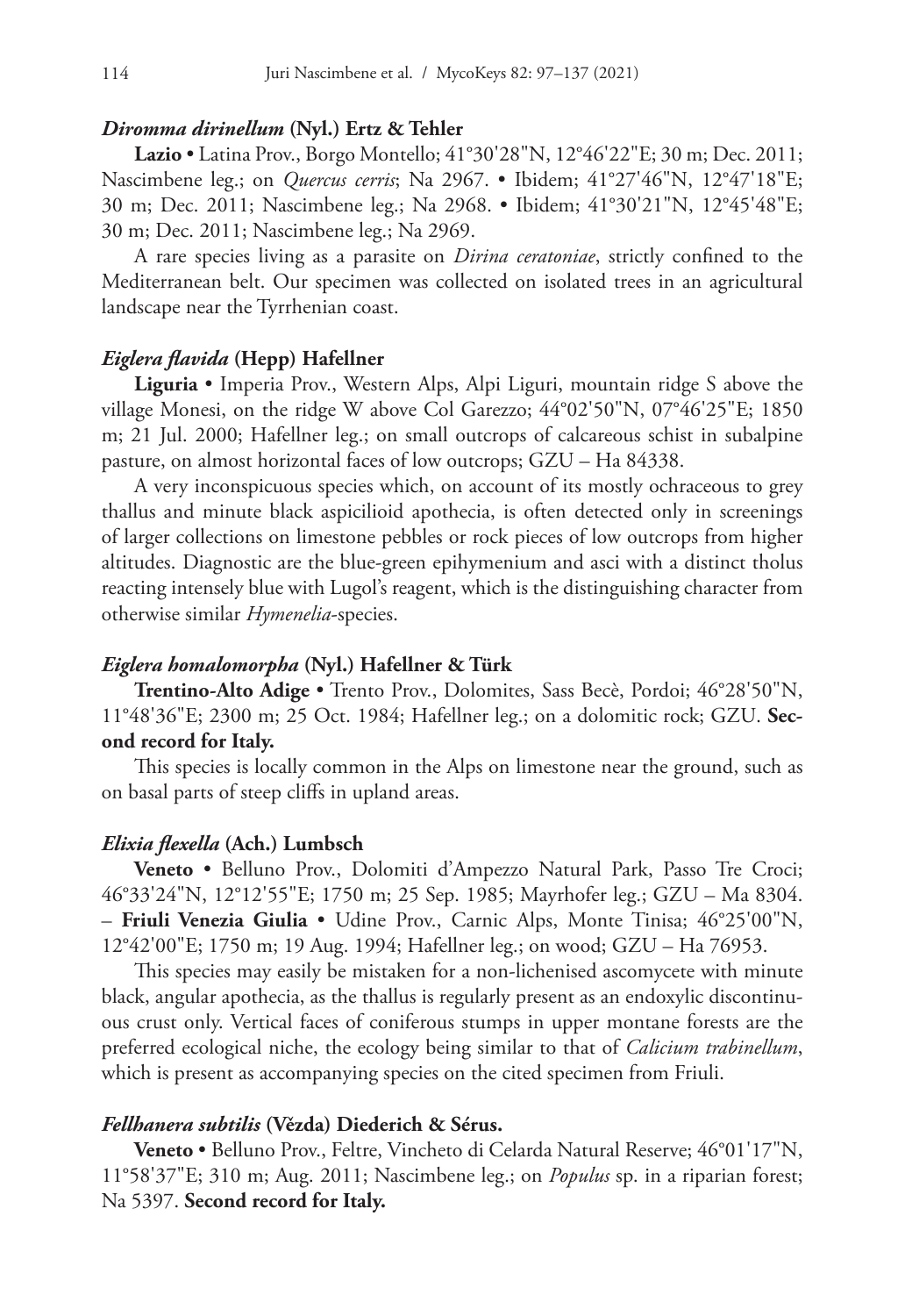# *Diromma dirinellum* **(Nyl.) Ertz & Tehler**

**Lazio** • Latina Prov., Borgo Montello; 41°30'28"N, 12°46'22"E; 30 m; Dec. 2011; Nascimbene leg.; on *Quercus cerris*; Na 2967. • Ibidem; 41°27'46"N, 12°47'18"E; 30 m; Dec. 2011; Nascimbene leg.; Na 2968. • Ibidem; 41°30'21"N, 12°45'48"E; 30 m; Dec. 2011; Nascimbene leg.; Na 2969.

A rare species living as a parasite on *Dirina ceratoniae*, strictly confined to the Mediterranean belt. Our specimen was collected on isolated trees in an agricultural landscape near the Tyrrhenian coast.

#### *Eiglera flavida* **(Hepp) Hafellner**

**Liguria** • Imperia Prov., Western Alps, Alpi Liguri, mountain ridge S above the village Monesi, on the ridge W above Col Garezzo; 44°02'50"N, 07°46'25"E; 1850 m; 21 Jul. 2000; Hafellner leg.; on small outcrops of calcareous schist in subalpine pasture, on almost horizontal faces of low outcrops; GZU – Ha 84338.

A very inconspicuous species which, on account of its mostly ochraceous to grey thallus and minute black aspicilioid apothecia, is often detected only in screenings of larger collections on limestone pebbles or rock pieces of low outcrops from higher altitudes. Diagnostic are the blue-green epihymenium and asci with a distinct tholus reacting intensely blue with Lugol's reagent, which is the distinguishing character from otherwise similar *Hymenelia*-species.

#### *Eiglera homalomorpha* **(Nyl.) Hafellner & Türk**

**Trentino-Alto Adige** • Trento Prov., Dolomites, Sass Becè, Pordoi; 46°28'50"N, 11°48'36"E; 2300 m; 25 Oct. 1984; Hafellner leg.; on a dolomitic rock; GZU. **Second record for Italy.**

This species is locally common in the Alps on limestone near the ground, such as on basal parts of steep cliffs in upland areas.

#### *Elixia flexella* **(Ach.) Lumbsch**

**Veneto** • Belluno Prov., Dolomiti d'Ampezzo Natural Park, Passo Tre Croci; 46°33'24"N, 12°12'55"E; 1750 m; 25 Sep. 1985; Mayrhofer leg.; GZU – Ma 8304. – **Friuli Venezia Giulia** • Udine Prov., Carnic Alps, Monte Tinisa; 46°25'00"N, 12°42'00"E; 1750 m; 19 Aug. 1994; Hafellner leg.; on wood; GZU – Ha 76953.

This species may easily be mistaken for a non-lichenised ascomycete with minute black, angular apothecia, as the thallus is regularly present as an endoxylic discontinuous crust only. Vertical faces of coniferous stumps in upper montane forests are the preferred ecological niche, the ecology being similar to that of *Calicium trabinellum*, which is present as accompanying species on the cited specimen from Friuli.

# *Fellhanera subtilis* **(Vězda) Diederich & Sérus.**

**Veneto** • Belluno Prov., Feltre, Vincheto di Celarda Natural Reserve; 46°01'17"N, 11°58'37"E; 310 m; Aug. 2011; Nascimbene leg.; on *Populus* sp. in a riparian forest; Na 5397. **Second record for Italy.**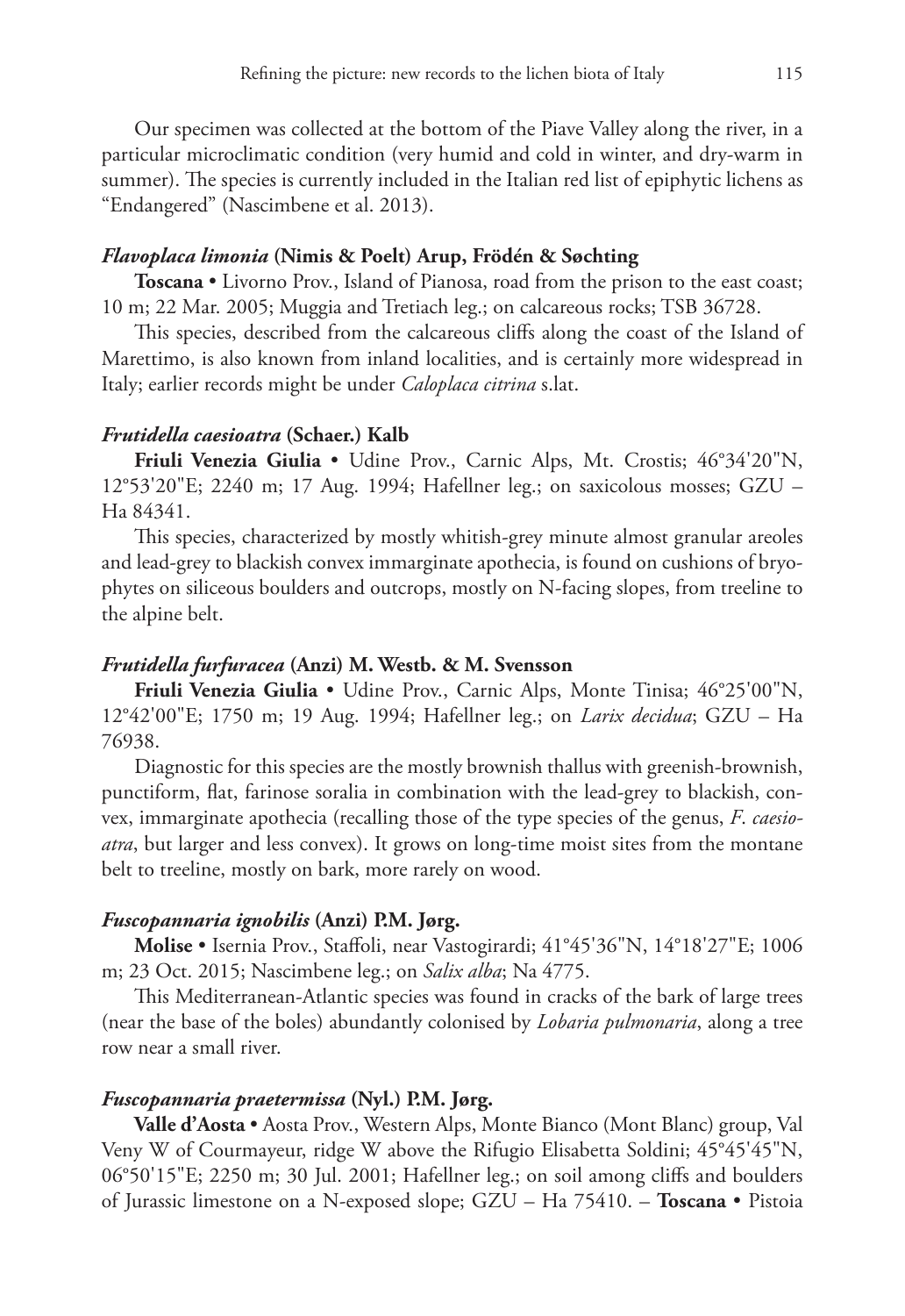Our specimen was collected at the bottom of the Piave Valley along the river, in a particular microclimatic condition (very humid and cold in winter, and dry-warm in summer). The species is currently included in the Italian red list of epiphytic lichens as "Endangered" (Nascimbene et al. 2013).

# *Flavoplaca limonia* **(Nimis & Poelt) Arup, Frödén & Søchting**

**Toscana** • Livorno Prov., Island of Pianosa, road from the prison to the east coast; 10 m; 22 Mar. 2005; Muggia and Tretiach leg.; on calcareous rocks; TSB 36728.

This species, described from the calcareous cliffs along the coast of the Island of Marettimo, is also known from inland localities, and is certainly more widespread in Italy; earlier records might be under *Caloplaca citrina* s.lat.

#### *Frutidella caesioatra* **(Schaer.) Kalb**

**Friuli Venezia Giulia** • Udine Prov., Carnic Alps, Mt. Crostis; 46°34'20"N, 12°53'20"E; 2240 m; 17 Aug. 1994; Hafellner leg.; on saxicolous mosses; GZU – Ha 84341.

This species, characterized by mostly whitish-grey minute almost granular areoles and lead-grey to blackish convex immarginate apothecia, is found on cushions of bryophytes on siliceous boulders and outcrops, mostly on N-facing slopes, from treeline to the alpine belt.

#### *Frutidella furfuracea* **(Anzi) M. Westb. & M. Svensson**

**Friuli Venezia Giulia** • Udine Prov., Carnic Alps, Monte Tinisa; 46°25'00"N, 12°42'00"E; 1750 m; 19 Aug. 1994; Hafellner leg.; on *Larix decidua*; GZU – Ha 76938.

Diagnostic for this species are the mostly brownish thallus with greenish-brownish, punctiform, flat, farinose soralia in combination with the lead-grey to blackish, convex, immarginate apothecia (recalling those of the type species of the genus, *F*. *caesioatra*, but larger and less convex). It grows on long-time moist sites from the montane belt to treeline, mostly on bark, more rarely on wood.

#### *Fuscopannaria ignobilis* **(Anzi) P.M. Jørg.**

**Molise** • Isernia Prov., Staffoli, near Vastogirardi; 41°45'36"N, 14°18'27"E; 1006 m; 23 Oct. 2015; Nascimbene leg.; on *Salix alba*; Na 4775.

This Mediterranean-Atlantic species was found in cracks of the bark of large trees (near the base of the boles) abundantly colonised by *Lobaria pulmonaria*, along a tree row near a small river.

# *Fuscopannaria praetermissa* **(Nyl.) P.M. Jørg.**

**Valle d'Aosta** • Aosta Prov., Western Alps, Monte Bianco (Mont Blanc) group, Val Veny W of Courmayeur, ridge W above the Rifugio Elisabetta Soldini; 45°45'45"N, 06°50'15"E; 2250 m; 30 Jul. 2001; Hafellner leg.; on soil among cliffs and boulders of Jurassic limestone on a N-exposed slope; GZU – Ha 75410. – **Toscana** • Pistoia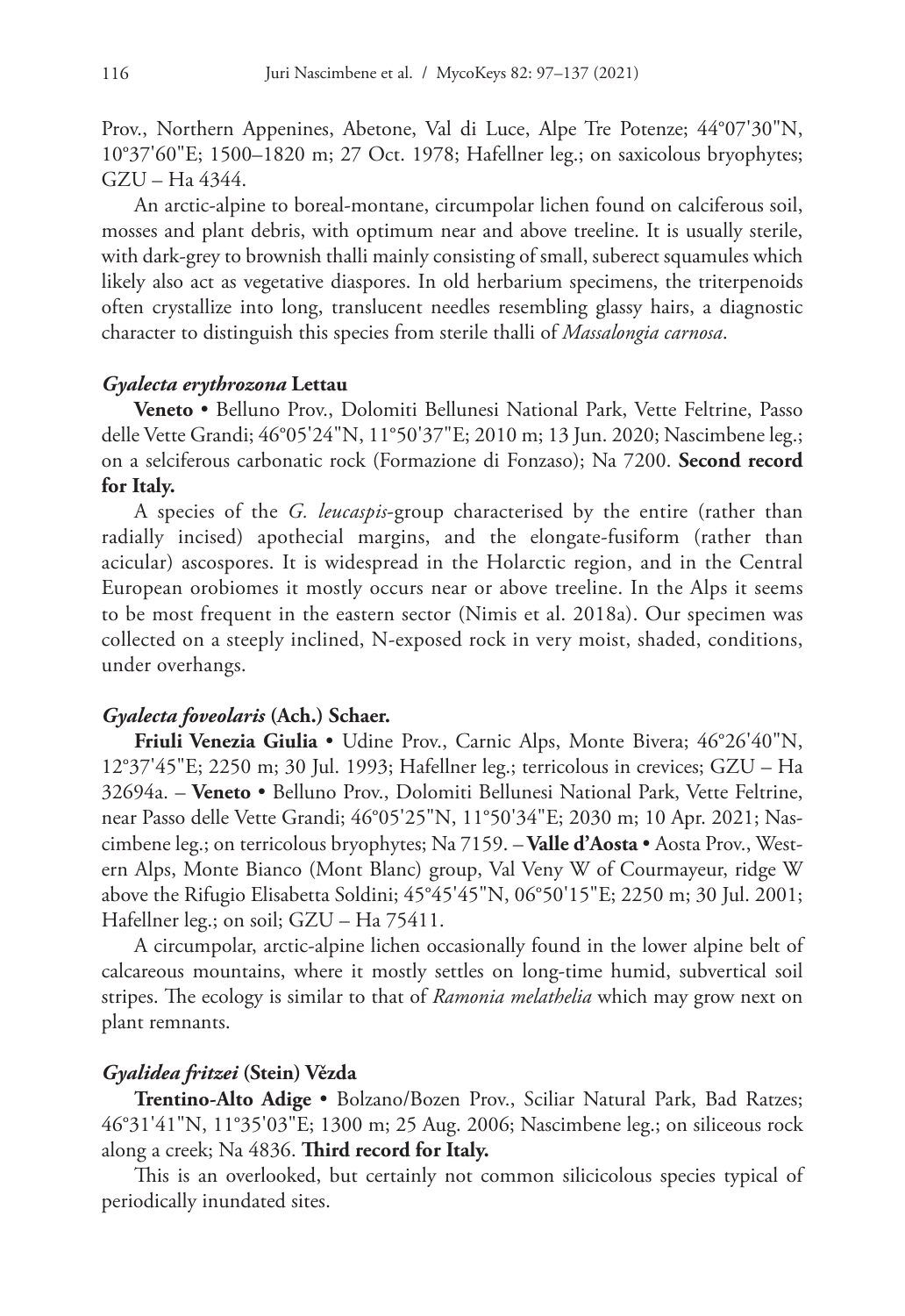Prov., Northern Appenines, Abetone, Val di Luce, Alpe Tre Potenze; 44°07'30"N, 10°37'60"E; 1500–1820 m; 27 Oct. 1978; Hafellner leg.; on saxicolous bryophytes; GZU – Ha 4344.

An arctic-alpine to boreal-montane, circumpolar lichen found on calciferous soil, mosses and plant debris, with optimum near and above treeline. It is usually sterile, with dark-grey to brownish thalli mainly consisting of small, suberect squamules which likely also act as vegetative diaspores. In old herbarium specimens, the triterpenoids often crystallize into long, translucent needles resembling glassy hairs, a diagnostic character to distinguish this species from sterile thalli of *Massalongia carnosa*.

#### *Gyalecta erythrozona* **Lettau**

**Veneto** • Belluno Prov., Dolomiti Bellunesi National Park, Vette Feltrine, Passo delle Vette Grandi; 46°05'24"N, 11°50'37"E; 2010 m; 13 Jun. 2020; Nascimbene leg.; on a selciferous carbonatic rock (Formazione di Fonzaso); Na 7200. **Second record for Italy.**

A species of the *G. leucaspis*-group characterised by the entire (rather than radially incised) apothecial margins, and the elongate-fusiform (rather than acicular) ascospores. It is widespread in the Holarctic region, and in the Central European orobiomes it mostly occurs near or above treeline. In the Alps it seems to be most frequent in the eastern sector (Nimis et al. 2018a). Our specimen was collected on a steeply inclined, N-exposed rock in very moist, shaded, conditions, under overhangs.

# *Gyalecta foveolaris* **(Ach.) Schaer.**

**Friuli Venezia Giulia** • Udine Prov., Carnic Alps, Monte Bivera; 46°26'40"N, 12°37'45"E; 2250 m; 30 Jul. 1993; Hafellner leg.; terricolous in crevices; GZU – Ha 32694a. – **Veneto** • Belluno Prov., Dolomiti Bellunesi National Park, Vette Feltrine, near Passo delle Vette Grandi; 46°05'25"N, 11°50'34"E; 2030 m; 10 Apr. 2021; Nascimbene leg.; on terricolous bryophytes; Na 7159. – **Valle d'Aosta** • Aosta Prov., Western Alps, Monte Bianco (Mont Blanc) group, Val Veny W of Courmayeur, ridge W above the Rifugio Elisabetta Soldini; 45°45'45"N, 06°50'15"E; 2250 m; 30 Jul. 2001; Hafellner leg.; on soil; GZU – Ha 75411.

A circumpolar, arctic-alpine lichen occasionally found in the lower alpine belt of calcareous mountains, where it mostly settles on long-time humid, subvertical soil stripes. The ecology is similar to that of *Ramonia melathelia* which may grow next on plant remnants.

# *Gyalidea fritzei* **(Stein) Vězda**

**Trentino-Alto Adige** • Bolzano/Bozen Prov., Sciliar Natural Park, Bad Ratzes; 46°31'41"N, 11°35'03"E; 1300 m; 25 Aug. 2006; Nascimbene leg.; on siliceous rock along a creek; Na 4836. **Third record for Italy.**

This is an overlooked, but certainly not common silicicolous species typical of periodically inundated sites.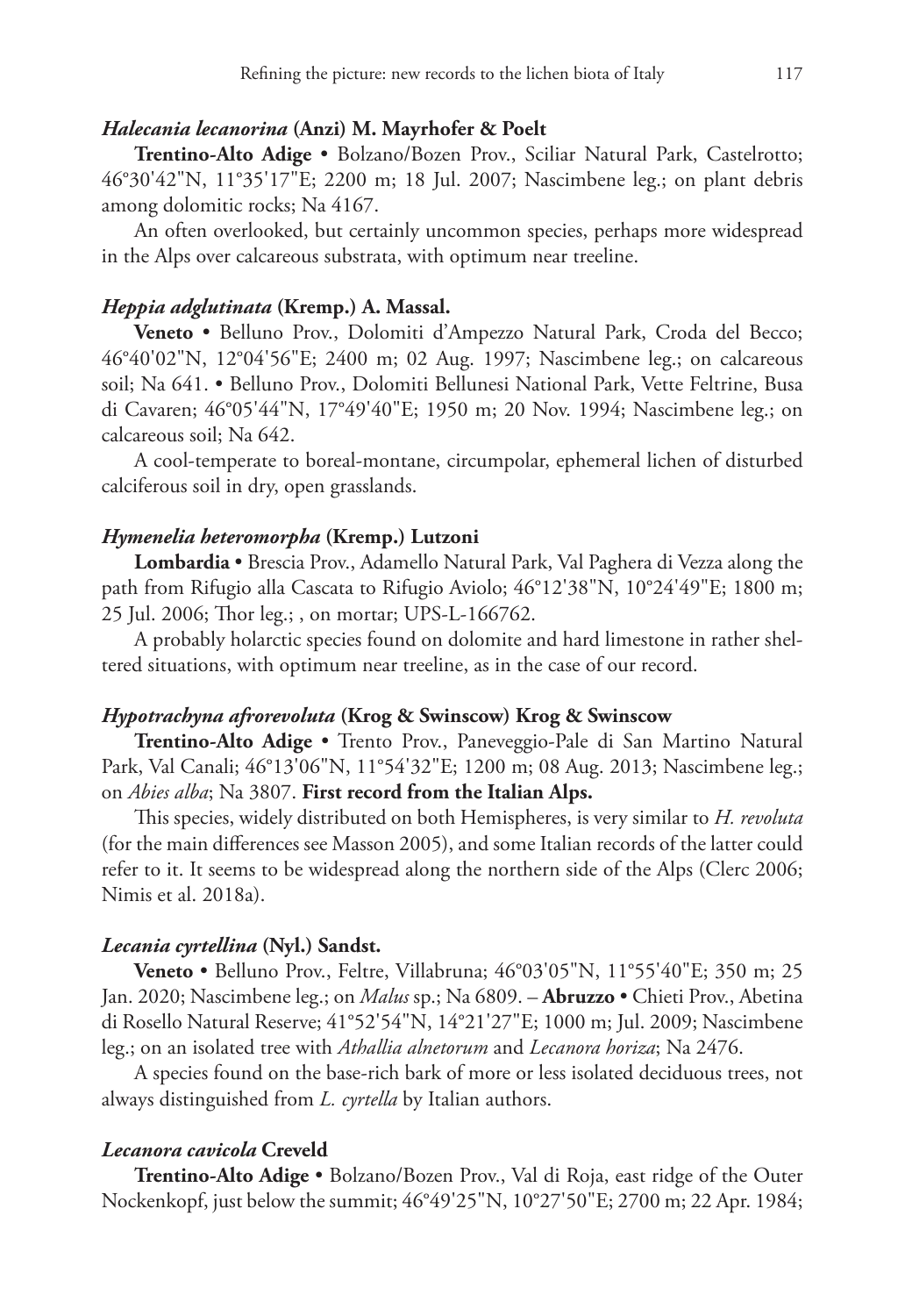# *Halecania lecanorina* **(Anzi) M. Mayrhofer & Poelt**

**Trentino-Alto Adige** • Bolzano/Bozen Prov., Sciliar Natural Park, Castelrotto; 46°30'42"N, 11°35'17"E; 2200 m; 18 Jul. 2007; Nascimbene leg.; on plant debris among dolomitic rocks; Na 4167.

An often overlooked, but certainly uncommon species, perhaps more widespread in the Alps over calcareous substrata, with optimum near treeline.

# *Heppia adglutinata* **(Kremp.) A. Massal.**

**Veneto** • Belluno Prov., Dolomiti d'Ampezzo Natural Park, Croda del Becco; 46°40'02"N, 12°04'56"E; 2400 m; 02 Aug. 1997; Nascimbene leg.; on calcareous soil; Na 641. • Belluno Prov., Dolomiti Bellunesi National Park, Vette Feltrine, Busa di Cavaren; 46°05'44"N, 17°49'40"E; 1950 m; 20 Nov. 1994; Nascimbene leg.; on calcareous soil; Na 642.

A cool-temperate to boreal-montane, circumpolar, ephemeral lichen of disturbed calciferous soil in dry, open grasslands.

# *Hymenelia heteromorpha* **(Kremp.) Lutzoni**

**Lombardia** • Brescia Prov., Adamello Natural Park, Val Paghera di Vezza along the path from Rifugio alla Cascata to Rifugio Aviolo; 46°12'38"N, 10°24'49"E; 1800 m; 25 Jul. 2006; Thor leg.; , on mortar; UPS-L-166762.

A probably holarctic species found on dolomite and hard limestone in rather sheltered situations, with optimum near treeline, as in the case of our record.

# *Hypotrachyna afrorevoluta* **(Krog & Swinscow) Krog & Swinscow**

**Trentino-Alto Adige** • Trento Prov., Paneveggio-Pale di San Martino Natural Park, Val Canali; 46°13'06"N, 11°54'32"E; 1200 m; 08 Aug. 2013; Nascimbene leg.; on *Abies alba*; Na 3807. **First record from the Italian Alps.**

This species, widely distributed on both Hemispheres, is very similar to *H. revoluta*  (for the main differences see Masson 2005), and some Italian records of the latter could refer to it. It seems to be widespread along the northern side of the Alps (Clerc 2006; Nimis et al. 2018a).

### *Lecania cyrtellina* **(Nyl.) Sandst.**

**Veneto** • Belluno Prov., Feltre, Villabruna; 46°03'05"N, 11°55'40"E; 350 m; 25 Jan. 2020; Nascimbene leg.; on *Malus* sp.; Na 6809. – **Abruzzo** • Chieti Prov., Abetina di Rosello Natural Reserve; 41°52'54"N, 14°21'27"E; 1000 m; Jul. 2009; Nascimbene leg.; on an isolated tree with *Athallia alnetorum* and *Lecanora horiza*; Na 2476.

A species found on the base-rich bark of more or less isolated deciduous trees, not always distinguished from *L. cyrtella* by Italian authors.

#### *Lecanora cavicola* **Creveld**

**Trentino-Alto Adige** • Bolzano/Bozen Prov., Val di Roja, east ridge of the Outer Nockenkopf, just below the summit; 46°49'25"N, 10°27'50"E; 2700 m; 22 Apr. 1984;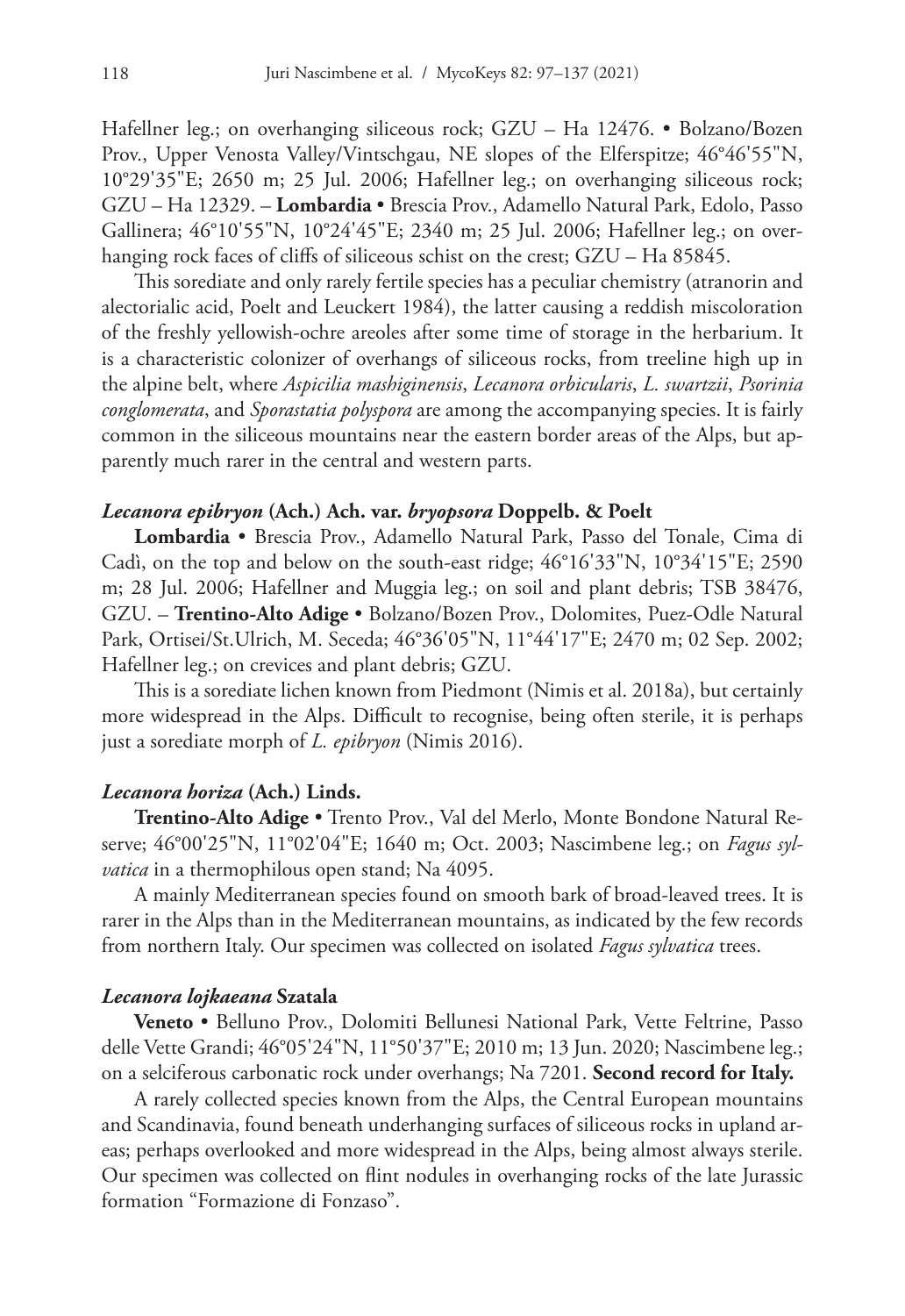Hafellner leg.; on overhanging siliceous rock; GZU – Ha 12476. • Bolzano/Bozen Prov., Upper Venosta Valley/Vintschgau, NE slopes of the Elferspitze; 46°46'55"N, 10°29'35"E; 2650 m; 25 Jul. 2006; Hafellner leg.; on overhanging siliceous rock; GZU – Ha 12329. – **Lombardia** • Brescia Prov., Adamello Natural Park, Edolo, Passo Gallinera; 46°10'55"N, 10°24'45"E; 2340 m; 25 Jul. 2006; Hafellner leg.; on overhanging rock faces of cliffs of siliceous schist on the crest; GZU – Ha 85845.

This sorediate and only rarely fertile species has a peculiar chemistry (atranorin and alectorialic acid, Poelt and Leuckert 1984), the latter causing a reddish miscoloration of the freshly yellowish-ochre areoles after some time of storage in the herbarium. It is a characteristic colonizer of overhangs of siliceous rocks, from treeline high up in the alpine belt, where *Aspicilia mashiginensis*, *Lecanora orbicularis*, *L. swartzii*, *Psorinia conglomerata*, and *Sporastatia polyspora* are among the accompanying species. It is fairly common in the siliceous mountains near the eastern border areas of the Alps, but apparently much rarer in the central and western parts.

# *Lecanora epibryon* **(Ach.) Ach. var.** *bryopsora* **Doppelb. & Poelt**

**Lombardia** • Brescia Prov., Adamello Natural Park, Passo del Tonale, Cima di Cadì, on the top and below on the south-east ridge; 46°16'33"N, 10°34'15"E; 2590 m; 28 Jul. 2006; Hafellner and Muggia leg.; on soil and plant debris; TSB 38476, GZU. – **Trentino-Alto Adige** • Bolzano/Bozen Prov., Dolomites, Puez-Odle Natural Park, Ortisei/St.Ulrich, M. Seceda; 46°36'05"N, 11°44'17"E; 2470 m; 02 Sep. 2002; Hafellner leg.; on crevices and plant debris; GZU.

This is a sorediate lichen known from Piedmont (Nimis et al. 2018a), but certainly more widespread in the Alps. Difficult to recognise, being often sterile, it is perhaps just a sorediate morph of *L. epibryon* (Nimis 2016).

## *Lecanora horiza* **(Ach.) Linds.**

**Trentino-Alto Adige** • Trento Prov., Val del Merlo, Monte Bondone Natural Reserve; 46°00'25"N, 11°02'04"E; 1640 m; Oct. 2003; Nascimbene leg.; on *Fagus sylvatica* in a thermophilous open stand; Na 4095.

A mainly Mediterranean species found on smooth bark of broad-leaved trees. It is rarer in the Alps than in the Mediterranean mountains, as indicated by the few records from northern Italy. Our specimen was collected on isolated *Fagus sylvatica* trees.

## *Lecanora lojkaeana* **Szatala**

**Veneto** • Belluno Prov., Dolomiti Bellunesi National Park, Vette Feltrine, Passo delle Vette Grandi; 46°05'24"N, 11°50'37"E; 2010 m; 13 Jun. 2020; Nascimbene leg.; on a selciferous carbonatic rock under overhangs; Na 7201. **Second record for Italy.**

A rarely collected species known from the Alps, the Central European mountains and Scandinavia, found beneath underhanging surfaces of siliceous rocks in upland areas; perhaps overlooked and more widespread in the Alps, being almost always sterile. Our specimen was collected on flint nodules in overhanging rocks of the late Jurassic formation "Formazione di Fonzaso".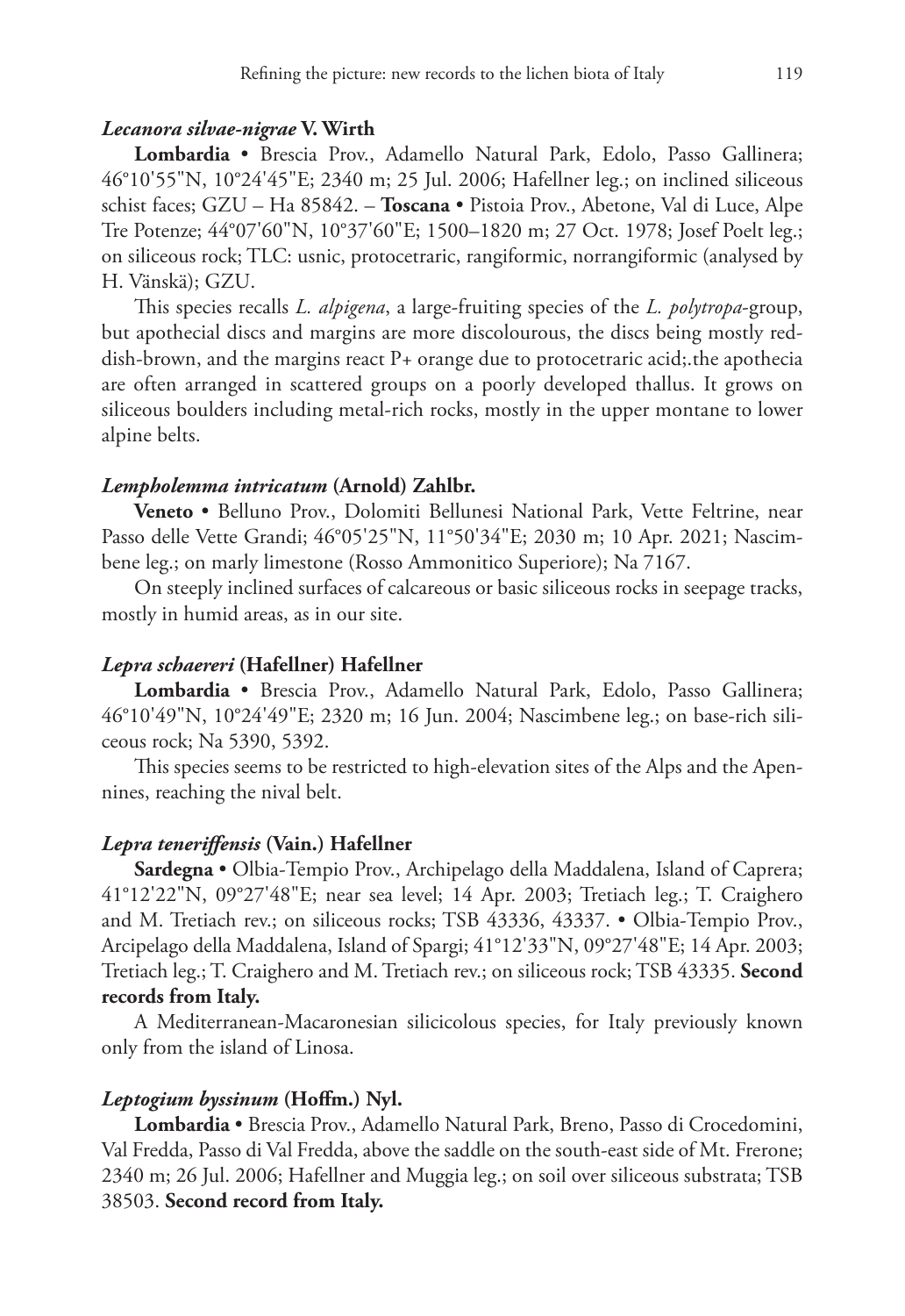## *Lecanora silvae-nigrae* **V. Wirth**

**Lombardia** • Brescia Prov., Adamello Natural Park, Edolo, Passo Gallinera; 46°10'55"N, 10°24'45"E; 2340 m; 25 Jul. 2006; Hafellner leg.; on inclined siliceous schist faces; GZU – Ha 85842. – **Toscana** • Pistoia Prov., Abetone, Val di Luce, Alpe Tre Potenze; 44°07'60"N, 10°37'60"E; 1500–1820 m; 27 Oct. 1978; Josef Poelt leg.; on siliceous rock; TLC: usnic, protocetraric, rangiformic, norrangiformic (analysed by H. Vänskä); GZU.

This species recalls *L. alpigena*, a large-fruiting species of the *L. polytropa*-group, but apothecial discs and margins are more discolourous, the discs being mostly reddish-brown, and the margins react P+ orange due to protocetraric acid;.the apothecia are often arranged in scattered groups on a poorly developed thallus. It grows on siliceous boulders including metal-rich rocks, mostly in the upper montane to lower alpine belts.

#### *Lempholemma intricatum* **(Arnold) Zahlbr.**

**Veneto** • Belluno Prov., Dolomiti Bellunesi National Park, Vette Feltrine, near Passo delle Vette Grandi; 46°05'25"N, 11°50'34"E; 2030 m; 10 Apr. 2021; Nascimbene leg.; on marly limestone (Rosso Ammonitico Superiore); Na 7167.

On steeply inclined surfaces of calcareous or basic siliceous rocks in seepage tracks, mostly in humid areas, as in our site.

#### *Lepra schaereri* **(Hafellner) Hafellner**

**Lombardia** • Brescia Prov., Adamello Natural Park, Edolo, Passo Gallinera; 46°10'49"N, 10°24'49"E; 2320 m; 16 Jun. 2004; Nascimbene leg.; on base-rich siliceous rock; Na 5390, 5392.

This species seems to be restricted to high-elevation sites of the Alps and the Apennines, reaching the nival belt.

#### *Lepra teneriffensis* **(Vain.) Hafellner**

**Sardegna** • Olbia-Tempio Prov., Archipelago della Maddalena, Island of Caprera; 41°12'22"N, 09°27'48"E; near sea level; 14 Apr. 2003; Tretiach leg.; T. Craighero and M. Tretiach rev.; on siliceous rocks; TSB 43336, 43337. • Olbia-Tempio Prov., Arcipelago della Maddalena, Island of Spargi; 41°12'33"N, 09°27'48"E; 14 Apr. 2003; Tretiach leg.; T. Craighero and M. Tretiach rev.; on siliceous rock; TSB 43335. **Second records from Italy.**

A Mediterranean-Macaronesian silicicolous species, for Italy previously known only from the island of Linosa.

#### *Leptogium byssinum* **(Hoffm.) Nyl.**

**Lombardia** • Brescia Prov., Adamello Natural Park, Breno, Passo di Crocedomini, Val Fredda, Passo di Val Fredda, above the saddle on the south-east side of Mt. Frerone; 2340 m; 26 Jul. 2006; Hafellner and Muggia leg.; on soil over siliceous substrata; TSB 38503. **Second record from Italy.**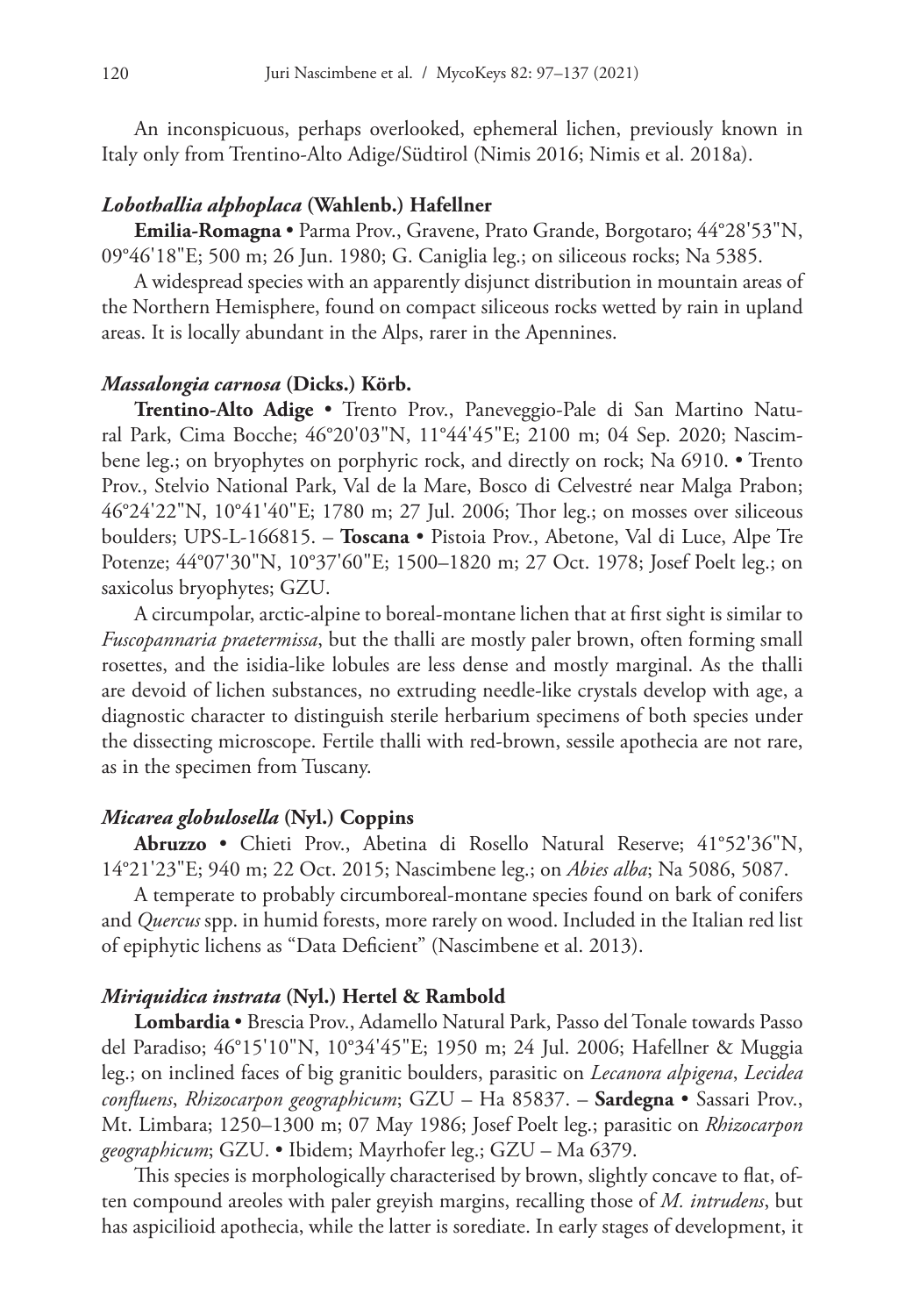An inconspicuous, perhaps overlooked, ephemeral lichen, previously known in Italy only from Trentino-Alto Adige/Südtirol (Nimis 2016; Nimis et al. 2018a).

#### *Lobothallia alphoplaca* **(Wahlenb.) Hafellner**

**Emilia-Romagna** • Parma Prov., Gravene, Prato Grande, Borgotaro; 44°28'53"N, 09°46'18"E; 500 m; 26 Jun. 1980; G. Caniglia leg.; on siliceous rocks; Na 5385.

A widespread species with an apparently disjunct distribution in mountain areas of the Northern Hemisphere, found on compact siliceous rocks wetted by rain in upland areas. It is locally abundant in the Alps, rarer in the Apennines.

## *Massalongia carnosa* **(Dicks.) Körb.**

**Trentino-Alto Adige** • Trento Prov., Paneveggio-Pale di San Martino Natural Park, Cima Bocche; 46°20'03"N, 11°44'45"E; 2100 m; 04 Sep. 2020; Nascimbene leg.; on bryophytes on porphyric rock, and directly on rock; Na 6910. • Trento Prov., Stelvio National Park, Val de la Mare, Bosco di Celvestré near Malga Prabon; 46°24'22"N, 10°41'40"E; 1780 m; 27 Jul. 2006; Thor leg.; on mosses over siliceous boulders; UPS-L-166815. – **Toscana** • Pistoia Prov., Abetone, Val di Luce, Alpe Tre Potenze; 44°07'30"N, 10°37'60"E; 1500–1820 m; 27 Oct. 1978; Josef Poelt leg.; on saxicolus bryophytes; GZU.

A circumpolar, arctic-alpine to boreal-montane lichen that at first sight is similar to *Fuscopannaria praetermissa*, but the thalli are mostly paler brown, often forming small rosettes, and the isidia-like lobules are less dense and mostly marginal. As the thalli are devoid of lichen substances, no extruding needle-like crystals develop with age, a diagnostic character to distinguish sterile herbarium specimens of both species under the dissecting microscope. Fertile thalli with red-brown, sessile apothecia are not rare, as in the specimen from Tuscany.

# *Micarea globulosella* **(Nyl.) Coppins**

**Abruzzo** • Chieti Prov., Abetina di Rosello Natural Reserve; 41°52'36"N, 14°21'23"E; 940 m; 22 Oct. 2015; Nascimbene leg.; on *Abies alba*; Na 5086, 5087.

A temperate to probably circumboreal-montane species found on bark of conifers and *Quercus* spp. in humid forests, more rarely on wood. Included in the Italian red list of epiphytic lichens as "Data Deficient" (Nascimbene et al. 2013).

#### *Miriquidica instrata* **(Nyl.) Hertel & Rambold**

**Lombardia** • Brescia Prov., Adamello Natural Park, Passo del Tonale towards Passo del Paradiso; 46°15'10"N, 10°34'45"E; 1950 m; 24 Jul. 2006; Hafellner & Muggia leg.; on inclined faces of big granitic boulders, parasitic on *Lecanora alpigena*, *Lecidea confluens*, *Rhizocarpon geographicum*; GZU – Ha 85837. – **Sardegna** • Sassari Prov., Mt. Limbara; 1250–1300 m; 07 May 1986; Josef Poelt leg.; parasitic on *Rhizocarpon geographicum*; GZU. • Ibidem; Mayrhofer leg.; GZU – Ma 6379.

This species is morphologically characterised by brown, slightly concave to flat, often compound areoles with paler greyish margins, recalling those of *M. intrudens*, but has aspicilioid apothecia, while the latter is sorediate. In early stages of development, it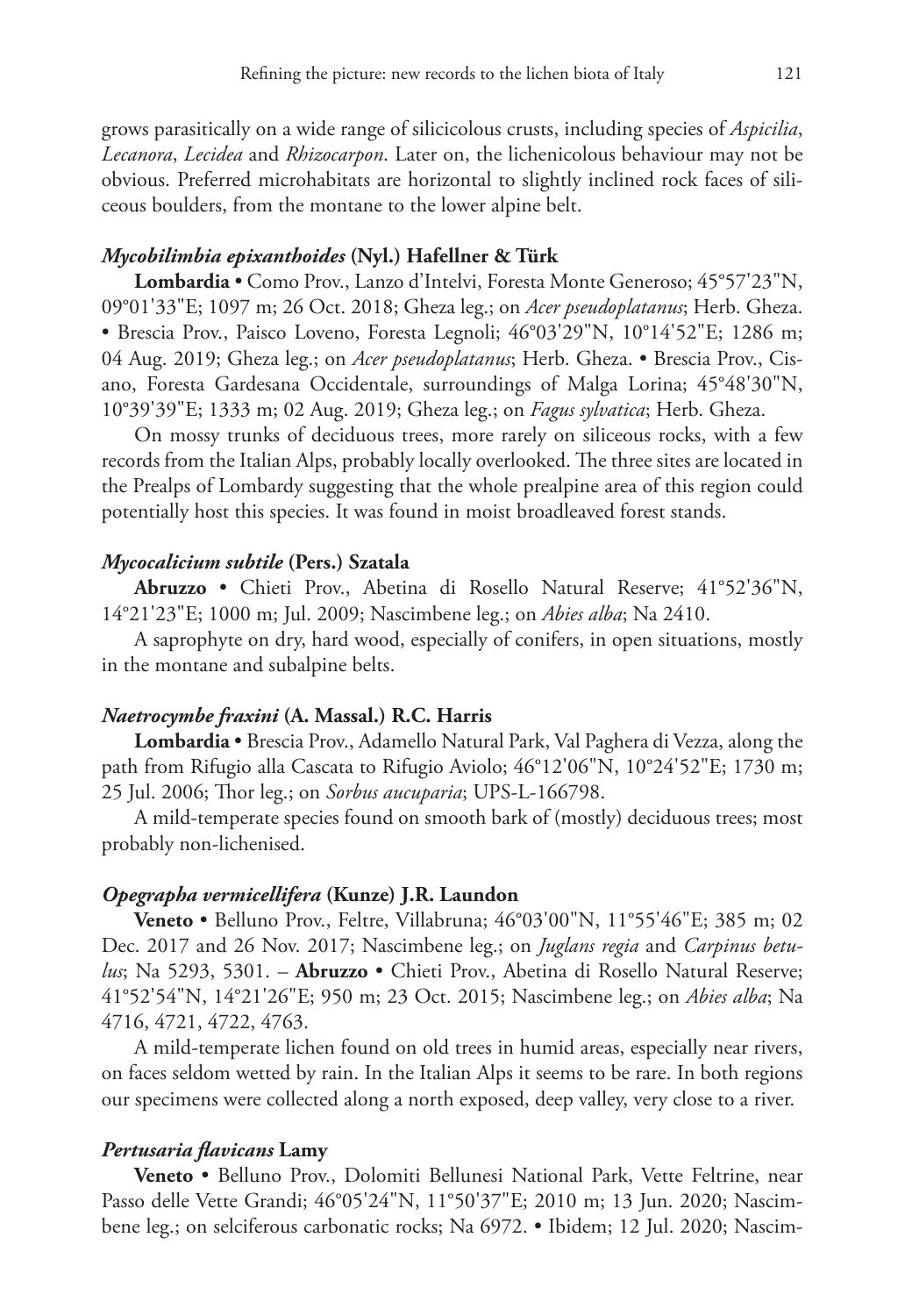grows parasitically on a wide range of silicicolous crusts, including species of *Aspicilia*, *Lecanora*, *Lecidea* and *Rhizocarpon*. Later on, the lichenicolous behaviour may not be obvious. Preferred microhabitats are horizontal to slightly inclined rock faces of siliceous boulders, from the montane to the lower alpine belt.

# *Mycobilimbia epixanthoides* **(Nyl.) Hafellner & Türk**

**Lombardia** • Como Prov., Lanzo d'Intelvi, Foresta Monte Generoso; 45°57'23"N, 09°01'33"E; 1097 m; 26 Oct. 2018; Gheza leg.; on *Acer pseudoplatanus*; Herb. Gheza. • Brescia Prov., Paisco Loveno, Foresta Legnoli; 46°03'29"N, 10°14'52"E; 1286 m; 04 Aug. 2019; Gheza leg.; on *Acer pseudoplatanus*; Herb. Gheza. • Brescia Prov., Cisano, Foresta Gardesana Occidentale, surroundings of Malga Lorina; 45°48'30"N, 10°39'39"E; 1333 m; 02 Aug. 2019; Gheza leg.; on *Fagus sylvatica*; Herb. Gheza.

On mossy trunks of deciduous trees, more rarely on siliceous rocks, with a few records from the Italian Alps, probably locally overlooked. The three sites are located in the Prealps of Lombardy suggesting that the whole prealpine area of this region could potentially host this species. It was found in moist broadleaved forest stands.

#### *Mycocalicium subtile* **(Pers.) Szatala**

**Abruzzo** • Chieti Prov., Abetina di Rosello Natural Reserve; 41°52'36"N, 14°21'23"E; 1000 m; Jul. 2009; Nascimbene leg.; on *Abies alba*; Na 2410.

A saprophyte on dry, hard wood, especially of conifers, in open situations, mostly in the montane and subalpine belts.

#### *Naetrocymbe fraxini* **(A. Massal.) R.C. Harris**

**Lombardia** • Brescia Prov., Adamello Natural Park, Val Paghera di Vezza, along the path from Rifugio alla Cascata to Rifugio Aviolo; 46°12'06"N, 10°24'52"E; 1730 m; 25 Jul. 2006; Thor leg.; on *Sorbus aucuparia*; UPS-L-166798.

A mild-temperate species found on smooth bark of (mostly) deciduous trees; most probably non-lichenised.

### *Opegrapha vermicellifera* **(Kunze) J.R. Laundon**

**Veneto** • Belluno Prov., Feltre, Villabruna; 46°03'00"N, 11°55'46"E; 385 m; 02 Dec. 2017 and 26 Nov. 2017; Nascimbene leg.; on *Juglans regia* and *Carpinus betulus*; Na 5293, 5301. – **Abruzzo** • Chieti Prov., Abetina di Rosello Natural Reserve; 41°52'54"N, 14°21'26"E; 950 m; 23 Oct. 2015; Nascimbene leg.; on *Abies alba*; Na 4716, 4721, 4722, 4763.

A mild-temperate lichen found on old trees in humid areas, especially near rivers, on faces seldom wetted by rain. In the Italian Alps it seems to be rare. In both regions our specimens were collected along a north exposed, deep valley, very close to a river.

#### *Pertusaria flavicans* **Lamy**

**Veneto** • Belluno Prov., Dolomiti Bellunesi National Park, Vette Feltrine, near Passo delle Vette Grandi; 46°05'24"N, 11°50'37"E; 2010 m; 13 Jun. 2020; Nascimbene leg.; on selciferous carbonatic rocks; Na 6972. • Ibidem; 12 Jul. 2020; Nascim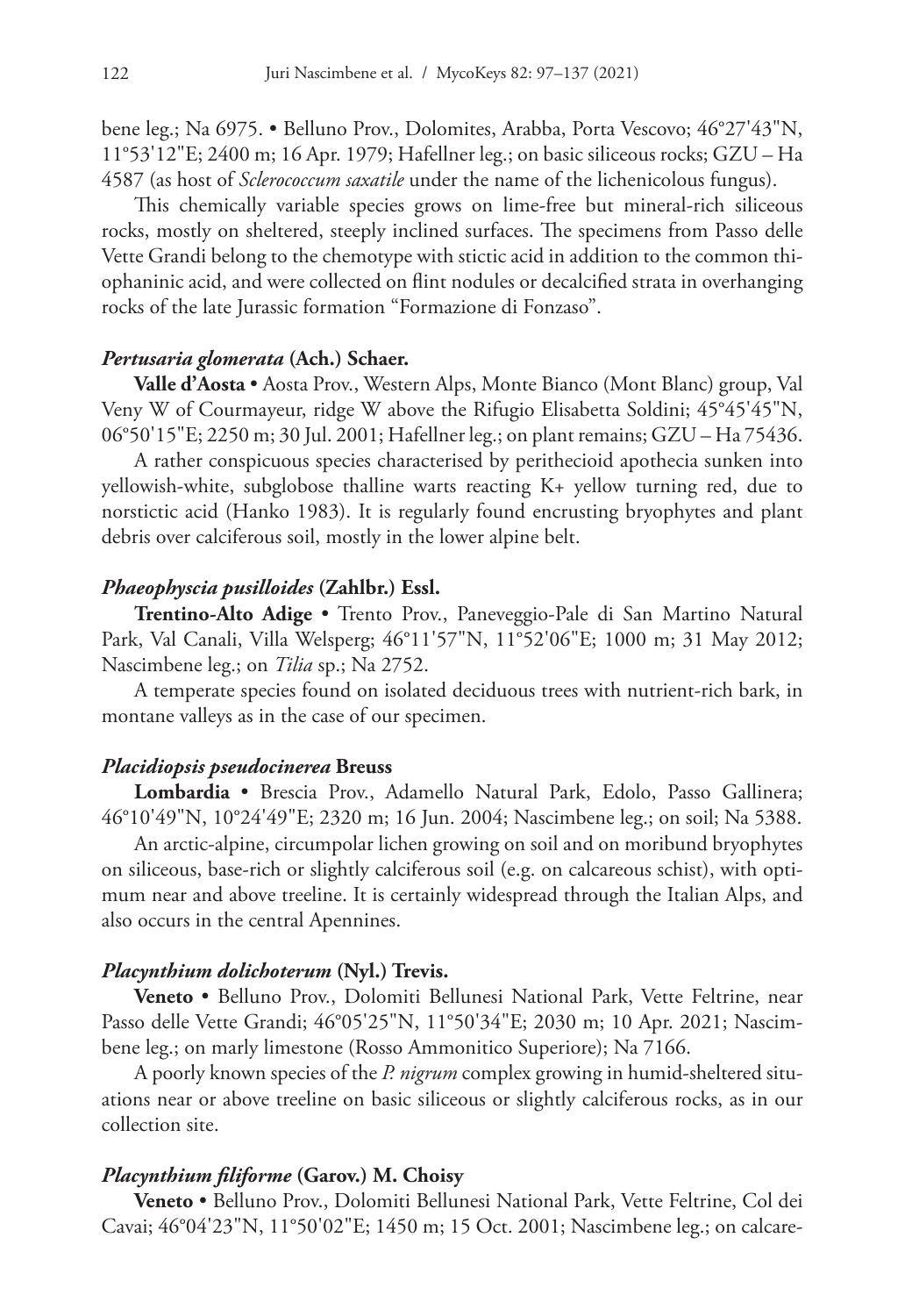bene leg.; Na 6975. • Belluno Prov., Dolomites, Arabba, Porta Vescovo; 46°27'43"N, 11°53'12"E; 2400 m; 16 Apr. 1979; Hafellner leg.; on basic siliceous rocks; GZU – Ha 4587 (as host of *Sclerococcum saxatile* under the name of the lichenicolous fungus).

This chemically variable species grows on lime-free but mineral-rich siliceous rocks, mostly on sheltered, steeply inclined surfaces. The specimens from Passo delle Vette Grandi belong to the chemotype with stictic acid in addition to the common thiophaninic acid, and were collected on flint nodules or decalcified strata in overhanging rocks of the late Jurassic formation "Formazione di Fonzaso".

### *Pertusaria glomerata* **(Ach.) Schaer.**

**Valle d'Aosta** • Aosta Prov., Western Alps, Monte Bianco (Mont Blanc) group, Val Veny W of Courmayeur, ridge W above the Rifugio Elisabetta Soldini; 45°45'45"N, 06°50'15"E; 2250 m; 30 Jul. 2001; Hafellner leg.; on plant remains; GZU – Ha 75436.

A rather conspicuous species characterised by perithecioid apothecia sunken into yellowish-white, subglobose thalline warts reacting K+ yellow turning red, due to norstictic acid (Hanko 1983). It is regularly found encrusting bryophytes and plant debris over calciferous soil, mostly in the lower alpine belt.

#### *Phaeophyscia pusilloides* **(Zahlbr.) Essl.**

**Trentino-Alto Adige** • Trento Prov., Paneveggio-Pale di San Martino Natural Park, Val Canali, Villa Welsperg; 46°11'57"N, 11°52'06"E; 1000 m; 31 May 2012; Nascimbene leg.; on *Tilia* sp.; Na 2752.

A temperate species found on isolated deciduous trees with nutrient-rich bark, in montane valleys as in the case of our specimen.

#### *Placidiopsis pseudocinerea* **Breuss**

**Lombardia** • Brescia Prov., Adamello Natural Park, Edolo, Passo Gallinera; 46°10'49"N, 10°24'49"E; 2320 m; 16 Jun. 2004; Nascimbene leg.; on soil; Na 5388.

An arctic-alpine, circumpolar lichen growing on soil and on moribund bryophytes on siliceous, base-rich or slightly calciferous soil (e.g. on calcareous schist), with optimum near and above treeline. It is certainly widespread through the Italian Alps, and also occurs in the central Apennines.

#### *Placynthium dolichoterum* **(Nyl.) Trevis.**

**Veneto** • Belluno Prov., Dolomiti Bellunesi National Park, Vette Feltrine, near Passo delle Vette Grandi; 46°05'25"N, 11°50'34"E; 2030 m; 10 Apr. 2021; Nascimbene leg.; on marly limestone (Rosso Ammonitico Superiore); Na 7166.

A poorly known species of the *P. nigrum* complex growing in humid-sheltered situations near or above treeline on basic siliceous or slightly calciferous rocks, as in our collection site.

#### *Placynthium filiforme* **(Garov.) M. Choisy**

**Veneto** • Belluno Prov., Dolomiti Bellunesi National Park, Vette Feltrine, Col dei Cavai; 46°04'23"N, 11°50'02"E; 1450 m; 15 Oct. 2001; Nascimbene leg.; on calcare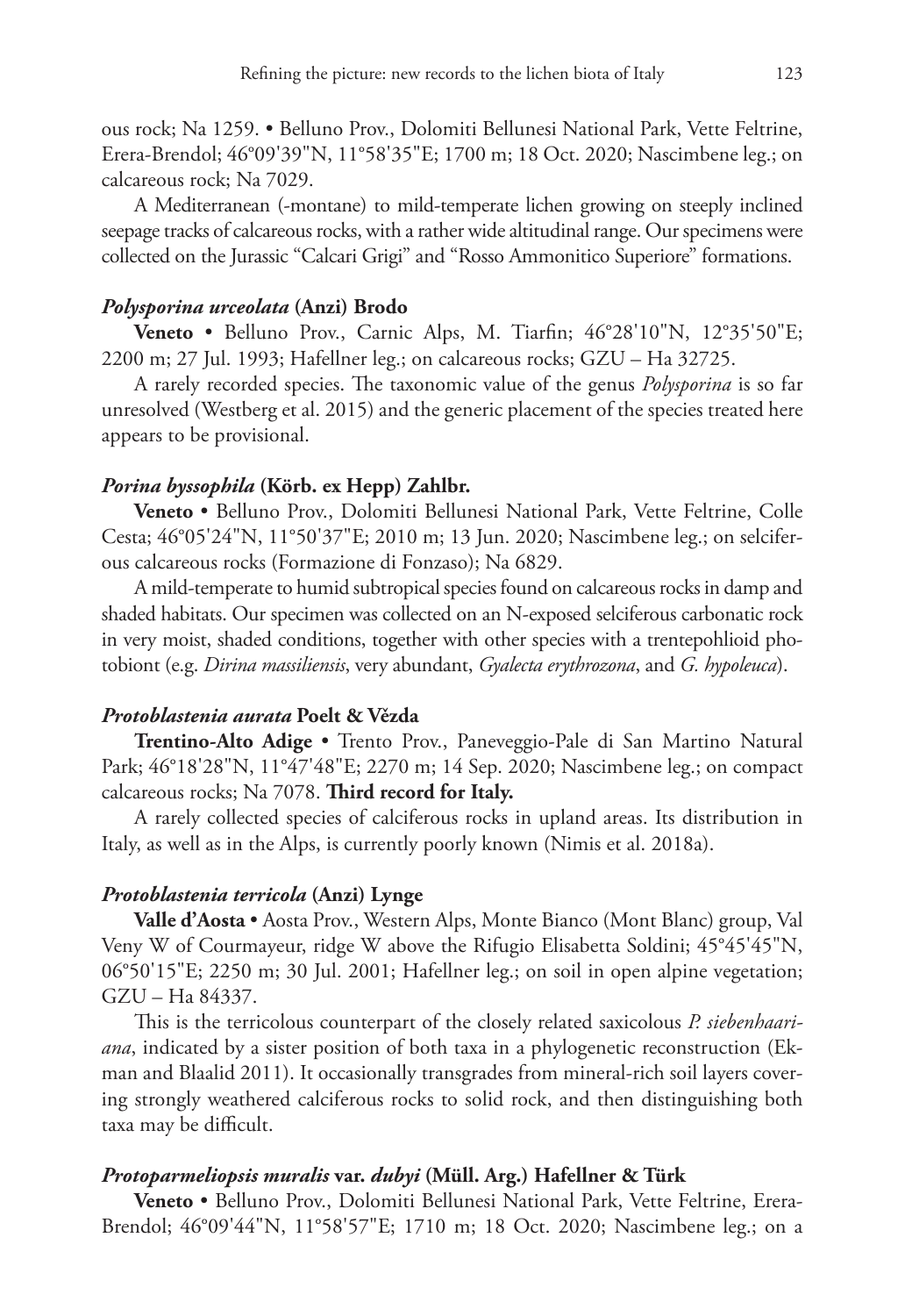ous rock; Na 1259. • Belluno Prov., Dolomiti Bellunesi National Park, Vette Feltrine, Erera-Brendol; 46°09'39"N, 11°58'35"E; 1700 m; 18 Oct. 2020; Nascimbene leg.; on calcareous rock; Na 7029.

A Mediterranean (-montane) to mild-temperate lichen growing on steeply inclined seepage tracks of calcareous rocks, with a rather wide altitudinal range. Our specimens were collected on the Jurassic "Calcari Grigi" and "Rosso Ammonitico Superiore" formations.

## *Polysporina urceolata* **(Anzi) Brodo**

**Veneto** • Belluno Prov., Carnic Alps, M. Tiarfin; 46°28'10"N, 12°35'50"E; 2200 m; 27 Jul. 1993; Hafellner leg.; on calcareous rocks; GZU – Ha 32725.

A rarely recorded species. The taxonomic value of the genus *Polysporina* is so far unresolved (Westberg et al. 2015) and the generic placement of the species treated here appears to be provisional.

# *Porina byssophila* **(Körb. ex Hepp) Zahlbr.**

**Veneto** • Belluno Prov., Dolomiti Bellunesi National Park, Vette Feltrine, Colle Cesta; 46°05'24"N, 11°50'37"E; 2010 m; 13 Jun. 2020; Nascimbene leg.; on selciferous calcareous rocks (Formazione di Fonzaso); Na 6829.

A mild-temperate to humid subtropical species found on calcareous rocks in damp and shaded habitats. Our specimen was collected on an N-exposed selciferous carbonatic rock in very moist, shaded conditions, together with other species with a trentepohlioid photobiont (e.g. *Dirina massiliensis*, very abundant, *Gyalecta erythrozona*, and *G. hypoleuca*).

# *Protoblastenia aurata* **Poelt & Vězda**

**Trentino-Alto Adige** • Trento Prov., Paneveggio-Pale di San Martino Natural Park; 46°18'28"N, 11°47'48"E; 2270 m; 14 Sep. 2020; Nascimbene leg.; on compact calcareous rocks; Na 7078. **Third record for Italy.**

A rarely collected species of calciferous rocks in upland areas. Its distribution in Italy, as well as in the Alps, is currently poorly known (Nimis et al. 2018a).

### *Protoblastenia terricola* **(Anzi) Lynge**

**Valle d'Aosta** • Aosta Prov., Western Alps, Monte Bianco (Mont Blanc) group, Val Veny W of Courmayeur, ridge W above the Rifugio Elisabetta Soldini; 45°45'45"N, 06°50'15"E; 2250 m; 30 Jul. 2001; Hafellner leg.; on soil in open alpine vegetation; GZU – Ha 84337.

This is the terricolous counterpart of the closely related saxicolous *P. siebenhaariana*, indicated by a sister position of both taxa in a phylogenetic reconstruction (Ekman and Blaalid 2011). It occasionally transgrades from mineral-rich soil layers covering strongly weathered calciferous rocks to solid rock, and then distinguishing both taxa may be difficult.

# *Protoparmeliopsis muralis* **var.** *dubyi* **(Müll. Arg.) Hafellner & Türk**

**Veneto** • Belluno Prov., Dolomiti Bellunesi National Park, Vette Feltrine, Erera-Brendol; 46°09'44"N, 11°58'57"E; 1710 m; 18 Oct. 2020; Nascimbene leg.; on a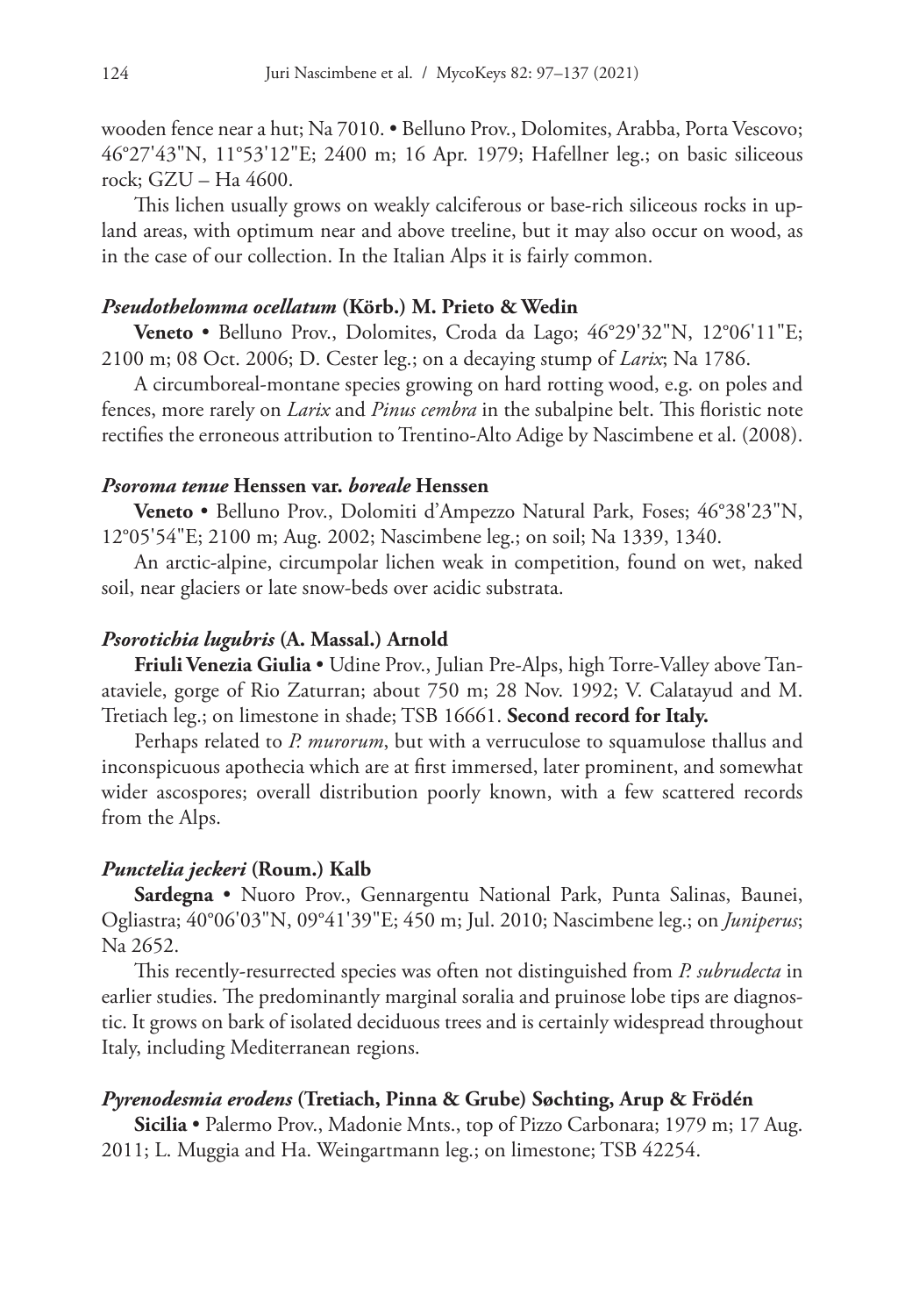wooden fence near a hut; Na 7010. • Belluno Prov., Dolomites, Arabba, Porta Vescovo; 46°27'43"N, 11°53'12"E; 2400 m; 16 Apr. 1979; Hafellner leg.; on basic siliceous rock; GZU – Ha 4600.

This lichen usually grows on weakly calciferous or base-rich siliceous rocks in upland areas, with optimum near and above treeline, but it may also occur on wood, as in the case of our collection. In the Italian Alps it is fairly common.

#### *Pseudothelomma ocellatum* **(Körb.) M. Prieto & Wedin**

**Veneto** • Belluno Prov., Dolomites, Croda da Lago; 46°29'32"N, 12°06'11"E; 2100 m; 08 Oct. 2006; D. Cester leg.; on a decaying stump of *Larix*; Na 1786.

A circumboreal-montane species growing on hard rotting wood, e.g. on poles and fences, more rarely on *Larix* and *Pinus cembra* in the subalpine belt. This floristic note rectifies the erroneous attribution to Trentino-Alto Adige by Nascimbene et al. (2008).

# *Psoroma tenue* **Henssen var.** *boreale* **Henssen**

**Veneto** • Belluno Prov., Dolomiti d'Ampezzo Natural Park, Foses; 46°38'23"N, 12°05'54"E; 2100 m; Aug. 2002; Nascimbene leg.; on soil; Na 1339, 1340.

An arctic-alpine, circumpolar lichen weak in competition, found on wet, naked soil, near glaciers or late snow-beds over acidic substrata.

### *Psorotichia lugubris* **(A. Massal.) Arnold**

**Friuli Venezia Giulia** • Udine Prov., Julian Pre-Alps, high Torre-Valley above Tanataviele, gorge of Rio Zaturran; about 750 m; 28 Nov. 1992; V. Calatayud and M. Tretiach leg.; on limestone in shade; TSB 16661. **Second record for Italy.**

Perhaps related to *P. murorum*, but with a verruculose to squamulose thallus and inconspicuous apothecia which are at first immersed, later prominent, and somewhat wider ascospores; overall distribution poorly known, with a few scattered records from the Alps.

#### *Punctelia jeckeri* **(Roum.) Kalb**

**Sardegna** • Nuoro Prov., Gennargentu National Park, Punta Salinas, Baunei, Ogliastra; 40°06'03"N, 09°41'39"E; 450 m; Jul. 2010; Nascimbene leg.; on *Juniperus*; Na 2652.

This recently-resurrected species was often not distinguished from *P. subrudecta* in earlier studies. The predominantly marginal soralia and pruinose lobe tips are diagnostic. It grows on bark of isolated deciduous trees and is certainly widespread throughout Italy, including Mediterranean regions.

### *Pyrenodesmia erodens* **(Tretiach, Pinna & Grube) Søchting, Arup & Frödén**

**Sicilia** • Palermo Prov., Madonie Mnts., top of Pizzo Carbonara; 1979 m; 17 Aug. 2011; L. Muggia and Ha. Weingartmann leg.; on limestone; TSB 42254.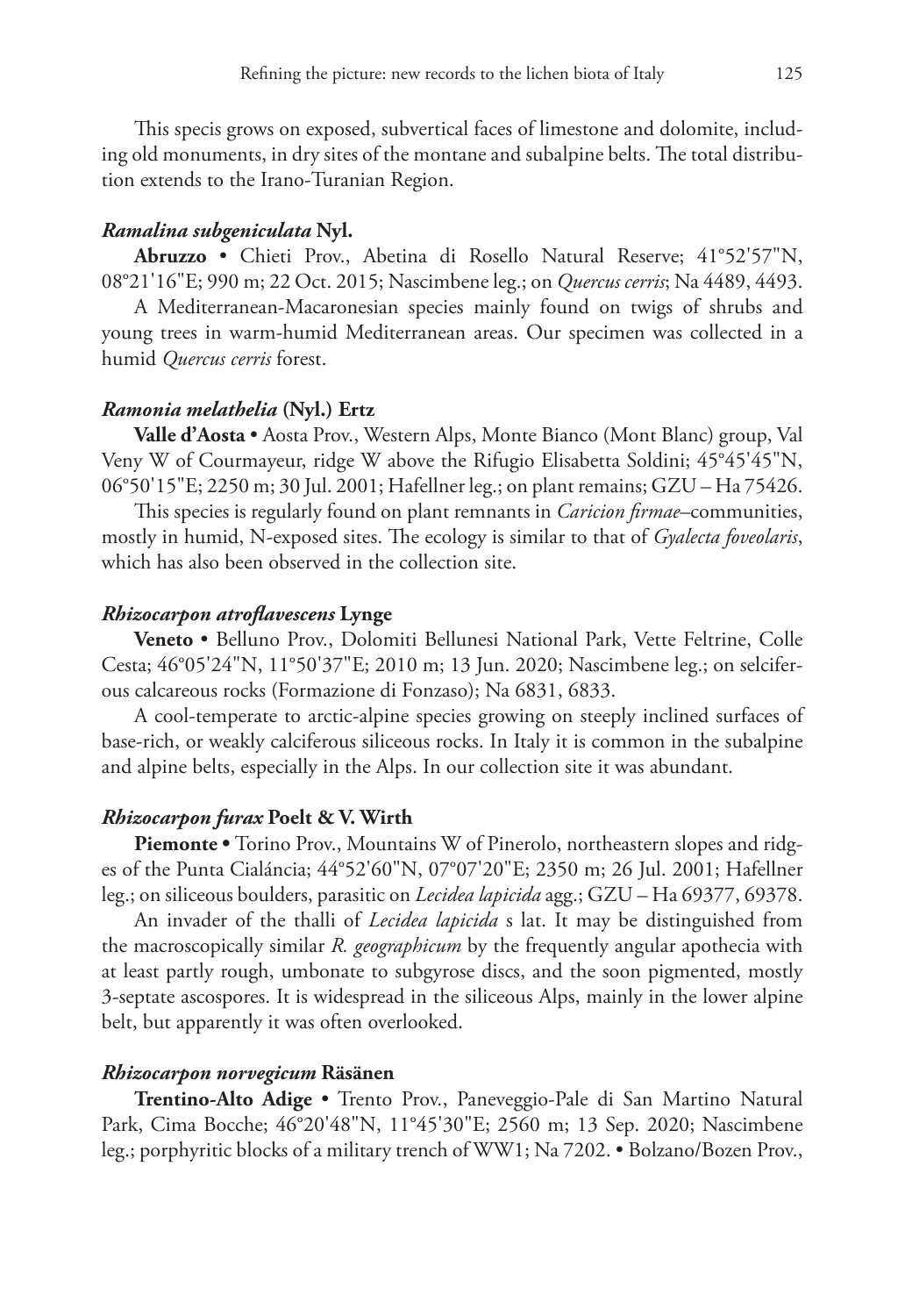This specis grows on exposed, subvertical faces of limestone and dolomite, including old monuments, in dry sites of the montane and subalpine belts. The total distribution extends to the Irano-Turanian Region.

# *Ramalina subgeniculata* **Nyl.**

**Abruzzo** • Chieti Prov., Abetina di Rosello Natural Reserve; 41°52'57"N, 08°21'16"E; 990 m; 22 Oct. 2015; Nascimbene leg.; on *Quercus cerris*; Na 4489, 4493.

A Mediterranean-Macaronesian species mainly found on twigs of shrubs and young trees in warm-humid Mediterranean areas. Our specimen was collected in a humid *Quercus cerris* forest.

## *Ramonia melathelia* **(Nyl.) Ertz**

**Valle d'Aosta** • Aosta Prov., Western Alps, Monte Bianco (Mont Blanc) group, Val Veny W of Courmayeur, ridge W above the Rifugio Elisabetta Soldini; 45°45'45"N, 06°50'15"E; 2250 m; 30 Jul. 2001; Hafellner leg.; on plant remains; GZU – Ha 75426.

This species is regularly found on plant remnants in *Caricion firmae*–communities, mostly in humid, N-exposed sites. The ecology is similar to that of *Gyalecta foveolaris*, which has also been observed in the collection site.

#### *Rhizocarpon atroflavescens* **Lynge**

**Veneto** • Belluno Prov., Dolomiti Bellunesi National Park, Vette Feltrine, Colle Cesta; 46°05'24"N, 11°50'37"E; 2010 m; 13 Jun. 2020; Nascimbene leg.; on selciferous calcareous rocks (Formazione di Fonzaso); Na 6831, 6833.

A cool-temperate to arctic-alpine species growing on steeply inclined surfaces of base-rich, or weakly calciferous siliceous rocks. In Italy it is common in the subalpine and alpine belts, especially in the Alps. In our collection site it was abundant.

#### *Rhizocarpon furax* **Poelt & V. Wirth**

**Piemonte •** Torino Prov., Mountains W of Pinerolo, northeastern slopes and ridges of the Punta Cialáncia; 44°52'60"N, 07°07'20"E; 2350 m; 26 Jul. 2001; Hafellner leg.; on siliceous boulders, parasitic on *Lecidea lapicida* agg.; GZU – Ha 69377, 69378.

An invader of the thalli of *Lecidea lapicida* s lat. It may be distinguished from the macroscopically similar *R. geographicum* by the frequently angular apothecia with at least partly rough, umbonate to subgyrose discs, and the soon pigmented, mostly 3-septate ascospores. It is widespread in the siliceous Alps, mainly in the lower alpine belt, but apparently it was often overlooked.

#### *Rhizocarpon norvegicum* **Räsänen**

**Trentino-Alto Adige** • Trento Prov., Paneveggio-Pale di San Martino Natural Park, Cima Bocche; 46°20'48"N, 11°45'30"E; 2560 m; 13 Sep. 2020; Nascimbene leg.; porphyritic blocks of a military trench of WW1; Na 7202. • Bolzano/Bozen Prov.,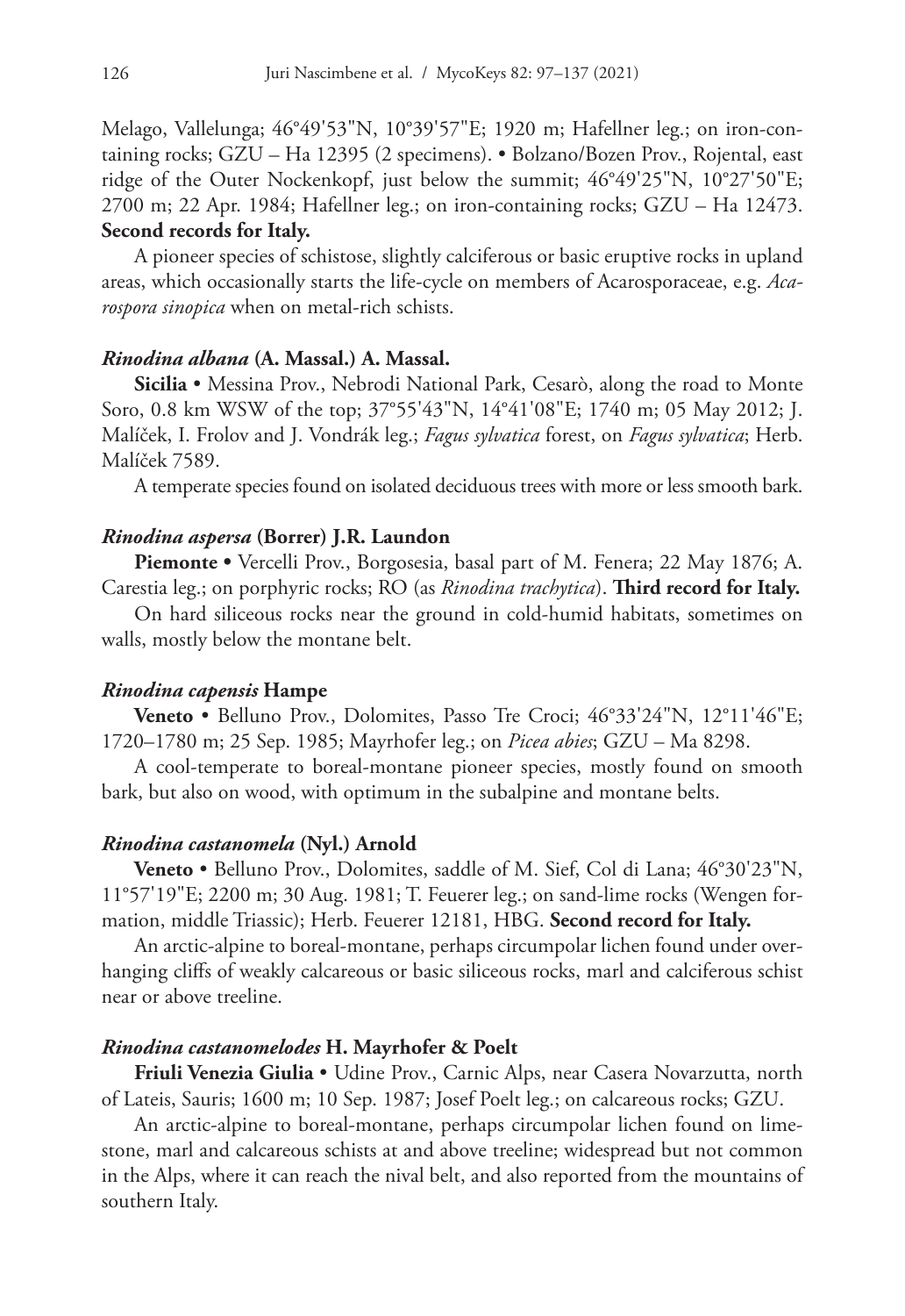Melago, Vallelunga; 46°49'53"N, 10°39'57"E; 1920 m; Hafellner leg.; on iron-containing rocks; GZU – Ha 12395 (2 specimens). • Bolzano/Bozen Prov., Rojental, east ridge of the Outer Nockenkopf, just below the summit; 46°49'25"N, 10°27'50"E; 2700 m; 22 Apr. 1984; Hafellner leg.; on iron-containing rocks; GZU – Ha 12473. **Second records for Italy.**

A pioneer species of schistose, slightly calciferous or basic eruptive rocks in upland areas, which occasionally starts the life-cycle on members of Acarosporaceae, e.g. *Acarospora sinopica* when on metal-rich schists.

#### *Rinodina albana* **(A. Massal.) A. Massal.**

**Sicilia** • Messina Prov., Nebrodi National Park, Cesarò, along the road to Monte Soro, 0.8 km WSW of the top; 37°55'43"N, 14°41'08"E; 1740 m; 05 May 2012; J. Malíček, I. Frolov and J. Vondrák leg.; *Fagus sylvatica* forest, on *Fagus sylvatica*; Herb. Malíček 7589.

A temperate species found on isolated deciduous trees with more or less smooth bark.

## *Rinodina aspersa* **(Borrer) J.R. Laundon**

**Piemonte •** Vercelli Prov., Borgosesia, basal part of M. Fenera; 22 May 1876; A. Carestia leg.; on porphyric rocks; RO (as *Rinodina trachytica*). **Third record for Italy.**

On hard siliceous rocks near the ground in cold-humid habitats, sometimes on walls, mostly below the montane belt.

# *Rinodina capensis* **Hampe**

**Veneto** • Belluno Prov., Dolomites, Passo Tre Croci; 46°33'24"N, 12°11'46"E; 1720–1780 m; 25 Sep. 1985; Mayrhofer leg.; on *Picea abies*; GZU – Ma 8298.

A cool-temperate to boreal-montane pioneer species, mostly found on smooth bark, but also on wood, with optimum in the subalpine and montane belts.

#### *Rinodina castanomela* **(Nyl.) Arnold**

**Veneto** • Belluno Prov., Dolomites, saddle of M. Sief, Col di Lana; 46°30'23"N, 11°57'19"E; 2200 m; 30 Aug. 1981; T. Feuerer leg.; on sand-lime rocks (Wengen formation, middle Triassic); Herb. Feuerer 12181, HBG. **Second record for Italy.**

An arctic-alpine to boreal-montane, perhaps circumpolar lichen found under overhanging cliffs of weakly calcareous or basic siliceous rocks, marl and calciferous schist near or above treeline.

#### *Rinodina castanomelodes* **H. Mayrhofer & Poelt**

**Friuli Venezia Giulia** • Udine Prov., Carnic Alps, near Casera Novarzutta, north of Lateis, Sauris; 1600 m; 10 Sep. 1987; Josef Poelt leg.; on calcareous rocks; GZU.

An arctic-alpine to boreal-montane, perhaps circumpolar lichen found on limestone, marl and calcareous schists at and above treeline; widespread but not common in the Alps, where it can reach the nival belt, and also reported from the mountains of southern Italy.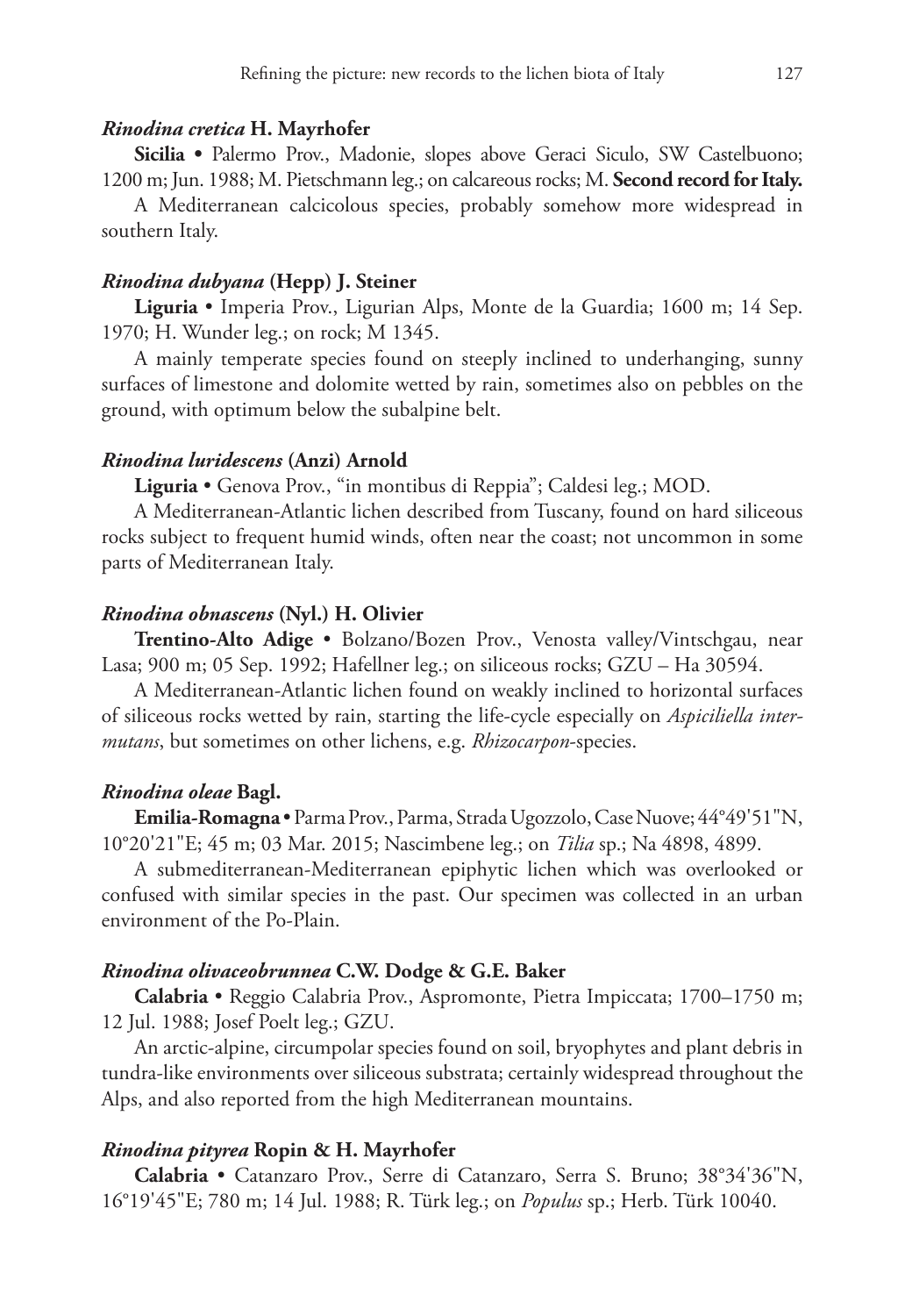#### *Rinodina cretica* **H. Mayrhofer**

**Sicilia •** Palermo Prov., Madonie, slopes above Geraci Siculo, SW Castelbuono; 1200 m; Jun. 1988; M. Pietschmann leg.; on calcareous rocks; M. **Second record for Italy.**

A Mediterranean calcicolous species, probably somehow more widespread in southern Italy.

### *Rinodina dubyana* **(Hepp) J. Steiner**

**Liguria** • Imperia Prov., Ligurian Alps, Monte de la Guardia; 1600 m; 14 Sep. 1970; H. Wunder leg.; on rock; M 1345.

A mainly temperate species found on steeply inclined to underhanging, sunny surfaces of limestone and dolomite wetted by rain, sometimes also on pebbles on the ground, with optimum below the subalpine belt.

#### *Rinodina luridescens* **(Anzi) Arnold**

**Liguria** • Genova Prov., "in montibus di Reppia"; Caldesi leg.; MOD.

A Mediterranean-Atlantic lichen described from Tuscany, found on hard siliceous rocks subject to frequent humid winds, often near the coast; not uncommon in some parts of Mediterranean Italy.

### *Rinodina obnascens* **(Nyl.) H. Olivier**

**Trentino-Alto Adige** • Bolzano/Bozen Prov., Venosta valley/Vintschgau, near Lasa; 900 m; 05 Sep. 1992; Hafellner leg.; on siliceous rocks; GZU – Ha 30594.

A Mediterranean-Atlantic lichen found on weakly inclined to horizontal surfaces of siliceous rocks wetted by rain, starting the life-cycle especially on *Aspiciliella intermutans*, but sometimes on other lichens, e.g. *Rhizocarpon*-species.

#### *Rinodina oleae* **Bagl.**

**Emilia-Romagna** • Parma Prov., Parma, Strada Ugozzolo, Case Nuove; 44°49'51"N, 10°20'21"E; 45 m; 03 Mar. 2015; Nascimbene leg.; on *Tilia* sp.; Na 4898, 4899.

A submediterranean-Mediterranean epiphytic lichen which was overlooked or confused with similar species in the past. Our specimen was collected in an urban environment of the Po-Plain.

#### *Rinodina olivaceobrunnea* **C.W. Dodge & G.E. Baker**

**Calabria** • Reggio Calabria Prov., Aspromonte, Pietra Impiccata; 1700–1750 m; 12 Jul. 1988; Josef Poelt leg.; GZU.

An arctic-alpine, circumpolar species found on soil, bryophytes and plant debris in tundra-like environments over siliceous substrata; certainly widespread throughout the Alps, and also reported from the high Mediterranean mountains.

### *Rinodina pityrea* **Ropin & H. Mayrhofer**

**Calabria** • Catanzaro Prov., Serre di Catanzaro, Serra S. Bruno; 38°34'36"N, 16°19'45"E; 780 m; 14 Jul. 1988; R. Türk leg.; on *Populus* sp.; Herb. Türk 10040.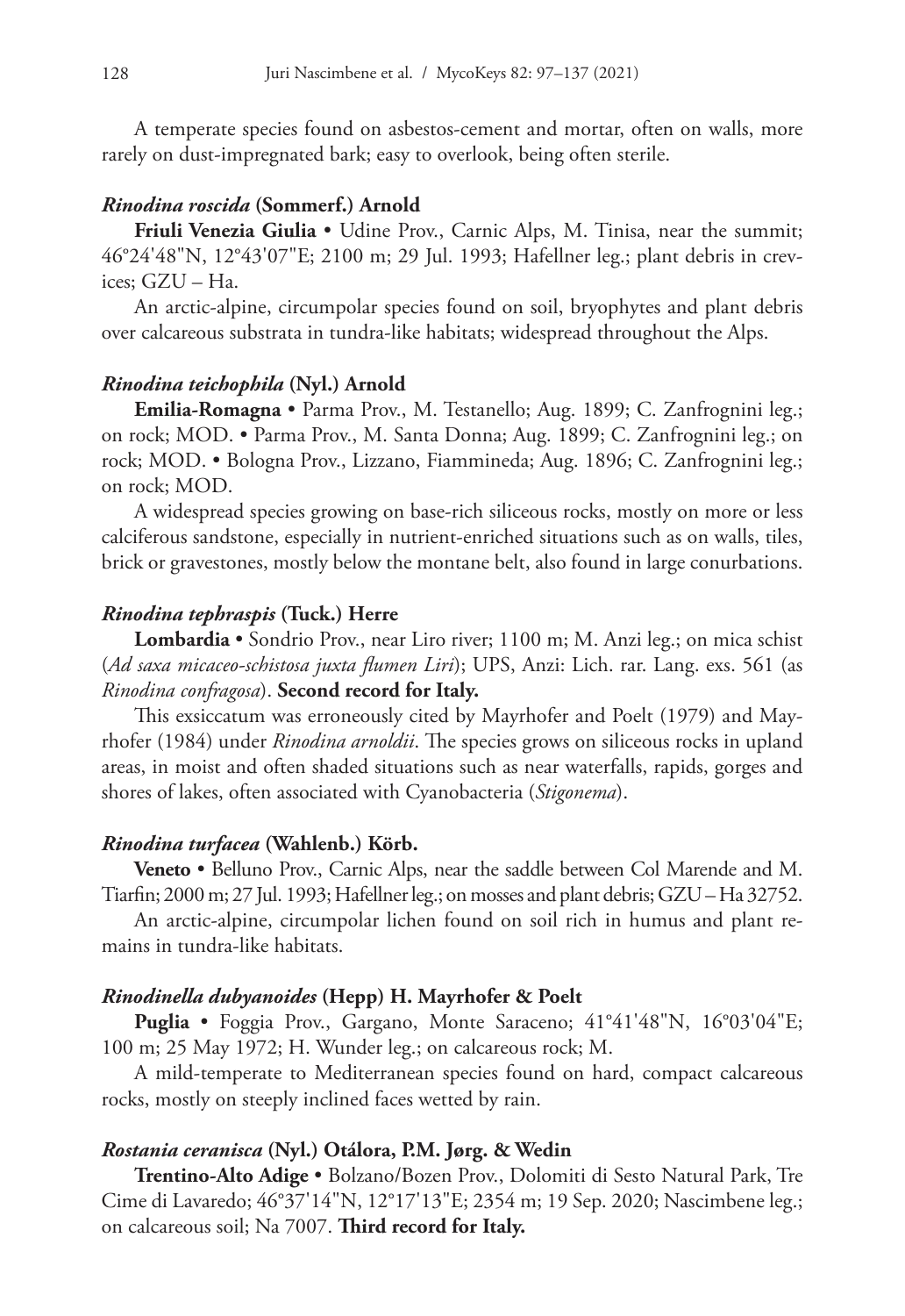A temperate species found on asbestos-cement and mortar, often on walls, more rarely on dust-impregnated bark; easy to overlook, being often sterile.

# *Rinodina roscida* **(Sommerf.) Arnold**

**Friuli Venezia Giulia** • Udine Prov., Carnic Alps, M. Tinisa, near the summit; 46°24'48"N, 12°43'07"E; 2100 m; 29 Jul. 1993; Hafellner leg.; plant debris in crevices; GZU – Ha.

An arctic-alpine, circumpolar species found on soil, bryophytes and plant debris over calcareous substrata in tundra-like habitats; widespread throughout the Alps.

#### *Rinodina teichophila* **(Nyl.) Arnold**

**Emilia-Romagna** • Parma Prov., M. Testanello; Aug. 1899; C. Zanfrognini leg.; on rock; MOD. • Parma Prov., M. Santa Donna; Aug. 1899; C. Zanfrognini leg.; on rock; MOD. • Bologna Prov., Lizzano, Fiammineda; Aug. 1896; C. Zanfrognini leg.; on rock; MOD.

A widespread species growing on base-rich siliceous rocks, mostly on more or less calciferous sandstone, especially in nutrient-enriched situations such as on walls, tiles, brick or gravestones, mostly below the montane belt, also found in large conurbations.

### *Rinodina tephraspis* **(Tuck.) Herre**

**Lombardia** • Sondrio Prov., near Liro river; 1100 m; M. Anzi leg.; on mica schist (*Ad saxa micaceo-schistosa juxta flumen Liri*); UPS, Anzi: Lich. rar. Lang. exs. 561 (as *Rinodina confragosa*). **Second record for Italy.**

This exsiccatum was erroneously cited by Mayrhofer and Poelt (1979) and Mayrhofer (1984) under *Rinodina arnoldii*. The species grows on siliceous rocks in upland areas, in moist and often shaded situations such as near waterfalls, rapids, gorges and shores of lakes, often associated with Cyanobacteria (*Stigonema*).

#### *Rinodina turfacea* **(Wahlenb.) Körb.**

**Veneto** • Belluno Prov., Carnic Alps, near the saddle between Col Marende and M. Tiarfin; 2000 m; 27 Jul. 1993; Hafellner leg.; on mosses and plant debris; GZU – Ha 32752.

An arctic-alpine, circumpolar lichen found on soil rich in humus and plant remains in tundra-like habitats.

## *Rinodinella dubyanoides* **(Hepp) H. Mayrhofer & Poelt**

**Puglia** • Foggia Prov., Gargano, Monte Saraceno; 41°41'48"N, 16°03'04"E; 100 m; 25 May 1972; H. Wunder leg.; on calcareous rock; M.

A mild-temperate to Mediterranean species found on hard, compact calcareous rocks, mostly on steeply inclined faces wetted by rain.

### *Rostania ceranisca* **(Nyl.) Otálora, P.M. Jørg. & Wedin**

**Trentino-Alto Adige** • Bolzano/Bozen Prov., Dolomiti di Sesto Natural Park, Tre Cime di Lavaredo; 46°37'14"N, 12°17'13"E; 2354 m; 19 Sep. 2020; Nascimbene leg.; on calcareous soil; Na 7007. **Third record for Italy.**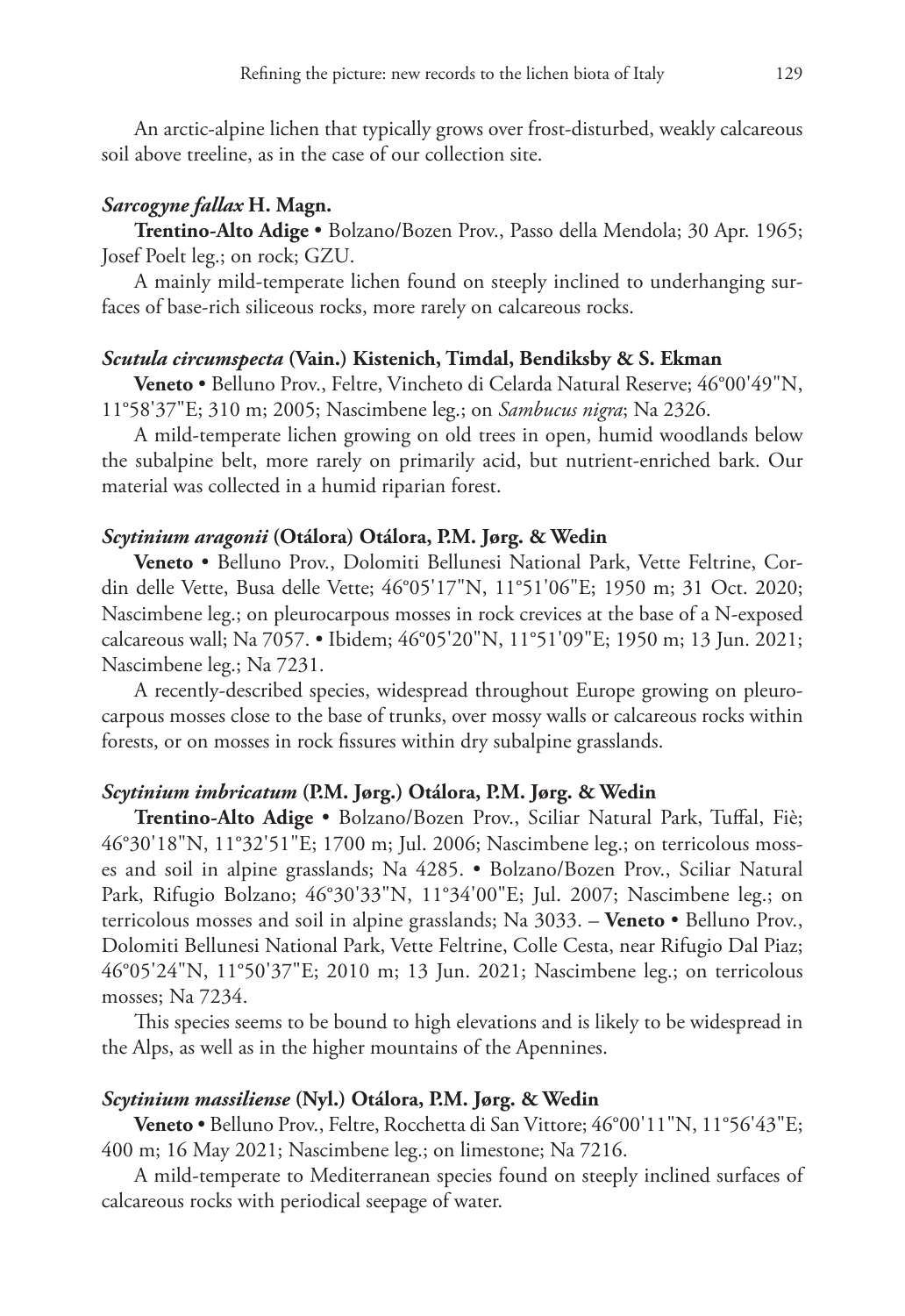An arctic-alpine lichen that typically grows over frost-disturbed, weakly calcareous soil above treeline, as in the case of our collection site.

# *Sarcogyne fallax* **H. Magn.**

**Trentino-Alto Adige** • Bolzano/Bozen Prov., Passo della Mendola; 30 Apr. 1965; Josef Poelt leg.; on rock; GZU.

A mainly mild-temperate lichen found on steeply inclined to underhanging surfaces of base-rich siliceous rocks, more rarely on calcareous rocks.

## *Scutula circumspecta* **(Vain.) Kistenich, Timdal, Bendiksby & S. Ekman**

**Veneto** • Belluno Prov., Feltre, Vincheto di Celarda Natural Reserve; 46°00'49"N, 11°58'37"E; 310 m; 2005; Nascimbene leg.; on *Sambucus nigra*; Na 2326.

A mild-temperate lichen growing on old trees in open, humid woodlands below the subalpine belt, more rarely on primarily acid, but nutrient-enriched bark. Our material was collected in a humid riparian forest.

# *Scytinium aragonii* **(Otálora) Otálora, P.M. Jørg. & Wedin**

**Veneto** • Belluno Prov., Dolomiti Bellunesi National Park, Vette Feltrine, Cordin delle Vette, Busa delle Vette; 46°05'17"N, 11°51'06"E; 1950 m; 31 Oct. 2020; Nascimbene leg.; on pleurocarpous mosses in rock crevices at the base of a N-exposed calcareous wall; Na 7057. • Ibidem; 46°05'20"N, 11°51'09"E; 1950 m; 13 Jun. 2021; Nascimbene leg.; Na 7231.

A recently-described species, widespread throughout Europe growing on pleurocarpous mosses close to the base of trunks, over mossy walls or calcareous rocks within forests, or on mosses in rock fissures within dry subalpine grasslands.

# *Scytinium imbricatum* **(P.M. Jørg.) Otálora, P.M. Jørg. & Wedin**

**Trentino-Alto Adige** • Bolzano/Bozen Prov., Sciliar Natural Park, Tuffal, Fiè; 46°30'18"N, 11°32'51"E; 1700 m; Jul. 2006; Nascimbene leg.; on terricolous mosses and soil in alpine grasslands; Na 4285. • Bolzano/Bozen Prov., Sciliar Natural Park, Rifugio Bolzano; 46°30'33"N, 11°34'00"E; Jul. 2007; Nascimbene leg.; on terricolous mosses and soil in alpine grasslands; Na 3033. – **Veneto** • Belluno Prov., Dolomiti Bellunesi National Park, Vette Feltrine, Colle Cesta, near Rifugio Dal Piaz; 46°05'24"N, 11°50'37"E; 2010 m; 13 Jun. 2021; Nascimbene leg.; on terricolous mosses; Na 7234.

This species seems to be bound to high elevations and is likely to be widespread in the Alps, as well as in the higher mountains of the Apennines.

#### *Scytinium massiliense* **(Nyl.) Otálora, P.M. Jørg. & Wedin**

**Veneto** • Belluno Prov., Feltre, Rocchetta di San Vittore; 46°00'11"N, 11°56'43"E; 400 m; 16 May 2021; Nascimbene leg.; on limestone; Na 7216.

A mild-temperate to Mediterranean species found on steeply inclined surfaces of calcareous rocks with periodical seepage of water.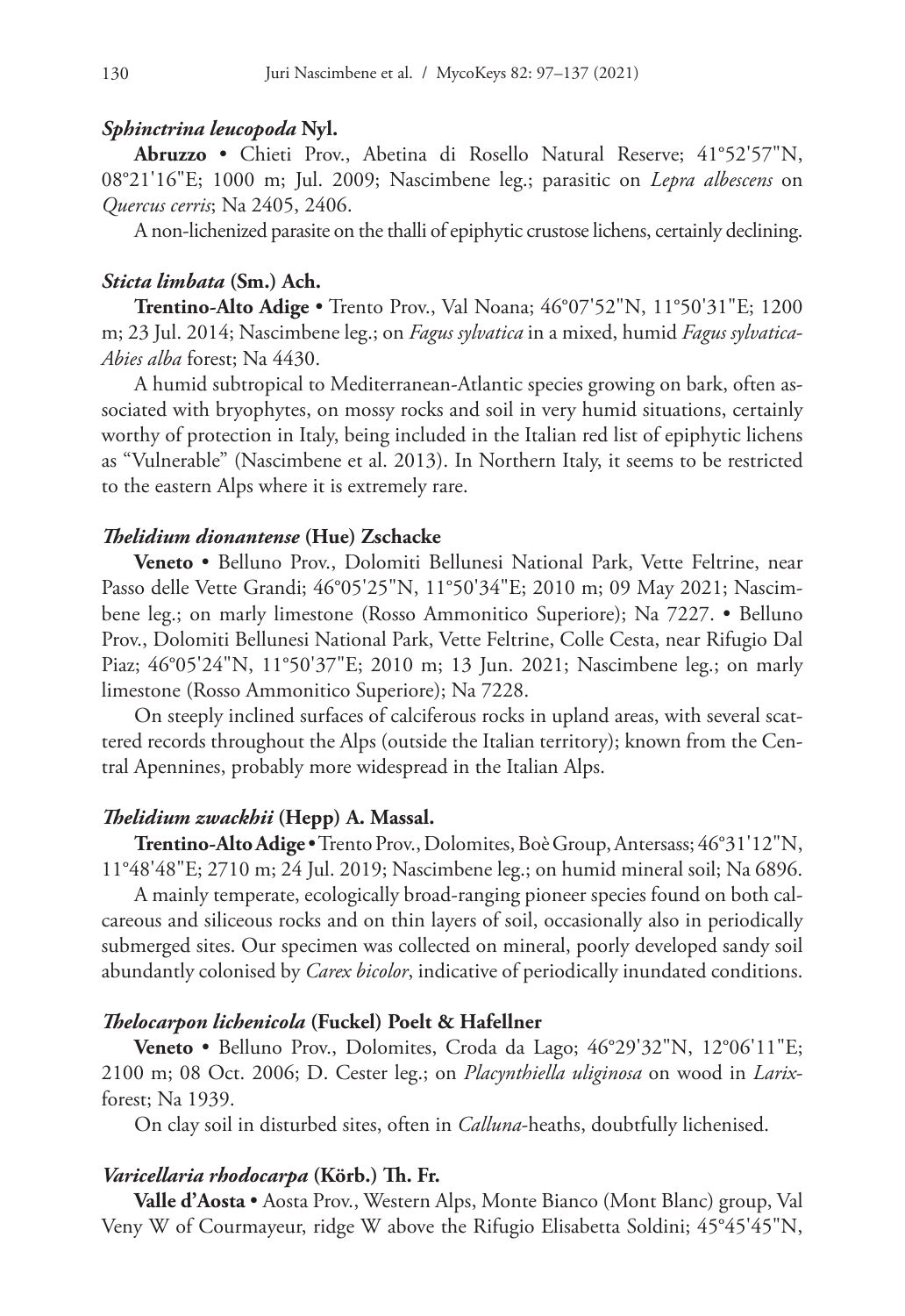## *Sphinctrina leucopoda* **Nyl.**

**Abruzzo** • Chieti Prov., Abetina di Rosello Natural Reserve; 41°52'57"N, 08°21'16"E; 1000 m; Jul. 2009; Nascimbene leg.; parasitic on *Lepra albescens* on *Quercus cerris*; Na 2405, 2406.

A non-lichenized parasite on the thalli of epiphytic crustose lichens, certainly declining.

# *Sticta limbata* **(Sm.) Ach.**

**Trentino-Alto Adige** • Trento Prov., Val Noana; 46°07'52"N, 11°50'31"E; 1200 m; 23 Jul. 2014; Nascimbene leg.; on *Fagus sylvatica* in a mixed, humid *Fagus sylvatica*-*Abies alba* forest; Na 4430.

A humid subtropical to Mediterranean-Atlantic species growing on bark, often associated with bryophytes, on mossy rocks and soil in very humid situations, certainly worthy of protection in Italy, being included in the Italian red list of epiphytic lichens as "Vulnerable" (Nascimbene et al. 2013). In Northern Italy, it seems to be restricted to the eastern Alps where it is extremely rare.

# *Thelidium dionantense* **(Hue) Zschacke**

**Veneto** • Belluno Prov., Dolomiti Bellunesi National Park, Vette Feltrine, near Passo delle Vette Grandi; 46°05'25"N, 11°50'34"E; 2010 m; 09 May 2021; Nascimbene leg.; on marly limestone (Rosso Ammonitico Superiore); Na 7227. • Belluno Prov., Dolomiti Bellunesi National Park, Vette Feltrine, Colle Cesta, near Rifugio Dal Piaz; 46°05'24"N, 11°50'37"E; 2010 m; 13 Jun. 2021; Nascimbene leg.; on marly limestone (Rosso Ammonitico Superiore); Na 7228.

On steeply inclined surfaces of calciferous rocks in upland areas, with several scattered records throughout the Alps (outside the Italian territory); known from the Central Apennines, probably more widespread in the Italian Alps.

# *Thelidium zwackhii* **(Hepp) A. Massal.**

**Trentino-Alto Adige** • Trento Prov., Dolomites, Boè Group, Antersass; 46°31'12"N, 11°48'48"E; 2710 m; 24 Jul. 2019; Nascimbene leg.; on humid mineral soil; Na 6896.

A mainly temperate, ecologically broad-ranging pioneer species found on both calcareous and siliceous rocks and on thin layers of soil, occasionally also in periodically submerged sites. Our specimen was collected on mineral, poorly developed sandy soil abundantly colonised by *Carex bicolor*, indicative of periodically inundated conditions.

#### *Thelocarpon lichenicola* **(Fuckel) Poelt & Hafellner**

**Veneto** • Belluno Prov., Dolomites, Croda da Lago; 46°29'32"N, 12°06'11"E; 2100 m; 08 Oct. 2006; D. Cester leg.; on *Placynthiella uliginosa* on wood in *Larix*forest; Na 1939.

On clay soil in disturbed sites, often in *Calluna*-heaths, doubtfully lichenised.

# *Varicellaria rhodocarpa* **(Körb.) Th. Fr.**

**Valle d'Aosta** • Aosta Prov., Western Alps, Monte Bianco (Mont Blanc) group, Val Veny W of Courmayeur, ridge W above the Rifugio Elisabetta Soldini; 45°45'45"N,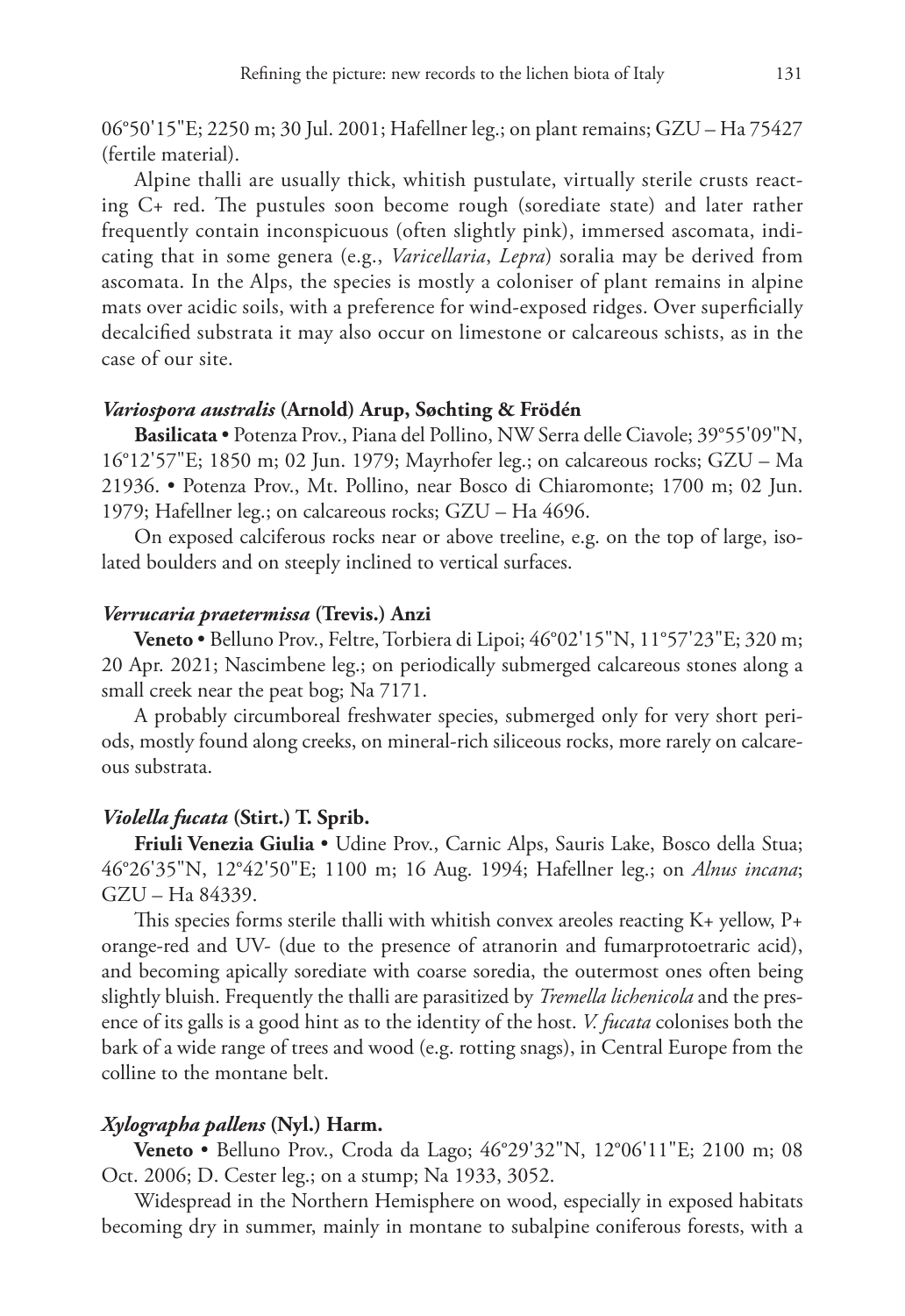06°50'15"E; 2250 m; 30 Jul. 2001; Hafellner leg.; on plant remains; GZU – Ha 75427 (fertile material).

Alpine thalli are usually thick, whitish pustulate, virtually sterile crusts reacting C+ red. The pustules soon become rough (sorediate state) and later rather frequently contain inconspicuous (often slightly pink), immersed ascomata, indicating that in some genera (e.g., *Varicellaria*, *Lepra*) soralia may be derived from ascomata. In the Alps, the species is mostly a coloniser of plant remains in alpine mats over acidic soils, with a preference for wind-exposed ridges. Over superficially decalcified substrata it may also occur on limestone or calcareous schists, as in the case of our site.

## *Variospora australis* **(Arnold) Arup, Søchting & Frödén**

**Basilicata** • Potenza Prov., Piana del Pollino, NW Serra delle Ciavole; 39°55'09"N, 16°12'57"E; 1850 m; 02 Jun. 1979; Mayrhofer leg.; on calcareous rocks; GZU – Ma 21936. • Potenza Prov., Mt. Pollino, near Bosco di Chiaromonte; 1700 m; 02 Jun. 1979; Hafellner leg.; on calcareous rocks; GZU – Ha 4696.

On exposed calciferous rocks near or above treeline, e.g. on the top of large, isolated boulders and on steeply inclined to vertical surfaces.

#### *Verrucaria praetermissa* **(Trevis.) Anzi**

**Veneto** • Belluno Prov., Feltre, Torbiera di Lipoi; 46°02'15"N, 11°57'23"E; 320 m; 20 Apr. 2021; Nascimbene leg.; on periodically submerged calcareous stones along a small creek near the peat bog; Na 7171.

A probably circumboreal freshwater species, submerged only for very short periods, mostly found along creeks, on mineral-rich siliceous rocks, more rarely on calcareous substrata.

# *Violella fucata* **(Stirt.) T. Sprib.**

**Friuli Venezia Giulia** • Udine Prov., Carnic Alps, Sauris Lake, Bosco della Stua; 46°26'35"N, 12°42'50"E; 1100 m; 16 Aug. 1994; Hafellner leg.; on *Alnus incana*; GZU – Ha 84339.

This species forms sterile thalli with whitish convex areoles reacting K+ yellow, P+ orange-red and UV- (due to the presence of atranorin and fumarprotoetraric acid), and becoming apically sorediate with coarse soredia, the outermost ones often being slightly bluish. Frequently the thalli are parasitized by *Tremella lichenicola* and the presence of its galls is a good hint as to the identity of the host. *V. fucata* colonises both the bark of a wide range of trees and wood (e.g. rotting snags), in Central Europe from the colline to the montane belt.

# *Xylographa pallens* **(Nyl.) Harm.**

**Veneto** • Belluno Prov., Croda da Lago; 46°29'32"N, 12°06'11"E; 2100 m; 08 Oct. 2006; D. Cester leg.; on a stump; Na 1933, 3052.

Widespread in the Northern Hemisphere on wood, especially in exposed habitats becoming dry in summer, mainly in montane to subalpine coniferous forests, with a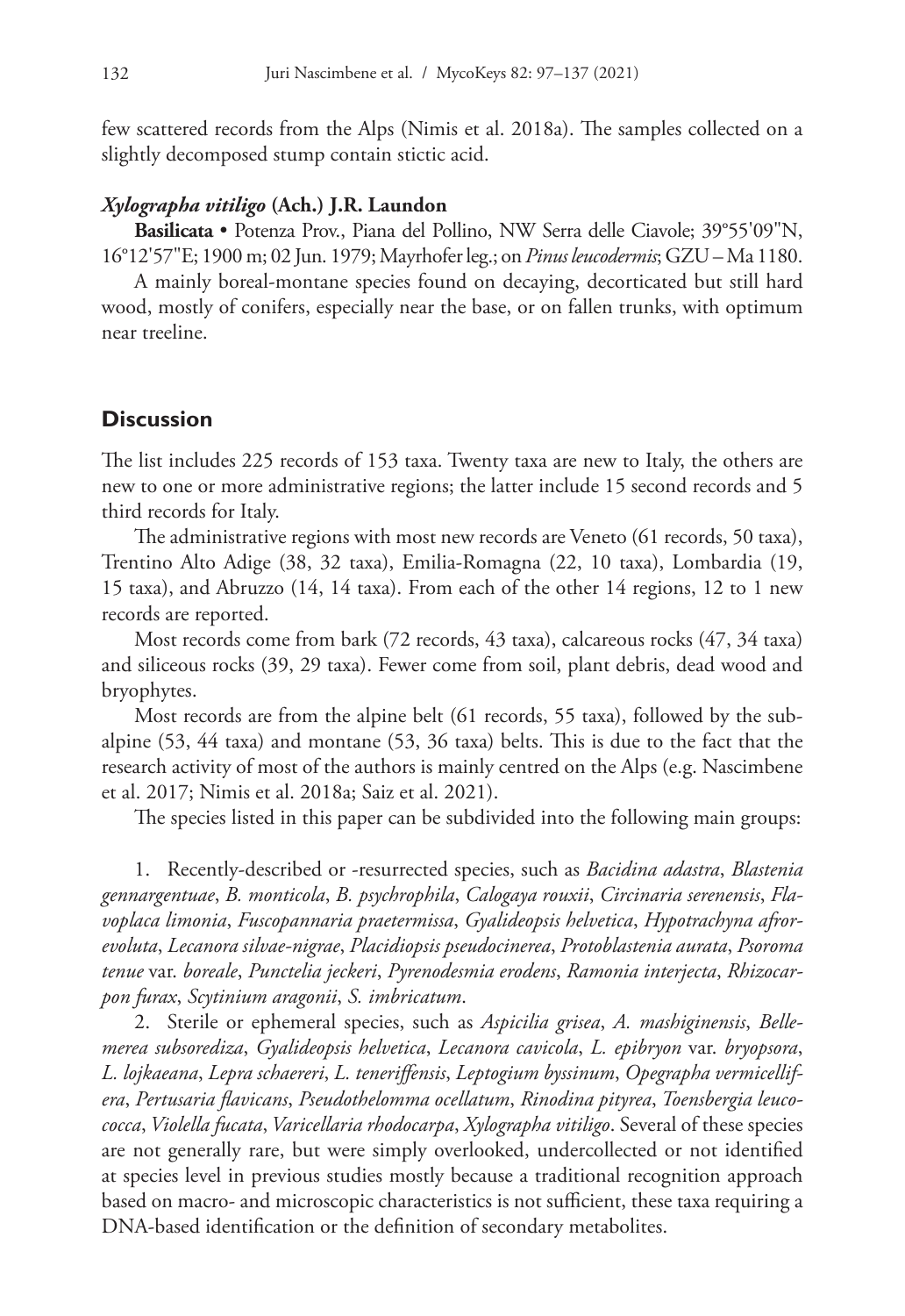few scattered records from the Alps (Nimis et al. 2018a). The samples collected on a slightly decomposed stump contain stictic acid.

#### *Xylographa vitiligo* **(Ach.) J.R. Laundon**

**Basilicata** • Potenza Prov., Piana del Pollino, NW Serra delle Ciavole; 39°55'09"N, 16°12'57"E; 1900 m; 02 Jun. 1979; Mayrhofer leg.; on *Pinus leucodermis*; GZU – Ma 1180.

A mainly boreal-montane species found on decaying, decorticated but still hard wood, mostly of conifers, especially near the base, or on fallen trunks, with optimum near treeline.

# **Discussion**

The list includes 225 records of 153 taxa. Twenty taxa are new to Italy, the others are new to one or more administrative regions; the latter include 15 second records and 5 third records for Italy.

The administrative regions with most new records are Veneto (61 records, 50 taxa), Trentino Alto Adige (38, 32 taxa), Emilia-Romagna (22, 10 taxa), Lombardia (19, 15 taxa), and Abruzzo (14, 14 taxa). From each of the other 14 regions, 12 to 1 new records are reported.

Most records come from bark (72 records, 43 taxa), calcareous rocks (47, 34 taxa) and siliceous rocks (39, 29 taxa). Fewer come from soil, plant debris, dead wood and bryophytes.

Most records are from the alpine belt (61 records, 55 taxa), followed by the subalpine (53, 44 taxa) and montane (53, 36 taxa) belts. This is due to the fact that the research activity of most of the authors is mainly centred on the Alps (e.g. Nascimbene et al. 2017; Nimis et al. 2018a; Saiz et al. 2021).

The species listed in this paper can be subdivided into the following main groups:

1. Recently-described or -resurrected species, such as *Bacidina adastra*, *Blastenia gennargentuae*, *B. monticola*, *B. psychrophila*, *Calogaya rouxii*, *Circinaria serenensis*, *Flavoplaca limonia*, *Fuscopannaria praetermissa*, *Gyalideopsis helvetica*, *Hypotrachyna afrorevoluta*, *Lecanora silvae-nigrae*, *Placidiopsis pseudocinerea*, *Protoblastenia aurata*, *Psoroma tenue* var. *boreale*, *Punctelia jeckeri*, *Pyrenodesmia erodens*, *Ramonia interjecta*, *Rhizocarpon furax*, *Scytinium aragonii*, *S. imbricatum*.

2. Sterile or ephemeral species, such as *Aspicilia grisea*, *A. mashiginensis*, *Bellemerea subsorediza*, *Gyalideopsis helvetica*, *Lecanora cavicola*, *L. epibryon* var. *bryopsora*, *L. lojkaeana*, *Lepra schaereri*, *L. teneriffensis*, *Leptogium byssinum*, *Opegrapha vermicellifera*, *Pertusaria flavicans*, *Pseudothelomma ocellatum*, *Rinodina pityrea*, *Toensbergia leucococca*, *Violella fucata*, *Varicellaria rhodocarpa*, *Xylographa vitiligo*. Several of these species are not generally rare, but were simply overlooked, undercollected or not identified at species level in previous studies mostly because a traditional recognition approach based on macro- and microscopic characteristics is not sufficient, these taxa requiring a DNA-based identification or the definition of secondary metabolites.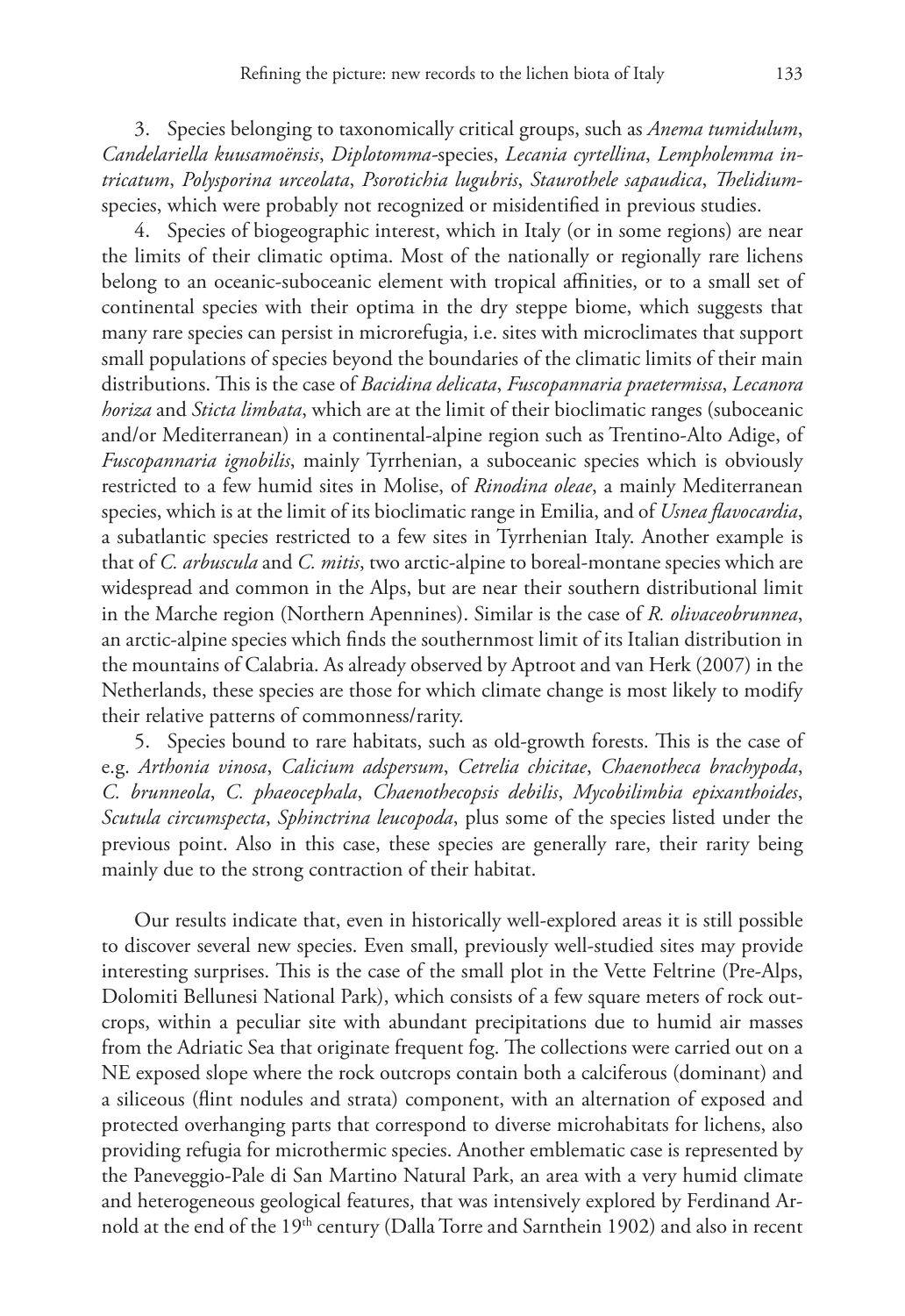3. Species belonging to taxonomically critical groups, such as *Anema tumidulum*, *Candelariella kuusamoënsis*, *Diplotomma-*species, *Lecania cyrtellina*, *Lempholemma intricatum*, *Polysporina urceolata*, *Psorotichia lugubris*, *Staurothele sapaudica*, *Thelidium*species, which were probably not recognized or misidentified in previous studies.

4. Species of biogeographic interest, which in Italy (or in some regions) are near the limits of their climatic optima. Most of the nationally or regionally rare lichens belong to an oceanic-suboceanic element with tropical affinities, or to a small set of continental species with their optima in the dry steppe biome, which suggests that many rare species can persist in microrefugia, i.e. sites with microclimates that support small populations of species beyond the boundaries of the climatic limits of their main distributions. This is the case of *Bacidina delicata*, *Fuscopannaria praetermissa*, *Lecanora horiza* and *Sticta limbata*, which are at the limit of their bioclimatic ranges (suboceanic and/or Mediterranean) in a continental-alpine region such as Trentino-Alto Adige, of *Fuscopannaria ignobilis*, mainly Tyrrhenian, a suboceanic species which is obviously restricted to a few humid sites in Molise, of *Rinodina oleae*, a mainly Mediterranean species, which is at the limit of its bioclimatic range in Emilia, and of *Usnea flavocardia*, a subatlantic species restricted to a few sites in Tyrrhenian Italy. Another example is that of *C. arbuscula* and *C. mitis*, two arctic-alpine to boreal-montane species which are widespread and common in the Alps, but are near their southern distributional limit in the Marche region (Northern Apennines). Similar is the case of *R. olivaceobrunnea*, an arctic-alpine species which finds the southernmost limit of its Italian distribution in the mountains of Calabria. As already observed by Aptroot and van Herk (2007) in the Netherlands, these species are those for which climate change is most likely to modify their relative patterns of commonness/rarity.

5. Species bound to rare habitats, such as old-growth forests. This is the case of e.g. *Arthonia vinosa*, *Calicium adspersum*, *Cetrelia chicitae*, *Chaenotheca brachypoda*, *C. brunneola*, *C. phaeocephala*, *Chaenothecopsis debilis*, *Mycobilimbia epixanthoides*, *Scutula circumspecta*, *Sphinctrina leucopoda*, plus some of the species listed under the previous point. Also in this case, these species are generally rare, their rarity being mainly due to the strong contraction of their habitat.

Our results indicate that, even in historically well-explored areas it is still possible to discover several new species. Even small, previously well-studied sites may provide interesting surprises. This is the case of the small plot in the Vette Feltrine (Pre-Alps, Dolomiti Bellunesi National Park), which consists of a few square meters of rock outcrops, within a peculiar site with abundant precipitations due to humid air masses from the Adriatic Sea that originate frequent fog. The collections were carried out on a NE exposed slope where the rock outcrops contain both a calciferous (dominant) and a siliceous (flint nodules and strata) component, with an alternation of exposed and protected overhanging parts that correspond to diverse microhabitats for lichens, also providing refugia for microthermic species. Another emblematic case is represented by the Paneveggio-Pale di San Martino Natural Park, an area with a very humid climate and heterogeneous geological features, that was intensively explored by Ferdinand Arnold at the end of the 19<sup>th</sup> century (Dalla Torre and Sarnthein 1902) and also in recent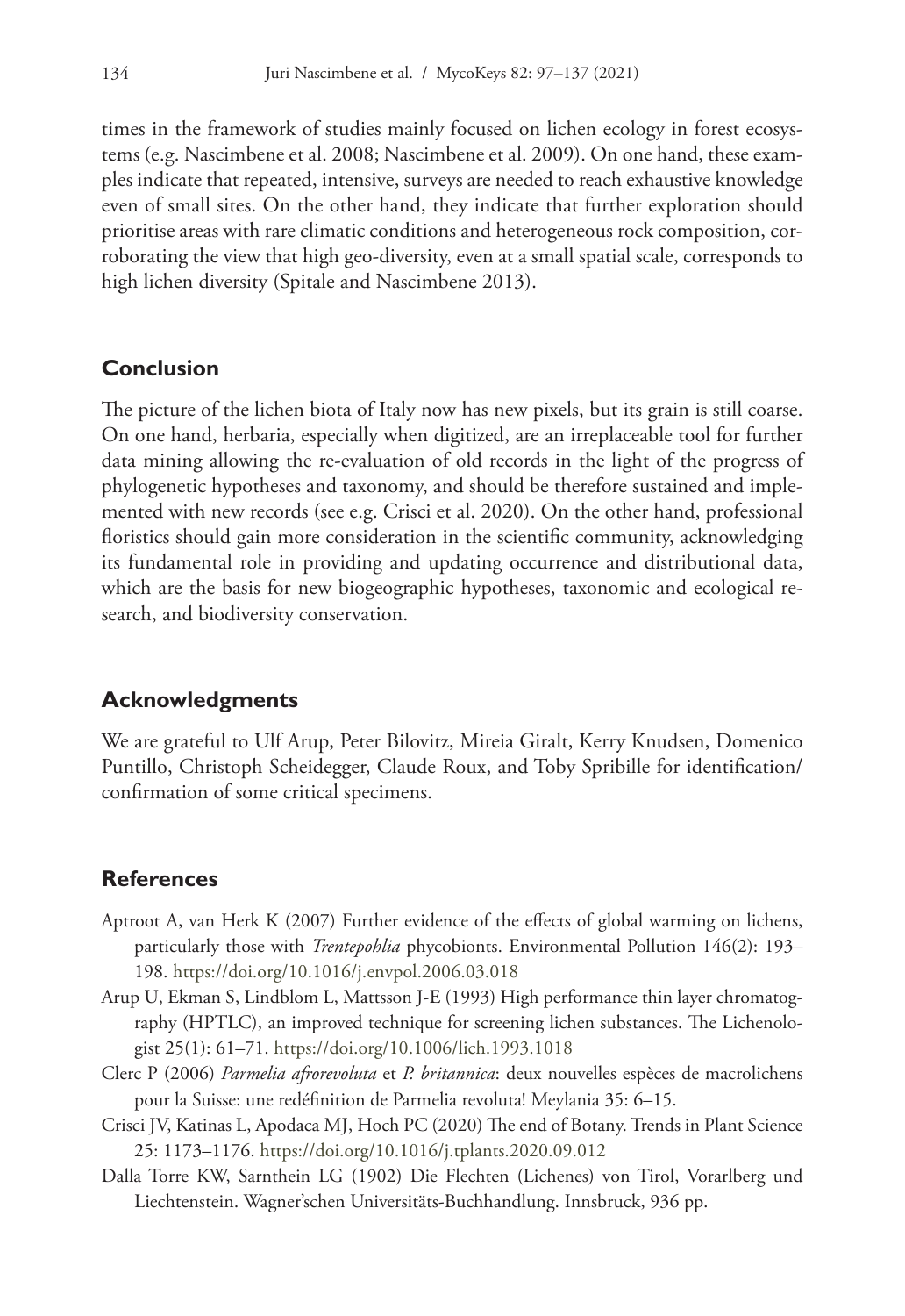times in the framework of studies mainly focused on lichen ecology in forest ecosystems (e.g. Nascimbene et al. 2008; Nascimbene et al. 2009). On one hand, these examples indicate that repeated, intensive, surveys are needed to reach exhaustive knowledge even of small sites. On the other hand, they indicate that further exploration should prioritise areas with rare climatic conditions and heterogeneous rock composition, corroborating the view that high geo-diversity, even at a small spatial scale, corresponds to high lichen diversity (Spitale and Nascimbene 2013).

# **Conclusion**

The picture of the lichen biota of Italy now has new pixels, but its grain is still coarse. On one hand, herbaria, especially when digitized, are an irreplaceable tool for further data mining allowing the re-evaluation of old records in the light of the progress of phylogenetic hypotheses and taxonomy, and should be therefore sustained and implemented with new records (see e.g. Crisci et al. 2020). On the other hand, professional floristics should gain more consideration in the scientific community, acknowledging its fundamental role in providing and updating occurrence and distributional data, which are the basis for new biogeographic hypotheses, taxonomic and ecological research, and biodiversity conservation.

# **Acknowledgments**

We are grateful to Ulf Arup, Peter Bilovitz, Mireia Giralt, Kerry Knudsen, Domenico Puntillo, Christoph Scheidegger, Claude Roux, and Toby Spribille for identification/ confirmation of some critical specimens.

# **References**

- Aptroot A, van Herk K (2007) Further evidence of the effects of global warming on lichens, particularly those with *Trentepohlia* phycobionts. Environmental Pollution 146(2): 193– 198.<https://doi.org/10.1016/j.envpol.2006.03.018>
- Arup U, Ekman S, Lindblom L, Mattsson J-E (1993) High performance thin layer chromatography (HPTLC), an improved technique for screening lichen substances. The Lichenologist 25(1): 61–71. <https://doi.org/10.1006/lich.1993.1018>
- Clerc P (2006) *Parmelia afrorevoluta* et *P. britannica*: deux nouvelles espèces de macrolichens pour la Suisse: une redéfinition de Parmelia revoluta! Meylania 35: 6–15.
- Crisci JV, Katinas L, Apodaca MJ, Hoch PC (2020) The end of Botany. Trends in Plant Science 25: 1173–1176.<https://doi.org/10.1016/j.tplants.2020.09.012>
- Dalla Torre KW, Sarnthein LG (1902) Die Flechten (Lichenes) von Tirol, Vorarlberg und Liechtenstein. Wagner'schen Universitäts-Buchhandlung. Innsbruck, 936 pp.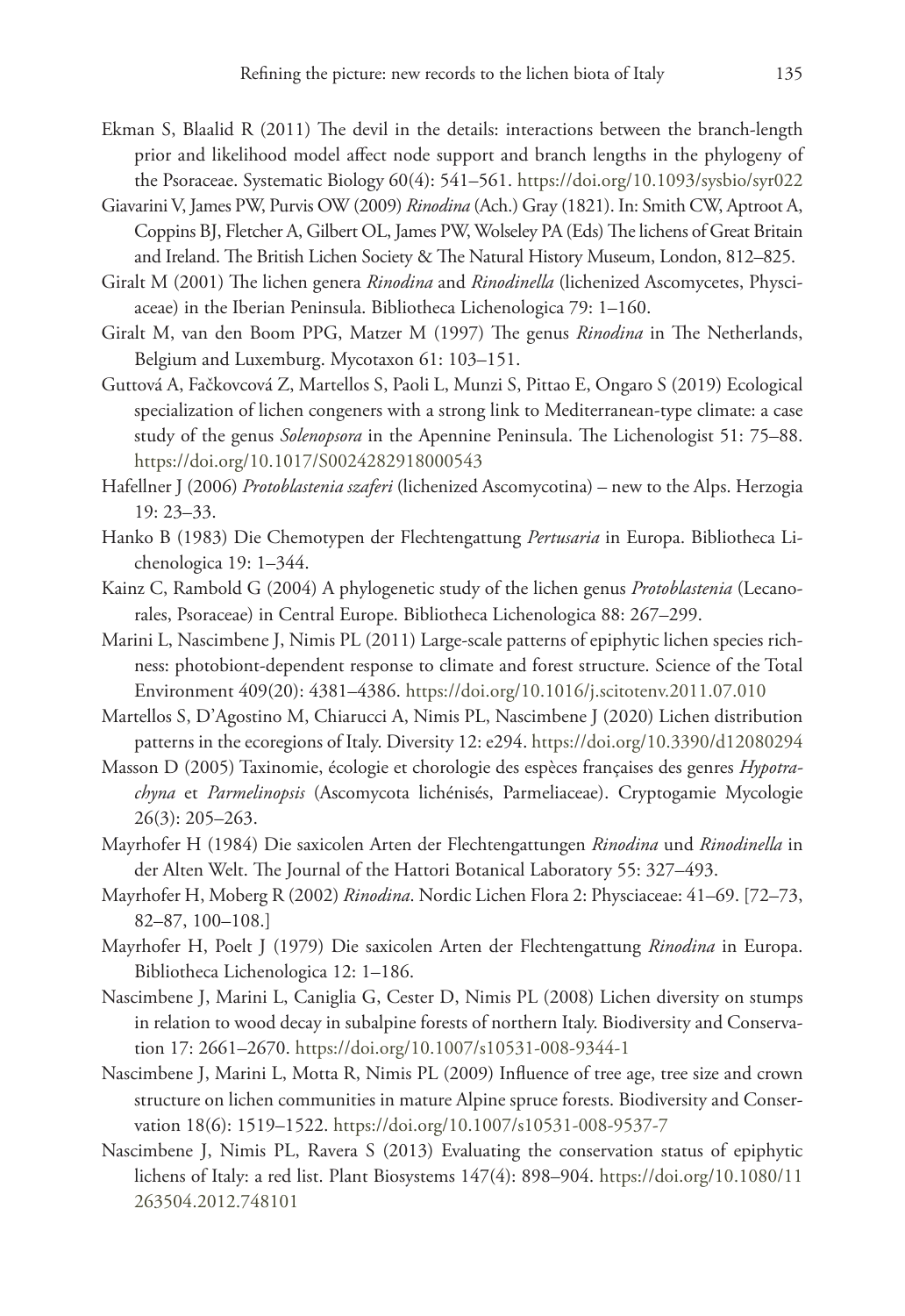- Ekman S, Blaalid R (2011) The devil in the details: interactions between the branch-length prior and likelihood model affect node support and branch lengths in the phylogeny of the Psoraceae. Systematic Biology 60(4): 541–561.<https://doi.org/10.1093/sysbio/syr022>
- Giavarini V, James PW, Purvis OW (2009) *Rinodina* (Ach.) Gray (1821). In: Smith CW, Aptroot A, Coppins BJ, Fletcher A, Gilbert OL, James PW, Wolseley PA (Eds) The lichens of Great Britain and Ireland. The British Lichen Society & The Natural History Museum, London, 812–825.
- Giralt M (2001) The lichen genera *Rinodina* and *Rinodinella* (lichenized Ascomycetes, Physciaceae) in the Iberian Peninsula. Bibliotheca Lichenologica 79: 1–160.
- Giralt M, van den Boom PPG, Matzer M (1997) The genus *Rinodina* in The Netherlands, Belgium and Luxemburg. Mycotaxon 61: 103–151.
- Guttová A, Fačkovcová Z, Martellos S, Paoli L, Munzi S, Pittao E, Ongaro S (2019) Ecological specialization of lichen congeners with a strong link to Mediterranean-type climate: a case study of the genus *Solenopsora* in the Apennine Peninsula. The Lichenologist 51: 75–88. <https://doi.org/10.1017/S0024282918000543>
- Hafellner J (2006) *Protoblastenia szaferi* (lichenized Ascomycotina) new to the Alps. Herzogia 19: 23–33.
- Hanko B (1983) Die Chemotypen der Flechtengattung *Pertusaria* in Europa. Bibliotheca Lichenologica 19: 1–344.
- Kainz C, Rambold G (2004) A phylogenetic study of the lichen genus *Protoblastenia* (Lecanorales, Psoraceae) in Central Europe. Bibliotheca Lichenologica 88: 267–299.
- Marini L, Nascimbene J, Nimis PL (2011) Large-scale patterns of epiphytic lichen species richness: photobiont-dependent response to climate and forest structure. Science of the Total Environment 409(20): 4381–4386. <https://doi.org/10.1016/j.scitotenv.2011.07.010>
- Martellos S, D'Agostino M, Chiarucci A, Nimis PL, Nascimbene J (2020) Lichen distribution patterns in the ecoregions of Italy. Diversity 12: e294.<https://doi.org/10.3390/d12080294>
- Masson D (2005) Taxinomie, écologie et chorologie des espèces françaises des genres *Hypotrachyna* et *Parmelinopsis* (Ascomycota lichénisés, Parmeliaceae). Cryptogamie Mycologie 26(3): 205–263.
- Mayrhofer H (1984) Die saxicolen Arten der Flechtengattungen *Rinodina* und *Rinodinella* in der Alten Welt. The Journal of the Hattori Botanical Laboratory 55: 327–493.
- Mayrhofer H, Moberg R (2002) *Rinodina*. Nordic Lichen Flora 2: Physciaceae: 41–69. [72–73, 82–87, 100–108.]
- Mayrhofer H, Poelt J (1979) Die saxicolen Arten der Flechtengattung *Rinodina* in Europa. Bibliotheca Lichenologica 12: 1–186.
- Nascimbene J, Marini L, Caniglia G, Cester D, Nimis PL (2008) Lichen diversity on stumps in relation to wood decay in subalpine forests of northern Italy. Biodiversity and Conservation 17: 2661–2670. <https://doi.org/10.1007/s10531-008-9344-1>
- Nascimbene J, Marini L, Motta R, Nimis PL (2009) Influence of tree age, tree size and crown structure on lichen communities in mature Alpine spruce forests. Biodiversity and Conservation 18(6): 1519–1522.<https://doi.org/10.1007/s10531-008-9537-7>
- Nascimbene J, Nimis PL, Ravera S (2013) Evaluating the conservation status of epiphytic lichens of Italy: a red list. Plant Biosystems 147(4): 898–904. [https://doi.org/10.1080/11](https://doi.org/10.1080/11263504.2012.748101) [263504.2012.748101](https://doi.org/10.1080/11263504.2012.748101)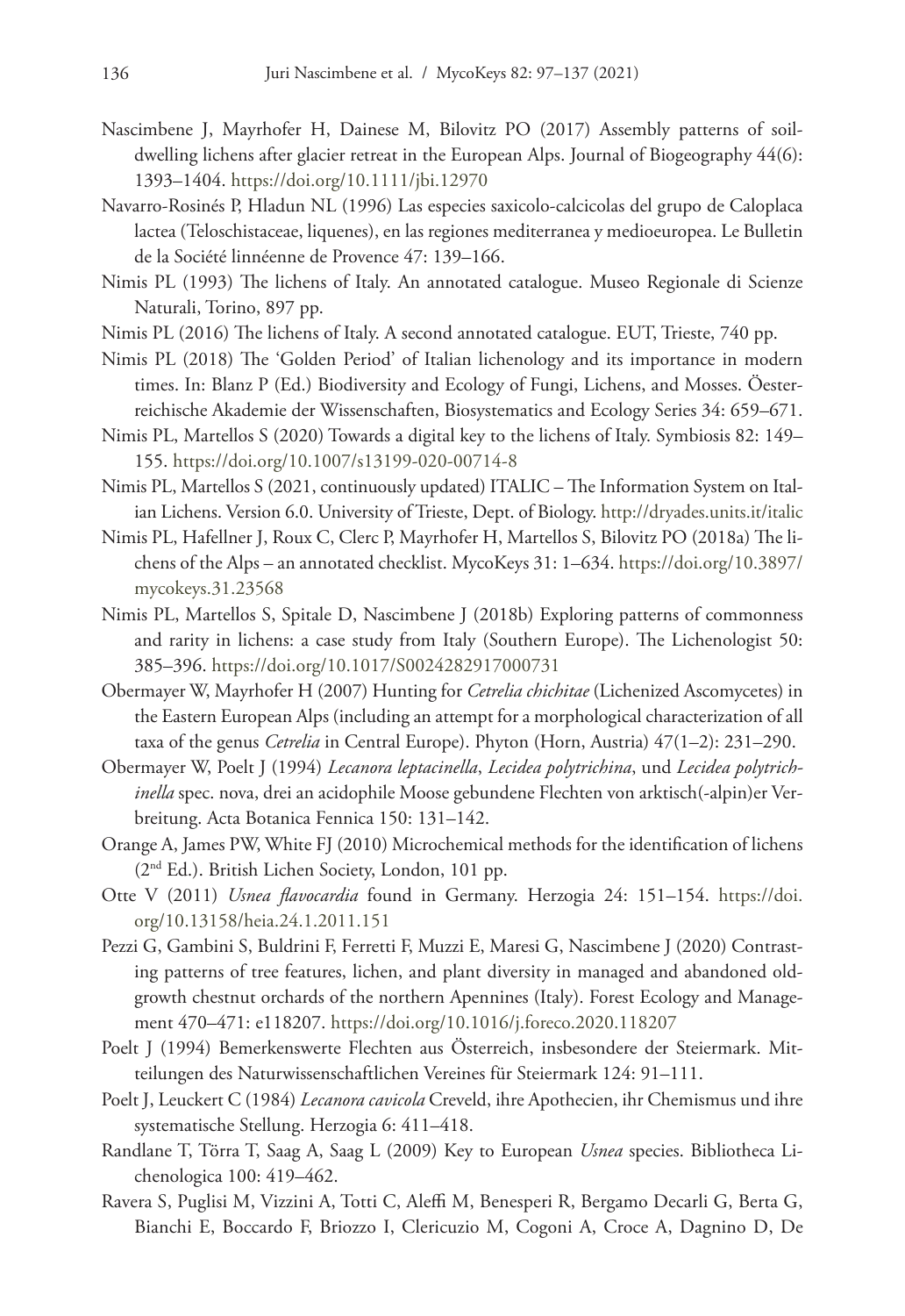- Nascimbene J, Mayrhofer H, Dainese M, Bilovitz PO (2017) Assembly patterns of soildwelling lichens after glacier retreat in the European Alps. Journal of Biogeography 44(6): 1393–1404.<https://doi.org/10.1111/jbi.12970>
- Navarro-Rosinés P, Hladun NL (1996) Las especies saxicolo-calcicolas del grupo de Caloplaca lactea (Teloschistaceae, liquenes), en las regiones mediterranea y medioeuropea. Le Bulletin de la Société linnéenne de Provence 47: 139–166.
- Nimis PL (1993) The lichens of Italy. An annotated catalogue. Museo Regionale di Scienze Naturali, Torino, 897 pp.
- Nimis PL (2016) The lichens of Italy. A second annotated catalogue. EUT, Trieste, 740 pp.
- Nimis PL (2018) The 'Golden Period' of Italian lichenology and its importance in modern times. In: Blanz P (Ed.) Biodiversity and Ecology of Fungi, Lichens, and Mosses. Öesterreichische Akademie der Wissenschaften, Biosystematics and Ecology Series 34: 659–671.
- Nimis PL, Martellos S (2020) Towards a digital key to the lichens of Italy. Symbiosis 82: 149– 155.<https://doi.org/10.1007/s13199-020-00714-8>
- Nimis PL, Martellos S (2021, continuously updated) ITALIC The Information System on Italian Lichens. Version 6.0. University of Trieste, Dept. of Biology.<http://dryades.units.it/italic>
- Nimis PL, Hafellner J, Roux C, Clerc P, Mayrhofer H, Martellos S, Bilovitz PO (2018a) The lichens of the Alps – an annotated checklist. MycoKeys 31: 1–634. [https://doi.org/10.3897/](https://doi.org/10.3897/mycokeys.31.23568) [mycokeys.31.23568](https://doi.org/10.3897/mycokeys.31.23568)
- Nimis PL, Martellos S, Spitale D, Nascimbene J (2018b) Exploring patterns of commonness and rarity in lichens: a case study from Italy (Southern Europe). The Lichenologist 50: 385–396.<https://doi.org/10.1017/S0024282917000731>
- Obermayer W, Mayrhofer H (2007) Hunting for *Cetrelia chichitae* (Lichenized Ascomycetes) in the Eastern European Alps (including an attempt for a morphological characterization of all taxa of the genus *Cetrelia* in Central Europe). Phyton (Horn, Austria) 47(1–2): 231–290.
- Obermayer W, Poelt J (1994) *Lecanora leptacinella*, *Lecidea polytrichina*, und *Lecidea polytrichinella* spec. nova, drei an acidophile Moose gebundene Flechten von arktisch(-alpin)er Verbreitung. Acta Botanica Fennica 150: 131–142.
- Orange A, James PW, White FJ (2010) Microchemical methods for the identification of lichens (2nd Ed.). British Lichen Society, London, 101 pp.
- Otte V (2011) *Usnea flavocardia* found in Germany. Herzogia 24: 151–154. [https://doi.](https://doi.org/10.13158/heia.24.1.2011.151) [org/10.13158/heia.24.1.2011.151](https://doi.org/10.13158/heia.24.1.2011.151)
- Pezzi G, Gambini S, Buldrini F, Ferretti F, Muzzi E, Maresi G, Nascimbene J (2020) Contrasting patterns of tree features, lichen, and plant diversity in managed and abandoned oldgrowth chestnut orchards of the northern Apennines (Italy). Forest Ecology and Management 470–471: e118207.<https://doi.org/10.1016/j.foreco.2020.118207>
- Poelt J (1994) Bemerkenswerte Flechten aus Österreich, insbesondere der Steiermark. Mitteilungen des Naturwissenschaftlichen Vereines für Steiermark 124: 91–111.
- Poelt J, Leuckert C (1984) *Lecanora cavicola* Creveld, ihre Apothecien, ihr Chemismus und ihre systematische Stellung. Herzogia 6: 411–418.
- Randlane T, Törra T, Saag A, Saag L (2009) Key to European *Usnea* species. Bibliotheca Lichenologica 100: 419–462.
- Ravera S, Puglisi M, Vizzini A, Totti C, Aleffi M, Benesperi R, Bergamo Decarli G, Berta G, Bianchi E, Boccardo F, Briozzo I, Clericuzio M, Cogoni A, Croce A, Dagnino D, De